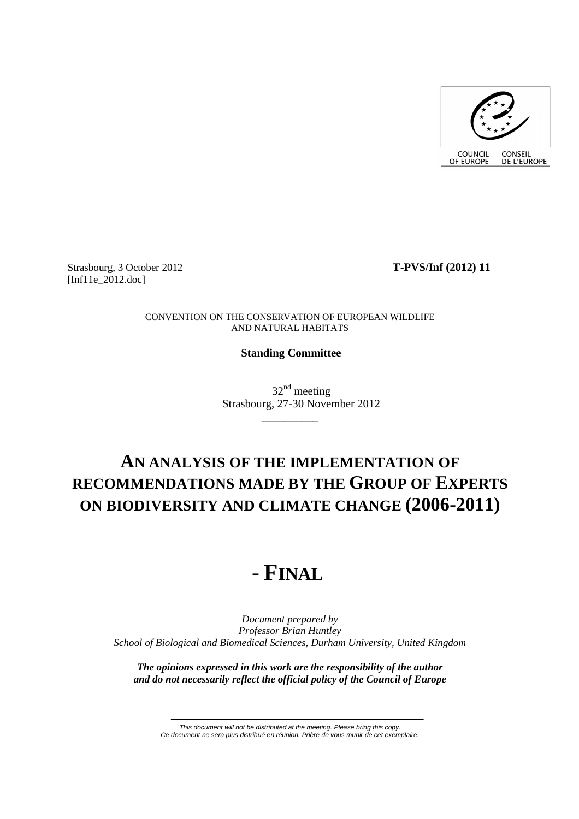

Strasbourg, 3 October 2012 **T-PVS/Inf (2012) 11**  [Inf11e\_2012.doc]

CONVENTION ON THE CONSERVATION OF EUROPEAN WILDLIFE AND NATURAL HABITATS

**Standing Committee** 

 $32<sup>nd</sup>$  meeting Strasbourg, 27-30 November 2012

\_\_\_\_\_\_\_\_\_\_

# **AN ANALYSIS OF THE IMPLEMENTATION OF RECOMMENDATIONS MADE BY THE GROUP OF EXPERTS ON BIODIVERSITY AND CLIMATE CHANGE (2006-2011)**

# **- FINAL**

*Document prepared by Professor Brian Huntley School of Biological and Biomedical Sciences, Durham University, United Kingdom* 

*The opinions expressed in this work are the responsibility of the author and do not necessarily reflect the official policy of the Council of Europe* 

This document will not be distributed at the meeting. Please bring this copy. Ce document ne sera plus distribué en réunion. Prière de vous munir de cet exemplaire.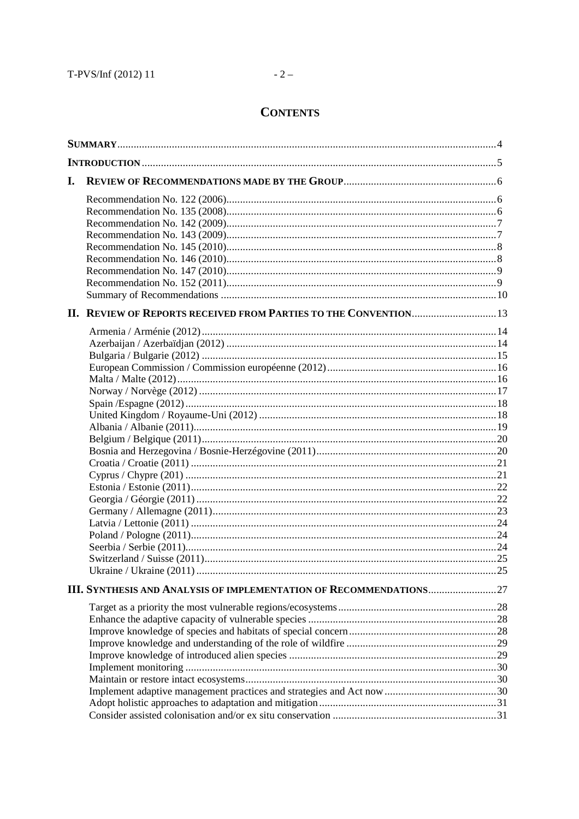# **CONTENTS**

| I. |                                                                           |  |
|----|---------------------------------------------------------------------------|--|
|    |                                                                           |  |
|    |                                                                           |  |
|    |                                                                           |  |
|    |                                                                           |  |
|    |                                                                           |  |
|    |                                                                           |  |
|    |                                                                           |  |
|    |                                                                           |  |
|    |                                                                           |  |
|    | II. REVIEW OF REPORTS RECEIVED FROM PARTIES TO THE CONVENTION 13          |  |
|    |                                                                           |  |
|    |                                                                           |  |
|    |                                                                           |  |
|    |                                                                           |  |
|    |                                                                           |  |
|    |                                                                           |  |
|    |                                                                           |  |
|    |                                                                           |  |
|    |                                                                           |  |
|    |                                                                           |  |
|    |                                                                           |  |
|    |                                                                           |  |
|    |                                                                           |  |
|    |                                                                           |  |
|    |                                                                           |  |
|    |                                                                           |  |
|    |                                                                           |  |
|    |                                                                           |  |
|    |                                                                           |  |
|    |                                                                           |  |
|    |                                                                           |  |
|    | <b>III. SYNTHESIS AND ANALYSIS OF IMPLEMENTATION OF RECOMMENDATIONS27</b> |  |
|    |                                                                           |  |
|    |                                                                           |  |
|    |                                                                           |  |
|    |                                                                           |  |
|    |                                                                           |  |
|    |                                                                           |  |
|    |                                                                           |  |
|    |                                                                           |  |
|    |                                                                           |  |
|    |                                                                           |  |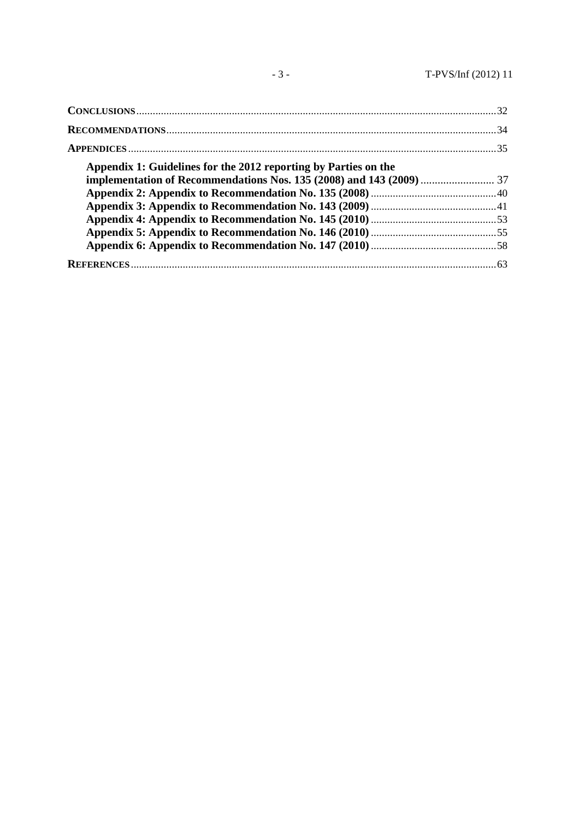| $CONCLUSIONS 32$                                                |  |
|-----------------------------------------------------------------|--|
|                                                                 |  |
|                                                                 |  |
| Appendix 1: Guidelines for the 2012 reporting by Parties on the |  |
|                                                                 |  |
|                                                                 |  |
|                                                                 |  |
|                                                                 |  |
|                                                                 |  |
|                                                                 |  |
|                                                                 |  |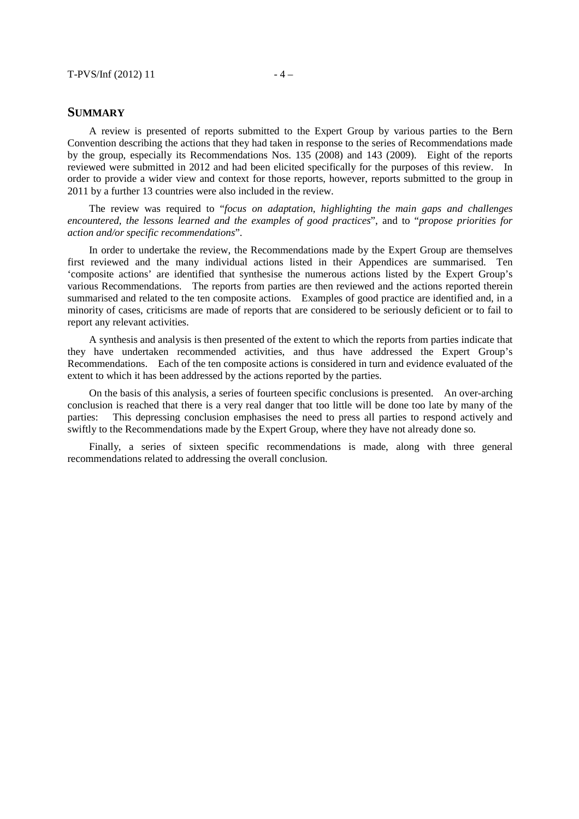# **SUMMARY**

A review is presented of reports submitted to the Expert Group by various parties to the Bern Convention describing the actions that they had taken in response to the series of Recommendations made by the group, especially its Recommendations Nos. 135 (2008) and 143 (2009). Eight of the reports reviewed were submitted in 2012 and had been elicited specifically for the purposes of this review. In order to provide a wider view and context for those reports, however, reports submitted to the group in 2011 by a further 13 countries were also included in the review.

The review was required to "*focus on adaptation, highlighting the main gaps and challenges encountered, the lessons learned and the examples of good practices*", and to "*propose priorities for action and/or specific recommendations*".

In order to undertake the review, the Recommendations made by the Expert Group are themselves first reviewed and the many individual actions listed in their Appendices are summarised. Ten 'composite actions' are identified that synthesise the numerous actions listed by the Expert Group's various Recommendations. The reports from parties are then reviewed and the actions reported therein summarised and related to the ten composite actions. Examples of good practice are identified and, in a minority of cases, criticisms are made of reports that are considered to be seriously deficient or to fail to report any relevant activities.

A synthesis and analysis is then presented of the extent to which the reports from parties indicate that they have undertaken recommended activities, and thus have addressed the Expert Group's Recommendations. Each of the ten composite actions is considered in turn and evidence evaluated of the extent to which it has been addressed by the actions reported by the parties.

On the basis of this analysis, a series of fourteen specific conclusions is presented. An over-arching conclusion is reached that there is a very real danger that too little will be done too late by many of the parties: This depressing conclusion emphasises the need to press all parties to respond actively and swiftly to the Recommendations made by the Expert Group, where they have not already done so.

Finally, a series of sixteen specific recommendations is made, along with three general recommendations related to addressing the overall conclusion.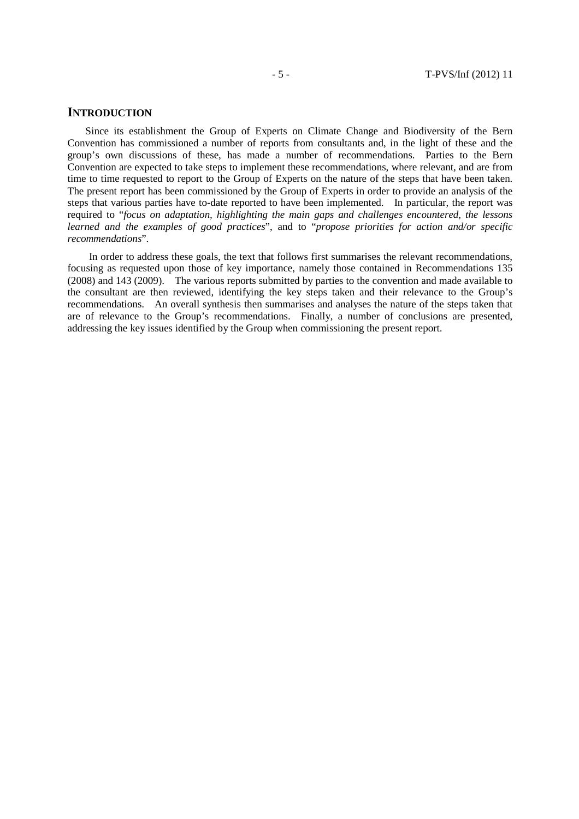# **INTRODUCTION**

 Since its establishment the Group of Experts on Climate Change and Biodiversity of the Bern Convention has commissioned a number of reports from consultants and, in the light of these and the group's own discussions of these, has made a number of recommendations. Parties to the Bern Convention are expected to take steps to implement these recommendations, where relevant, and are from time to time requested to report to the Group of Experts on the nature of the steps that have been taken. The present report has been commissioned by the Group of Experts in order to provide an analysis of the steps that various parties have to-date reported to have been implemented. In particular, the report was required to "*focus on adaptation, highlighting the main gaps and challenges encountered, the lessons learned and the examples of good practices*", and to "*propose priorities for action and/or specific recommendations*".

In order to address these goals, the text that follows first summarises the relevant recommendations, focusing as requested upon those of key importance, namely those contained in Recommendations 135 (2008) and 143 (2009). The various reports submitted by parties to the convention and made available to the consultant are then reviewed, identifying the key steps taken and their relevance to the Group's recommendations. An overall synthesis then summarises and analyses the nature of the steps taken that are of relevance to the Group's recommendations. Finally, a number of conclusions are presented, addressing the key issues identified by the Group when commissioning the present report.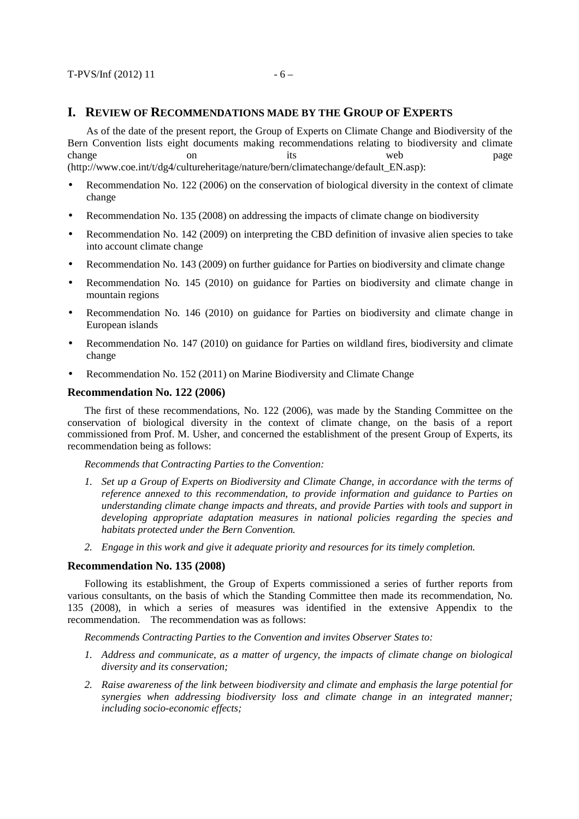# **I. REVIEW OF RECOMMENDATIONS MADE BY THE GROUP OF EXPERTS**

As of the date of the present report, the Group of Experts on Climate Change and Biodiversity of the Bern Convention lists eight documents making recommendations relating to biodiversity and climate change on on its web page (http://www.coe.int/t/dg4/cultureheritage/nature/bern/climatechange/default\_EN.asp):

- Recommendation No. 122 (2006) on the conservation of biological diversity in the context of climate change
- Recommendation No. 135 (2008) on addressing the impacts of climate change on biodiversity
- Recommendation No. 142 (2009) on interpreting the CBD definition of invasive alien species to take into account climate change
- Recommendation No. 143 (2009) on further guidance for Parties on biodiversity and climate change
- Recommendation No. 145 (2010) on guidance for Parties on biodiversity and climate change in mountain regions
- Recommendation No. 146 (2010) on guidance for Parties on biodiversity and climate change in European islands
- Recommendation No. 147 (2010) on guidance for Parties on wildland fires, biodiversity and climate change
- Recommendation No. 152 (2011) on Marine Biodiversity and Climate Change

#### **Recommendation No. 122 (2006)**

The first of these recommendations, No. 122 (2006), was made by the Standing Committee on the conservation of biological diversity in the context of climate change, on the basis of a report commissioned from Prof. M. Usher, and concerned the establishment of the present Group of Experts, its recommendation being as follows:

*Recommends that Contracting Parties to the Convention:* 

- *1. Set up a Group of Experts on Biodiversity and Climate Change, in accordance with the terms of reference annexed to this recommendation, to provide information and guidance to Parties on understanding climate change impacts and threats, and provide Parties with tools and support in developing appropriate adaptation measures in national policies regarding the species and habitats protected under the Bern Convention.*
- *2. Engage in this work and give it adequate priority and resources for its timely completion.*

#### **Recommendation No. 135 (2008)**

Following its establishment, the Group of Experts commissioned a series of further reports from various consultants, on the basis of which the Standing Committee then made its recommendation, No. 135 (2008), in which a series of measures was identified in the extensive Appendix to the recommendation. The recommendation was as follows:

*Recommends Contracting Parties to the Convention and invites Observer States to:* 

- *1. Address and communicate, as a matter of urgency, the impacts of climate change on biological diversity and its conservation;*
- *2. Raise awareness of the link between biodiversity and climate and emphasis the large potential for synergies when addressing biodiversity loss and climate change in an integrated manner; including socio-economic effects;*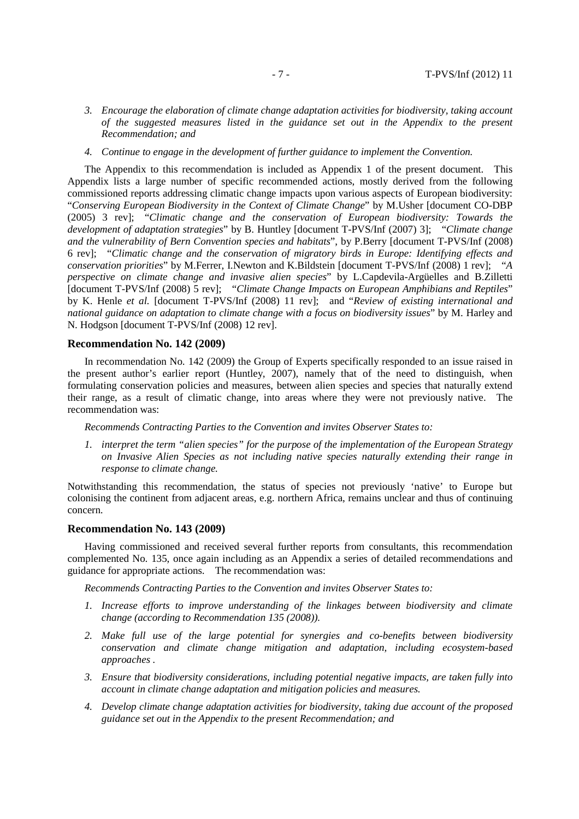- *3. Encourage the elaboration of climate change adaptation activities for biodiversity, taking account of the suggested measures listed in the guidance set out in the Appendix to the present Recommendation; and*
- *4. Continue to engage in the development of further guidance to implement the Convention.*

The Appendix to this recommendation is included as Appendix 1 of the present document. This Appendix lists a large number of specific recommended actions, mostly derived from the following commissioned reports addressing climatic change impacts upon various aspects of European biodiversity: "*Conserving European Biodiversity in the Context of Climate Change*" by M.Usher [document CO-DBP (2005) 3 rev]; "*Climatic change and the conservation of European biodiversity: Towards the development of adaptation strategies*" by B. Huntley [document T-PVS/Inf (2007) 3]; "*Climate change and the vulnerability of Bern Convention species and habitats*", by P.Berry [document T-PVS/Inf (2008) 6 rev]; "*Climatic change and the conservation of migratory birds in Europe: Identifying effects and conservation priorities*" by M.Ferrer, I.Newton and K.Bildstein [document T-PVS/Inf (2008) 1 rev]; "*A perspective on climate change and invasive alien species*" by L.Capdevila-Argüelles and B.Zilletti [document T-PVS/Inf (2008) 5 rev]; "*Climate Change Impacts on European Amphibians and Reptiles*" by K. Henle *et al.* [document T-PVS/Inf (2008) 11 rev]; and "*Review of existing international and national guidance on adaptation to climate change with a focus on biodiversity issues*" by M. Harley and N. Hodgson [document T-PVS/Inf (2008) 12 rev].

#### **Recommendation No. 142 (2009)**

In recommendation No. 142 (2009) the Group of Experts specifically responded to an issue raised in the present author's earlier report (Huntley, 2007), namely that of the need to distinguish, when formulating conservation policies and measures, between alien species and species that naturally extend their range, as a result of climatic change, into areas where they were not previously native. The recommendation was:

*Recommends Contracting Parties to the Convention and invites Observer States to:* 

*1. interpret the term "alien species" for the purpose of the implementation of the European Strategy on Invasive Alien Species as not including native species naturally extending their range in response to climate change.* 

Notwithstanding this recommendation, the status of species not previously 'native' to Europe but colonising the continent from adjacent areas, e.g. northern Africa, remains unclear and thus of continuing concern.

#### **Recommendation No. 143 (2009)**

Having commissioned and received several further reports from consultants, this recommendation complemented No. 135, once again including as an Appendix a series of detailed recommendations and guidance for appropriate actions. The recommendation was:

*Recommends Contracting Parties to the Convention and invites Observer States to:* 

- *1. Increase efforts to improve understanding of the linkages between biodiversity and climate change (according to Recommendation 135 (2008)).*
- *2. Make full use of the large potential for synergies and co-benefits between biodiversity conservation and climate change mitigation and adaptation, including ecosystem-based approaches .*
- *3. Ensure that biodiversity considerations, including potential negative impacts, are taken fully into account in climate change adaptation and mitigation policies and measures.*
- *4. Develop climate change adaptation activities for biodiversity, taking due account of the proposed guidance set out in the Appendix to the present Recommendation; and*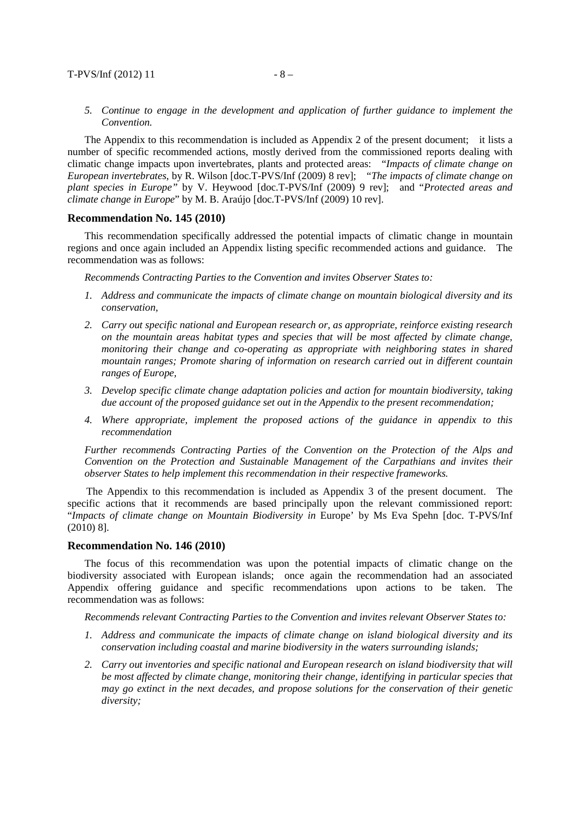*5. Continue to engage in the development and application of further guidance to implement the Convention.* 

The Appendix to this recommendation is included as Appendix 2 of the present document; it lists a number of specific recommended actions, mostly derived from the commissioned reports dealing with climatic change impacts upon invertebrates, plants and protected areas: "*Impacts of climate change on European invertebrates*, by R. Wilson [doc.T-PVS/Inf (2009) 8 rev]; "*The impacts of climate change on plant species in Europe"* by V. Heywood [doc.T-PVS/Inf (2009) 9 rev]; and "*Protected areas and climate change in Europe*" by M. B. Araújo [doc.T-PVS/Inf (2009) 10 rev].

#### **Recommendation No. 145 (2010)**

This recommendation specifically addressed the potential impacts of climatic change in mountain regions and once again included an Appendix listing specific recommended actions and guidance. The recommendation was as follows:

*Recommends Contracting Parties to the Convention and invites Observer States to:* 

- *1. Address and communicate the impacts of climate change on mountain biological diversity and its conservation,*
- *2. Carry out specific national and European research or, as appropriate, reinforce existing research on the mountain areas habitat types and species that will be most affected by climate change, monitoring their change and co-operating as appropriate with neighboring states in shared mountain ranges; Promote sharing of information on research carried out in different countain ranges of Europe,*
- *3. Develop specific climate change adaptation policies and action for mountain biodiversity, taking due account of the proposed guidance set out in the Appendix to the present recommendation;*
- *4. Where appropriate, implement the proposed actions of the guidance in appendix to this recommendation*

*Further recommends Contracting Parties of the Convention on the Protection of the Alps and Convention on the Protection and Sustainable Management of the Carpathians and invites their observer States to help implement this recommendation in their respective frameworks.* 

The Appendix to this recommendation is included as Appendix 3 of the present document. The specific actions that it recommends are based principally upon the relevant commissioned report: "*Impacts of climate change on Mountain Biodiversity in* Europe' by Ms Eva Spehn [doc. T-PVS/Inf (2010) 8].

#### **Recommendation No. 146 (2010)**

The focus of this recommendation was upon the potential impacts of climatic change on the biodiversity associated with European islands; once again the recommendation had an associated Appendix offering guidance and specific recommendations upon actions to be taken. The recommendation was as follows:

*Recommends relevant Contracting Parties to the Convention and invites relevant Observer States to:* 

- *1. Address and communicate the impacts of climate change on island biological diversity and its conservation including coastal and marine biodiversity in the waters surrounding islands;*
- *2. Carry out inventories and specific national and European research on island biodiversity that will be most affected by climate change, monitoring their change, identifying in particular species that may go extinct in the next decades, and propose solutions for the conservation of their genetic diversity;*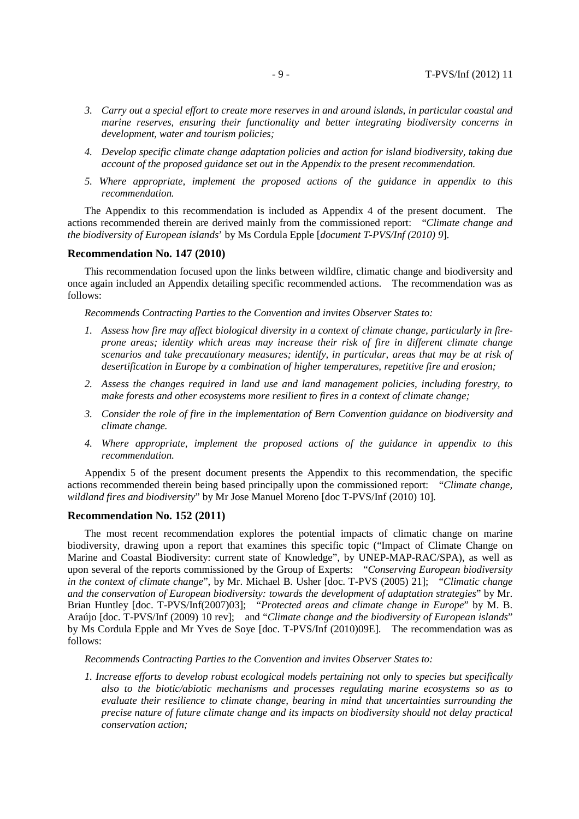- *3. Carry out a special effort to create more reserves in and around islands, in particular coastal and marine reserves, ensuring their functionality and better integrating biodiversity concerns in development, water and tourism policies;*
- *4. Develop specific climate change adaptation policies and action for island biodiversity, taking due account of the proposed guidance set out in the Appendix to the present recommendation.*
- *5. Where appropriate, implement the proposed actions of the guidance in appendix to this recommendation.*

The Appendix to this recommendation is included as Appendix 4 of the present document. The actions recommended therein are derived mainly from the commissioned report: "*Climate change and the biodiversity of European islands*' by Ms Cordula Epple [*document T-PVS/Inf (2010) 9*].

#### **Recommendation No. 147 (2010)**

This recommendation focused upon the links between wildfire, climatic change and biodiversity and once again included an Appendix detailing specific recommended actions. The recommendation was as follows:

*Recommends Contracting Parties to the Convention and invites Observer States to:* 

- *1. Assess how fire may affect biological diversity in a context of climate change, particularly in fireprone areas; identity which areas may increase their risk of fire in different climate change scenarios and take precautionary measures; identify, in particular, areas that may be at risk of desertification in Europe by a combination of higher temperatures, repetitive fire and erosion;*
- *2. Assess the changes required in land use and land management policies, including forestry, to make forests and other ecosystems more resilient to fires in a context of climate change;*
- *3. Consider the role of fire in the implementation of Bern Convention guidance on biodiversity and climate change.*
- *4. Where appropriate, implement the proposed actions of the guidance in appendix to this recommendation.*

Appendix 5 of the present document presents the Appendix to this recommendation, the specific actions recommended therein being based principally upon the commissioned report: "*Climate change, wildland fires and biodiversity*" by Mr Jose Manuel Moreno [doc T-PVS/Inf (2010) 10].

#### **Recommendation No. 152 (2011)**

The most recent recommendation explores the potential impacts of climatic change on marine biodiversity, drawing upon a report that examines this specific topic ("Impact of Climate Change on Marine and Coastal Biodiversity: current state of Knowledge", by UNEP-MAP-RAC/SPA), as well as upon several of the reports commissioned by the Group of Experts: "*Conserving European biodiversity in the context of climate change*", by Mr. Michael B. Usher [doc. T-PVS (2005) 21]; "*Climatic change and the conservation of European biodiversity: towards the development of adaptation strategies*" by Mr. Brian Huntley [doc. T-PVS/Inf(2007)03]; "*Protected areas and climate change in Europe*" by M. B. Araújo [doc. T-PVS/Inf (2009) 10 rev]; and "*Climate change and the biodiversity of European islands*" by Ms Cordula Epple and Mr Yves de Soye [doc. T-PVS/Inf (2010)09E]. The recommendation was as follows:

*Recommends Contracting Parties to the Convention and invites Observer States to:* 

*1. Increase efforts to develop robust ecological models pertaining not only to species but specifically also to the biotic/abiotic mechanisms and processes regulating marine ecosystems so as to evaluate their resilience to climate change, bearing in mind that uncertainties surrounding the precise nature of future climate change and its impacts on biodiversity should not delay practical conservation action;*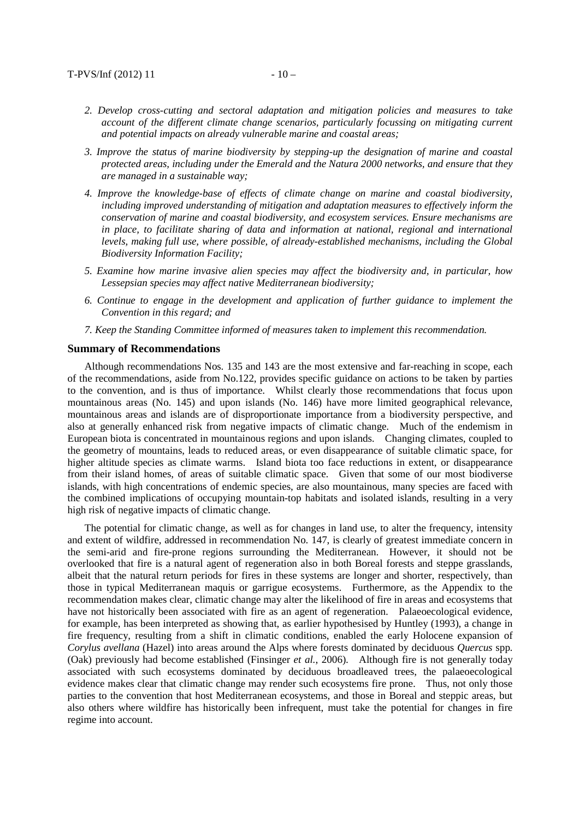- *2. Develop cross-cutting and sectoral adaptation and mitigation policies and measures to take account of the different climate change scenarios, particularly focussing on mitigating current and potential impacts on already vulnerable marine and coastal areas;*
- *3. Improve the status of marine biodiversity by stepping-up the designation of marine and coastal protected areas, including under the Emerald and the Natura 2000 networks, and ensure that they are managed in a sustainable way;*
- *4. Improve the knowledge-base of effects of climate change on marine and coastal biodiversity, including improved understanding of mitigation and adaptation measures to effectively inform the conservation of marine and coastal biodiversity, and ecosystem services. Ensure mechanisms are in place, to facilitate sharing of data and information at national, regional and international levels, making full use, where possible, of already-established mechanisms, including the Global Biodiversity Information Facility;*
- *5. Examine how marine invasive alien species may affect the biodiversity and, in particular, how Lessepsian species may affect native Mediterranean biodiversity;*
- *6. Continue to engage in the development and application of further guidance to implement the Convention in this regard; and*
- *7. Keep the Standing Committee informed of measures taken to implement this recommendation.*

#### **Summary of Recommendations**

Although recommendations Nos. 135 and 143 are the most extensive and far-reaching in scope, each of the recommendations, aside from No.122, provides specific guidance on actions to be taken by parties to the convention, and is thus of importance. Whilst clearly those recommendations that focus upon mountainous areas (No. 145) and upon islands (No. 146) have more limited geographical relevance, mountainous areas and islands are of disproportionate importance from a biodiversity perspective, and also at generally enhanced risk from negative impacts of climatic change. Much of the endemism in European biota is concentrated in mountainous regions and upon islands. Changing climates, coupled to the geometry of mountains, leads to reduced areas, or even disappearance of suitable climatic space, for higher altitude species as climate warms. Island biota too face reductions in extent, or disappearance from their island homes, of areas of suitable climatic space. Given that some of our most biodiverse islands, with high concentrations of endemic species, are also mountainous, many species are faced with the combined implications of occupying mountain-top habitats and isolated islands, resulting in a very high risk of negative impacts of climatic change.

The potential for climatic change, as well as for changes in land use, to alter the frequency, intensity and extent of wildfire, addressed in recommendation No. 147, is clearly of greatest immediate concern in the semi-arid and fire-prone regions surrounding the Mediterranean. However, it should not be overlooked that fire is a natural agent of regeneration also in both Boreal forests and steppe grasslands, albeit that the natural return periods for fires in these systems are longer and shorter, respectively, than those in typical Mediterranean maquis or garrigue ecosystems. Furthermore, as the Appendix to the recommendation makes clear, climatic change may alter the likelihood of fire in areas and ecosystems that have not historically been associated with fire as an agent of regeneration. Palaeoecological evidence, for example, has been interpreted as showing that, as earlier hypothesised by Huntley (1993), a change in fire frequency, resulting from a shift in climatic conditions, enabled the early Holocene expansion of *Corylus avellana* (Hazel) into areas around the Alps where forests dominated by deciduous *Quercus* spp. (Oak) previously had become established (Finsinger *et al.*, 2006). Although fire is not generally today associated with such ecosystems dominated by deciduous broadleaved trees, the palaeoecological evidence makes clear that climatic change may render such ecosystems fire prone. Thus, not only those parties to the convention that host Mediterranean ecosystems, and those in Boreal and steppic areas, but also others where wildfire has historically been infrequent, must take the potential for changes in fire regime into account.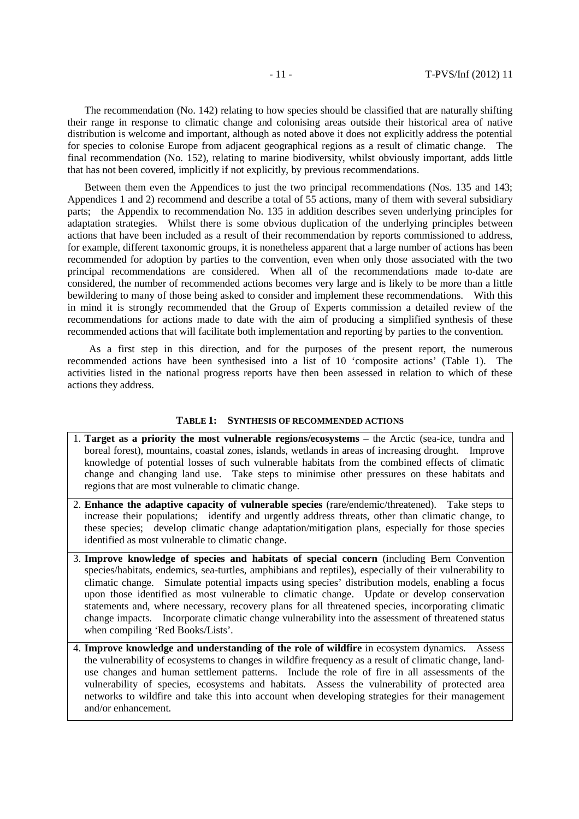The recommendation (No. 142) relating to how species should be classified that are naturally shifting their range in response to climatic change and colonising areas outside their historical area of native distribution is welcome and important, although as noted above it does not explicitly address the potential for species to colonise Europe from adjacent geographical regions as a result of climatic change. The final recommendation (No. 152), relating to marine biodiversity, whilst obviously important, adds little that has not been covered, implicitly if not explicitly, by previous recommendations.

Between them even the Appendices to just the two principal recommendations (Nos. 135 and 143; Appendices 1 and 2) recommend and describe a total of 55 actions, many of them with several subsidiary parts; the Appendix to recommendation No. 135 in addition describes seven underlying principles for adaptation strategies. Whilst there is some obvious duplication of the underlying principles between actions that have been included as a result of their recommendation by reports commissioned to address, for example, different taxonomic groups, it is nonetheless apparent that a large number of actions has been recommended for adoption by parties to the convention, even when only those associated with the two principal recommendations are considered. When all of the recommendations made to-date are considered, the number of recommended actions becomes very large and is likely to be more than a little bewildering to many of those being asked to consider and implement these recommendations. With this in mind it is strongly recommended that the Group of Experts commission a detailed review of the recommendations for actions made to date with the aim of producing a simplified synthesis of these recommended actions that will facilitate both implementation and reporting by parties to the convention.

As a first step in this direction, and for the purposes of the present report, the numerous recommended actions have been synthesised into a list of 10 'composite actions' (Table 1). The activities listed in the national progress reports have then been assessed in relation to which of these actions they address.

#### **TABLE 1: SYNTHESIS OF RECOMMENDED ACTIONS**

- 1. **Target as a priority the most vulnerable regions/ecosystems** the Arctic (sea-ice, tundra and boreal forest), mountains, coastal zones, islands, wetlands in areas of increasing drought. Improve knowledge of potential losses of such vulnerable habitats from the combined effects of climatic change and changing land use. Take steps to minimise other pressures on these habitats and regions that are most vulnerable to climatic change.
- 2. **Enhance the adaptive capacity of vulnerable species** (rare/endemic/threatened). Take steps to increase their populations; identify and urgently address threats, other than climatic change, to these species; develop climatic change adaptation/mitigation plans, especially for those species identified as most vulnerable to climatic change.
- 3. **Improve knowledge of species and habitats of special concern** (including Bern Convention species/habitats, endemics, sea-turtles, amphibians and reptiles), especially of their vulnerability to climatic change. Simulate potential impacts using species' distribution models, enabling a focus upon those identified as most vulnerable to climatic change. Update or develop conservation statements and, where necessary, recovery plans for all threatened species, incorporating climatic change impacts. Incorporate climatic change vulnerability into the assessment of threatened status when compiling 'Red Books/Lists'.
- 4. **Improve knowledge and understanding of the role of wildfire** in ecosystem dynamics. Assess the vulnerability of ecosystems to changes in wildfire frequency as a result of climatic change, landuse changes and human settlement patterns. Include the role of fire in all assessments of the vulnerability of species, ecosystems and habitats. Assess the vulnerability of protected area networks to wildfire and take this into account when developing strategies for their management and/or enhancement.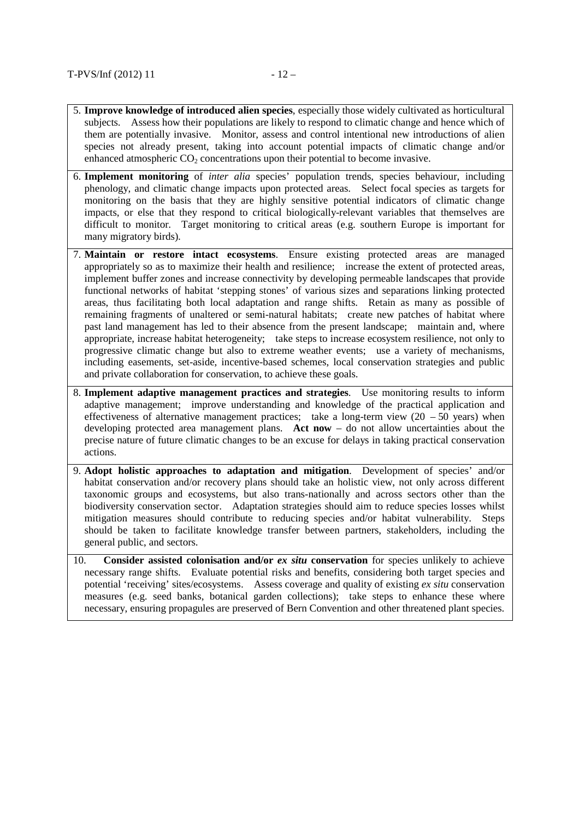- 5. **Improve knowledge of introduced alien species**, especially those widely cultivated as horticultural subjects. Assess how their populations are likely to respond to climatic change and hence which of them are potentially invasive. Monitor, assess and control intentional new introductions of alien species not already present, taking into account potential impacts of climatic change and/or enhanced atmospheric  $CO<sub>2</sub>$  concentrations upon their potential to become invasive.
- 6. **Implement monitoring** of *inter alia* species' population trends, species behaviour, including phenology, and climatic change impacts upon protected areas. Select focal species as targets for monitoring on the basis that they are highly sensitive potential indicators of climatic change impacts, or else that they respond to critical biologically-relevant variables that themselves are difficult to monitor. Target monitoring to critical areas (e.g. southern Europe is important for many migratory birds).
- 7. **Maintain or restore intact ecosystems**. Ensure existing protected areas are managed appropriately so as to maximize their health and resilience; increase the extent of protected areas, implement buffer zones and increase connectivity by developing permeable landscapes that provide functional networks of habitat 'stepping stones' of various sizes and separations linking protected areas, thus facilitating both local adaptation and range shifts. Retain as many as possible of remaining fragments of unaltered or semi-natural habitats; create new patches of habitat where past land management has led to their absence from the present landscape; maintain and, where appropriate, increase habitat heterogeneity; take steps to increase ecosystem resilience, not only to progressive climatic change but also to extreme weather events; use a variety of mechanisms, including easements, set-aside, incentive-based schemes, local conservation strategies and public and private collaboration for conservation, to achieve these goals.
- 8. **Implement adaptive management practices and strategies**. Use monitoring results to inform adaptive management; improve understanding and knowledge of the practical application and effectiveness of alternative management practices; take a long-term view  $(20 - 50$  years) when developing protected area management plans. **Act now** – do not allow uncertainties about the precise nature of future climatic changes to be an excuse for delays in taking practical conservation actions.
- 9. **Adopt holistic approaches to adaptation and mitigation**. Development of species' and/or habitat conservation and/or recovery plans should take an holistic view, not only across different taxonomic groups and ecosystems, but also trans-nationally and across sectors other than the biodiversity conservation sector. Adaptation strategies should aim to reduce species losses whilst mitigation measures should contribute to reducing species and/or habitat vulnerability. Steps should be taken to facilitate knowledge transfer between partners, stakeholders, including the general public, and sectors.
- 10. **Consider assisted colonisation and/or** *ex situ* **conservation** for species unlikely to achieve necessary range shifts. Evaluate potential risks and benefits, considering both target species and potential 'receiving' sites/ecosystems. Assess coverage and quality of existing *ex situ* conservation measures (e.g. seed banks, botanical garden collections); take steps to enhance these where necessary, ensuring propagules are preserved of Bern Convention and other threatened plant species.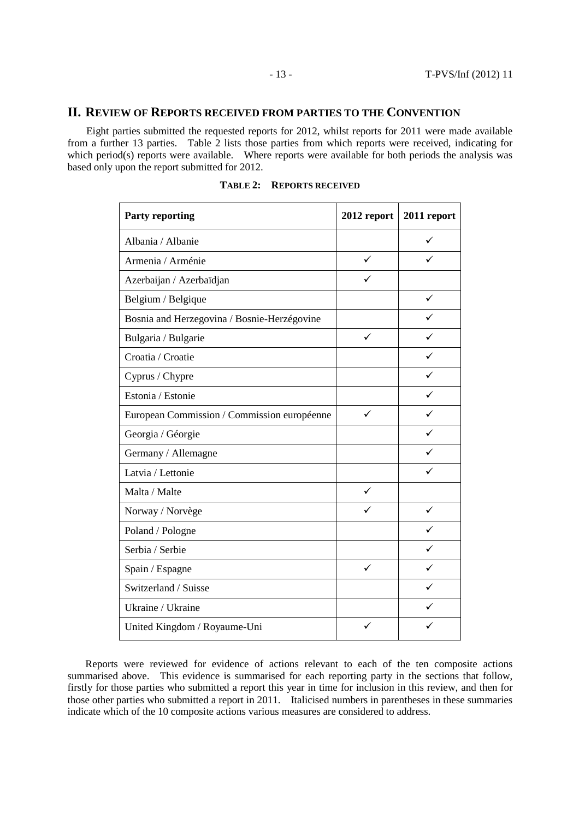# **II. REVIEW OF REPORTS RECEIVED FROM PARTIES TO THE CONVENTION**

Eight parties submitted the requested reports for 2012, whilst reports for 2011 were made available from a further 13 parties. Table 2 lists those parties from which reports were received, indicating for which period(s) reports were available. Where reports were available for both periods the analysis was based only upon the report submitted for 2012.

| <b>Party reporting</b>                      | 2012 report  | 2011 report |  |  |  |
|---------------------------------------------|--------------|-------------|--|--|--|
| Albania / Albanie                           |              | ✓           |  |  |  |
| Armenia / Arménie                           | ✓            | ✓           |  |  |  |
| Azerbaijan / Azerbaïdjan                    |              |             |  |  |  |
| Belgium / Belgique                          |              | ✓           |  |  |  |
| Bosnia and Herzegovina / Bosnie-Herzégovine |              | ✓           |  |  |  |
| Bulgaria / Bulgarie                         | ✓            | ✓           |  |  |  |
| Croatia / Croatie                           |              |             |  |  |  |
| Cyprus / Chypre                             |              |             |  |  |  |
| Estonia / Estonie                           |              | ✓           |  |  |  |
| European Commission / Commission européenne | $\checkmark$ | ✓           |  |  |  |
| Georgia / Géorgie                           |              |             |  |  |  |
| Germany / Allemagne                         |              | ✓           |  |  |  |
| Latvia / Lettonie                           |              | ✓           |  |  |  |
| Malta / Malte                               |              |             |  |  |  |
| Norway / Norvège                            |              | ✓           |  |  |  |
| Poland / Pologne                            |              | ✓           |  |  |  |
| Serbia / Serbie                             |              |             |  |  |  |
| Spain / Espagne                             | ✓            | ✓           |  |  |  |
| Switzerland / Suisse                        |              |             |  |  |  |
| Ukraine / Ukraine                           |              |             |  |  |  |
| United Kingdom / Royaume-Uni                | ✓            |             |  |  |  |

**TABLE 2: REPORTS RECEIVED**

Reports were reviewed for evidence of actions relevant to each of the ten composite actions summarised above. This evidence is summarised for each reporting party in the sections that follow, firstly for those parties who submitted a report this year in time for inclusion in this review, and then for those other parties who submitted a report in 2011. Italicised numbers in parentheses in these summaries indicate which of the 10 composite actions various measures are considered to address.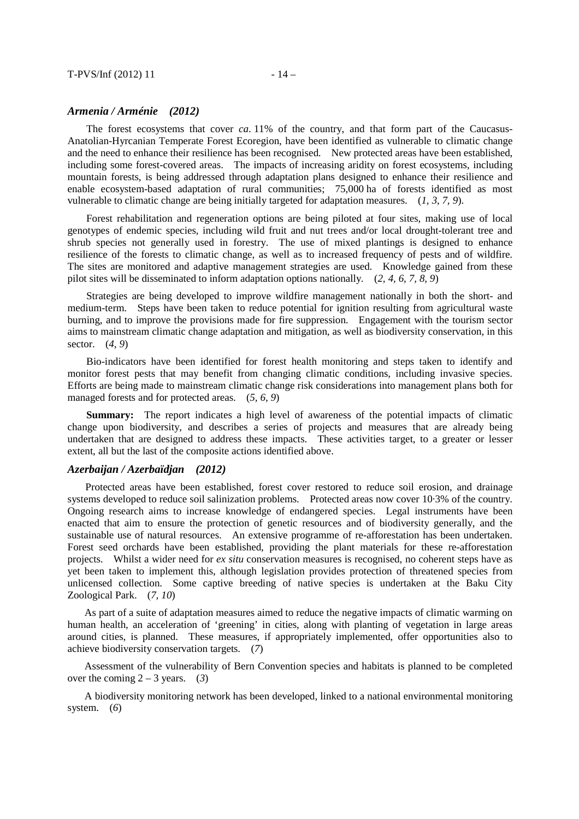# *Armenia / Arménie (2012)*

The forest ecosystems that cover *ca*. 11% of the country, and that form part of the Caucasus-Anatolian-Hyrcanian Temperate Forest Ecoregion, have been identified as vulnerable to climatic change and the need to enhance their resilience has been recognised. New protected areas have been established, including some forest-covered areas. The impacts of increasing aridity on forest ecosystems, including mountain forests, is being addressed through adaptation plans designed to enhance their resilience and enable ecosystem-based adaptation of rural communities; 75,000 ha of forests identified as most vulnerable to climatic change are being initially targeted for adaptation measures. (*1, 3, 7, 9*).

Forest rehabilitation and regeneration options are being piloted at four sites, making use of local genotypes of endemic species, including wild fruit and nut trees and/or local drought-tolerant tree and shrub species not generally used in forestry. The use of mixed plantings is designed to enhance resilience of the forests to climatic change, as well as to increased frequency of pests and of wildfire. The sites are monitored and adaptive management strategies are used. Knowledge gained from these pilot sites will be disseminated to inform adaptation options nationally. (*2, 4, 6, 7, 8, 9*)

Strategies are being developed to improve wildfire management nationally in both the short- and medium-term. Steps have been taken to reduce potential for ignition resulting from agricultural waste burning, and to improve the provisions made for fire suppression. Engagement with the tourism sector aims to mainstream climatic change adaptation and mitigation, as well as biodiversity conservation, in this sector. (*4, 9*)

Bio-indicators have been identified for forest health monitoring and steps taken to identify and monitor forest pests that may benefit from changing climatic conditions, including invasive species. Efforts are being made to mainstream climatic change risk considerations into management plans both for managed forests and for protected areas. (*5, 6, 9*)

**Summary:** The report indicates a high level of awareness of the potential impacts of climatic change upon biodiversity, and describes a series of projects and measures that are already being undertaken that are designed to address these impacts. These activities target, to a greater or lesser extent, all but the last of the composite actions identified above.

#### *Azerbaijan / Azerbaïdjan (2012)*

 Protected areas have been established, forest cover restored to reduce soil erosion, and drainage systems developed to reduce soil salinization problems. Protected areas now cover 10·3% of the country. Ongoing research aims to increase knowledge of endangered species. Legal instruments have been enacted that aim to ensure the protection of genetic resources and of biodiversity generally, and the sustainable use of natural resources. An extensive programme of re-afforestation has been undertaken. Forest seed orchards have been established, providing the plant materials for these re-afforestation projects. Whilst a wider need for *ex situ* conservation measures is recognised, no coherent steps have as yet been taken to implement this, although legislation provides protection of threatened species from unlicensed collection. Some captive breeding of native species is undertaken at the Baku City Zoological Park. (*7, 10*)

As part of a suite of adaptation measures aimed to reduce the negative impacts of climatic warming on human health, an acceleration of 'greening' in cities, along with planting of vegetation in large areas around cities, is planned. These measures, if appropriately implemented, offer opportunities also to achieve biodiversity conservation targets. (*7*)

Assessment of the vulnerability of Bern Convention species and habitats is planned to be completed over the coming  $2 - 3$  years. (3)

A biodiversity monitoring network has been developed, linked to a national environmental monitoring system. (*6*)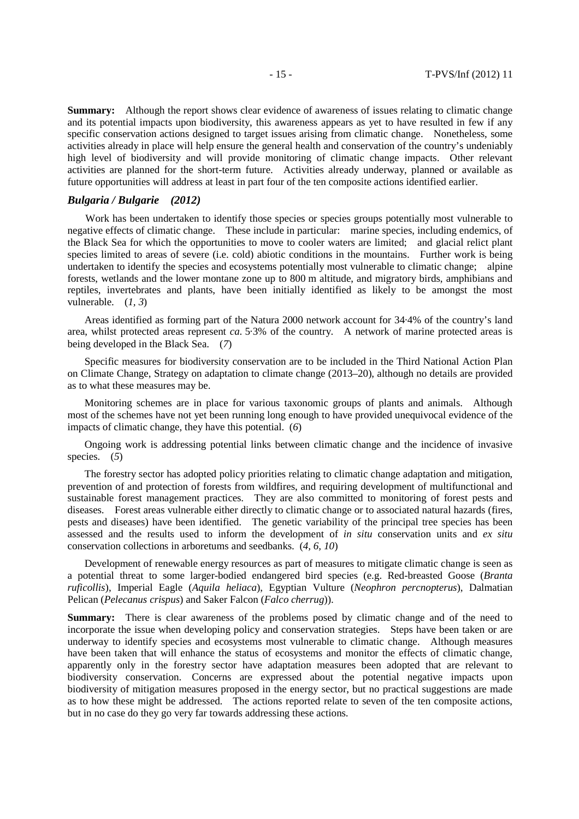**Summary:** Although the report shows clear evidence of awareness of issues relating to climatic change and its potential impacts upon biodiversity, this awareness appears as yet to have resulted in few if any specific conservation actions designed to target issues arising from climatic change. Nonetheless, some activities already in place will help ensure the general health and conservation of the country's undeniably high level of biodiversity and will provide monitoring of climatic change impacts. Other relevant activities are planned for the short-term future. Activities already underway, planned or available as future opportunities will address at least in part four of the ten composite actions identified earlier.

# *Bulgaria / Bulgarie (2012)*

 Work has been undertaken to identify those species or species groups potentially most vulnerable to negative effects of climatic change. These include in particular: marine species, including endemics, of the Black Sea for which the opportunities to move to cooler waters are limited; and glacial relict plant species limited to areas of severe (i.e. cold) abiotic conditions in the mountains. Further work is being undertaken to identify the species and ecosystems potentially most vulnerable to climatic change; alpine forests, wetlands and the lower montane zone up to 800 m altitude, and migratory birds, amphibians and reptiles, invertebrates and plants, have been initially identified as likely to be amongst the most vulnerable. (*1, 3*)

Areas identified as forming part of the Natura 2000 network account for 34·4% of the country's land area, whilst protected areas represent *ca*. 5·3% of the country. A network of marine protected areas is being developed in the Black Sea. (*7*)

Specific measures for biodiversity conservation are to be included in the Third National Action Plan on Climate Change, Strategy on adaptation to climate change (2013–20), although no details are provided as to what these measures may be.

Monitoring schemes are in place for various taxonomic groups of plants and animals. Although most of the schemes have not yet been running long enough to have provided unequivocal evidence of the impacts of climatic change, they have this potential. (*6*)

Ongoing work is addressing potential links between climatic change and the incidence of invasive species. (*5*)

The forestry sector has adopted policy priorities relating to climatic change adaptation and mitigation, prevention of and protection of forests from wildfires, and requiring development of multifunctional and sustainable forest management practices. They are also committed to monitoring of forest pests and diseases. Forest areas vulnerable either directly to climatic change or to associated natural hazards (fires, pests and diseases) have been identified. The genetic variability of the principal tree species has been assessed and the results used to inform the development of *in situ* conservation units and *ex situ* conservation collections in arboretums and seedbanks. (*4, 6, 10*)

Development of renewable energy resources as part of measures to mitigate climatic change is seen as a potential threat to some larger-bodied endangered bird species (e.g. Red-breasted Goose (*Branta ruficollis*), Imperial Eagle (*Aquila heliaca*), Egyptian Vulture (*Neophron percnopterus*), Dalmatian Pelican (*Pelecanus crispus*) and Saker Falcon (*Falco cherrug*)).

**Summary:** There is clear awareness of the problems posed by climatic change and of the need to incorporate the issue when developing policy and conservation strategies. Steps have been taken or are underway to identify species and ecosystems most vulnerable to climatic change. Although measures have been taken that will enhance the status of ecosystems and monitor the effects of climatic change, apparently only in the forestry sector have adaptation measures been adopted that are relevant to biodiversity conservation. Concerns are expressed about the potential negative impacts upon biodiversity of mitigation measures proposed in the energy sector, but no practical suggestions are made as to how these might be addressed. The actions reported relate to seven of the ten composite actions, but in no case do they go very far towards addressing these actions.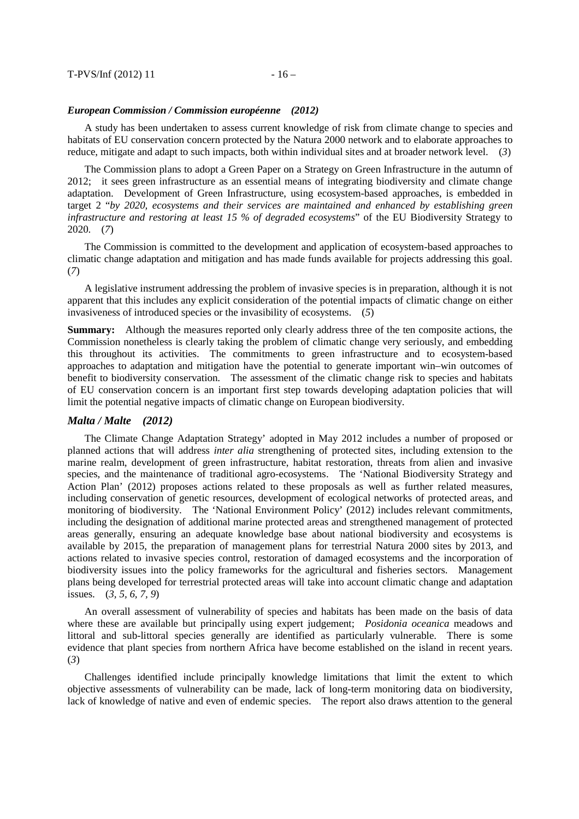#### *European Commission / Commission européenne (2012)*

A study has been undertaken to assess current knowledge of risk from climate change to species and habitats of EU conservation concern protected by the Natura 2000 network and to elaborate approaches to reduce, mitigate and adapt to such impacts, both within individual sites and at broader network level. (*3*)

The Commission plans to adopt a Green Paper on a Strategy on Green Infrastructure in the autumn of 2012; it sees green infrastructure as an essential means of integrating biodiversity and climate change adaptation. Development of Green Infrastructure, using ecosystem-based approaches, is embedded in target 2 "*by 2020, ecosystems and their services are maintained and enhanced by establishing green infrastructure and restoring at least 15 % of degraded ecosystems*" of the EU Biodiversity Strategy to 2020. (*7*)

The Commission is committed to the development and application of ecosystem-based approaches to climatic change adaptation and mitigation and has made funds available for projects addressing this goal. (*7*)

A legislative instrument addressing the problem of invasive species is in preparation, although it is not apparent that this includes any explicit consideration of the potential impacts of climatic change on either invasiveness of introduced species or the invasibility of ecosystems. (*5*)

**Summary:** Although the measures reported only clearly address three of the ten composite actions, the Commission nonetheless is clearly taking the problem of climatic change very seriously, and embedding this throughout its activities. The commitments to green infrastructure and to ecosystem-based approaches to adaptation and mitigation have the potential to generate important win–win outcomes of benefit to biodiversity conservation. The assessment of the climatic change risk to species and habitats of EU conservation concern is an important first step towards developing adaptation policies that will limit the potential negative impacts of climatic change on European biodiversity.

# *Malta / Malte (2012)*

The Climate Change Adaptation Strategy' adopted in May 2012 includes a number of proposed or planned actions that will address *inter alia* strengthening of protected sites, including extension to the marine realm, development of green infrastructure, habitat restoration, threats from alien and invasive species, and the maintenance of traditional agro-ecosystems. The 'National Biodiversity Strategy and Action Plan' (2012) proposes actions related to these proposals as well as further related measures, including conservation of genetic resources, development of ecological networks of protected areas, and monitoring of biodiversity. The 'National Environment Policy' (2012) includes relevant commitments, including the designation of additional marine protected areas and strengthened management of protected areas generally, ensuring an adequate knowledge base about national biodiversity and ecosystems is available by 2015, the preparation of management plans for terrestrial Natura 2000 sites by 2013, and actions related to invasive species control, restoration of damaged ecosystems and the incorporation of biodiversity issues into the policy frameworks for the agricultural and fisheries sectors. Management plans being developed for terrestrial protected areas will take into account climatic change and adaptation issues. (*3, 5, 6, 7, 9*)

An overall assessment of vulnerability of species and habitats has been made on the basis of data where these are available but principally using expert judgement; *Posidonia oceanica* meadows and littoral and sub-littoral species generally are identified as particularly vulnerable. There is some evidence that plant species from northern Africa have become established on the island in recent years. (*3*)

Challenges identified include principally knowledge limitations that limit the extent to which objective assessments of vulnerability can be made, lack of long-term monitoring data on biodiversity, lack of knowledge of native and even of endemic species. The report also draws attention to the general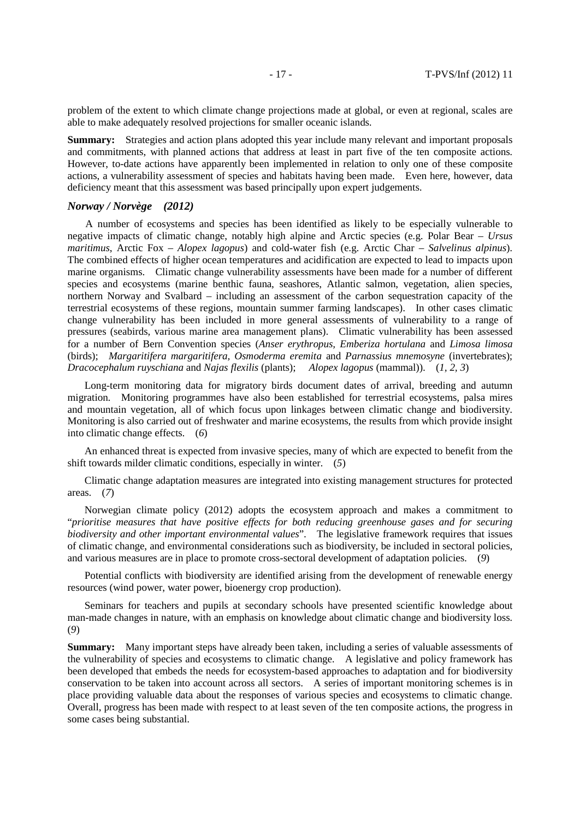problem of the extent to which climate change projections made at global, or even at regional, scales are able to make adequately resolved projections for smaller oceanic islands.

**Summary:** Strategies and action plans adopted this year include many relevant and important proposals and commitments, with planned actions that address at least in part five of the ten composite actions. However, to-date actions have apparently been implemented in relation to only one of these composite actions, a vulnerability assessment of species and habitats having been made. Even here, however, data deficiency meant that this assessment was based principally upon expert judgements.

#### *Norway / Norvège (2012)*

 A number of ecosystems and species has been identified as likely to be especially vulnerable to negative impacts of climatic change, notably high alpine and Arctic species (e.g. Polar Bear – *Ursus maritimus*, Arctic Fox – *Alopex lagopus*) and cold-water fish (e.g. Arctic Char – *Salvelinus alpinus*). The combined effects of higher ocean temperatures and acidification are expected to lead to impacts upon marine organisms. Climatic change vulnerability assessments have been made for a number of different species and ecosystems (marine benthic fauna, seashores, Atlantic salmon, vegetation, alien species, northern Norway and Svalbard – including an assessment of the carbon sequestration capacity of the terrestrial ecosystems of these regions, mountain summer farming landscapes). In other cases climatic change vulnerability has been included in more general assessments of vulnerability to a range of pressures (seabirds, various marine area management plans). Climatic vulnerability has been assessed for a number of Bern Convention species (*Anser erythropus, Emberiza hortulana* and *Limosa limosa* (birds); *Margaritifera margaritifera, Osmoderma eremita* and *Parnassius mnemosyne* (invertebrates); *Dracocephalum ruyschiana* and *Najas flexilis* (plants); *Alopex lagopus* (mammal)). (*1, 2, 3*)

Long-term monitoring data for migratory birds document dates of arrival, breeding and autumn migration. Monitoring programmes have also been established for terrestrial ecosystems, palsa mires and mountain vegetation, all of which focus upon linkages between climatic change and biodiversity. Monitoring is also carried out of freshwater and marine ecosystems, the results from which provide insight into climatic change effects. (*6*)

An enhanced threat is expected from invasive species, many of which are expected to benefit from the shift towards milder climatic conditions, especially in winter. (*5*)

Climatic change adaptation measures are integrated into existing management structures for protected areas. (*7*)

Norwegian climate policy (2012) adopts the ecosystem approach and makes a commitment to "*prioritise measures that have positive effects for both reducing greenhouse gases and for securing biodiversity and other important environmental values*". The legislative framework requires that issues of climatic change, and environmental considerations such as biodiversity, be included in sectoral policies, and various measures are in place to promote cross-sectoral development of adaptation policies. (*9*)

Potential conflicts with biodiversity are identified arising from the development of renewable energy resources (wind power, water power, bioenergy crop production).

Seminars for teachers and pupils at secondary schools have presented scientific knowledge about man-made changes in nature, with an emphasis on knowledge about climatic change and biodiversity loss. (*9*)

**Summary:** Many important steps have already been taken, including a series of valuable assessments of the vulnerability of species and ecosystems to climatic change. A legislative and policy framework has been developed that embeds the needs for ecosystem-based approaches to adaptation and for biodiversity conservation to be taken into account across all sectors. A series of important monitoring schemes is in place providing valuable data about the responses of various species and ecosystems to climatic change. Overall, progress has been made with respect to at least seven of the ten composite actions, the progress in some cases being substantial.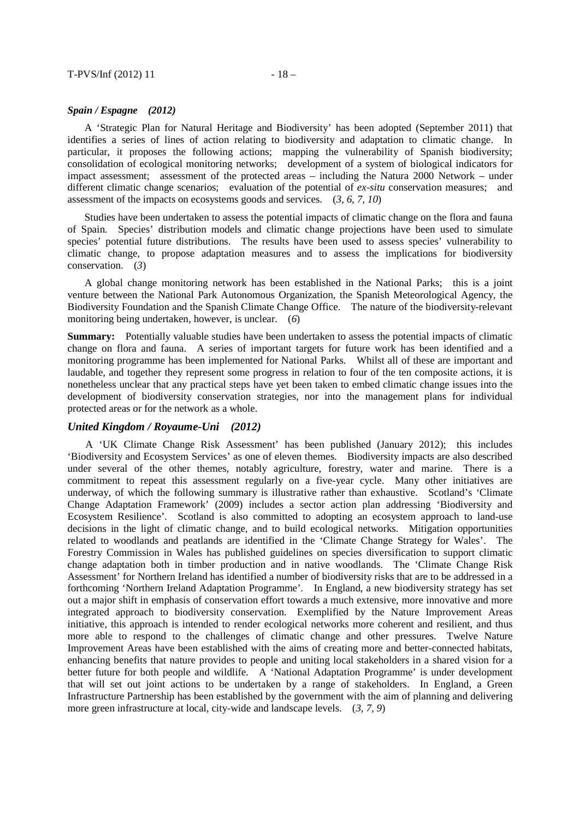#### *Spain / Espagne (2012)*

A 'Strategic Plan for Natural Heritage and Biodiversity' has been adopted (September 2011) that identifies a series of lines of action relating to biodiversity and adaptation to climatic change. In particular, it proposes the following actions; mapping the vulnerability of Spanish biodiversity; consolidation of ecological monitoring networks; development of a system of biological indicators for impact assessment; assessment of the protected areas – including the Natura 2000 Network – under different climatic change scenarios; evaluation of the potential of *ex-situ* conservation measures; and assessment of the impacts on ecosystems goods and services. (*3, 6, 7, 10*)

Studies have been undertaken to assess the potential impacts of climatic change on the flora and fauna of Spain. Species' distribution models and climatic change projections have been used to simulate species' potential future distributions. The results have been used to assess species' vulnerability to climatic change, to propose adaptation measures and to assess the implications for biodiversity conservation. (*3*)

A global change monitoring network has been established in the National Parks; this is a joint venture between the National Park Autonomous Organization, the Spanish Meteorological Agency, the Biodiversity Foundation and the Spanish Climate Change Office. The nature of the biodiversity-relevant monitoring being undertaken, however, is unclear. (*6*)

**Summary:** Potentially valuable studies have been undertaken to assess the potential impacts of climatic change on flora and fauna. A series of important targets for future work has been identified and a monitoring programme has been implemented for National Parks. Whilst all of these are important and laudable, and together they represent some progress in relation to four of the ten composite actions, it is nonetheless unclear that any practical steps have yet been taken to embed climatic change issues into the development of biodiversity conservation strategies, nor into the management plans for individual protected areas or for the network as a whole.

#### *United Kingdom / Royaume-Uni (2012)*

 A 'UK Climate Change Risk Assessment' has been published (January 2012); this includes 'Biodiversity and Ecosystem Services' as one of eleven themes. Biodiversity impacts are also described under several of the other themes, notably agriculture, forestry, water and marine. There is a commitment to repeat this assessment regularly on a five-year cycle. Many other initiatives are underway, of which the following summary is illustrative rather than exhaustive. Scotland's 'Climate Change Adaptation Framework' (2009) includes a sector action plan addressing 'Biodiversity and Ecosystem Resilience'. Scotland is also committed to adopting an ecosystem approach to land-use decisions in the light of climatic change, and to build ecological networks. Mitigation opportunities related to woodlands and peatlands are identified in the 'Climate Change Strategy for Wales'. The Forestry Commission in Wales has published guidelines on species diversification to support climatic change adaptation both in timber production and in native woodlands. The 'Climate Change Risk Assessment' for Northern Ireland has identified a number of biodiversity risks that are to be addressed in a forthcoming 'Northern Ireland Adaptation Programme'. In England, a new biodiversity strategy has set out a major shift in emphasis of conservation effort towards a much extensive, more innovative and more integrated approach to biodiversity conservation. Exemplified by the Nature Improvement Areas initiative, this approach is intended to render ecological networks more coherent and resilient, and thus more able to respond to the challenges of climatic change and other pressures. Twelve Nature Improvement Areas have been established with the aims of creating more and better-connected habitats, enhancing benefits that nature provides to people and uniting local stakeholders in a shared vision for a better future for both people and wildlife. A 'National Adaptation Programme' is under development that will set out joint actions to be undertaken by a range of stakeholders. In England, a Green Infrastructure Partnership has been established by the government with the aim of planning and delivering more green infrastructure at local, city-wide and landscape levels. (*3, 7, 9*)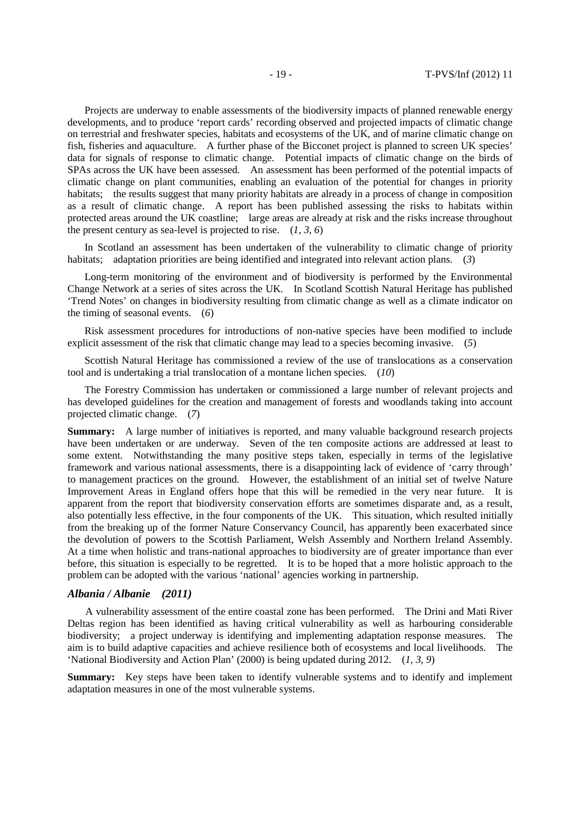Projects are underway to enable assessments of the biodiversity impacts of planned renewable energy developments, and to produce 'report cards' recording observed and projected impacts of climatic change on terrestrial and freshwater species, habitats and ecosystems of the UK, and of marine climatic change on fish, fisheries and aquaculture. A further phase of the Bicconet project is planned to screen UK species' data for signals of response to climatic change. Potential impacts of climatic change on the birds of SPAs across the UK have been assessed. An assessment has been performed of the potential impacts of climatic change on plant communities, enabling an evaluation of the potential for changes in priority habitats; the results suggest that many priority habitats are already in a process of change in composition as a result of climatic change. A report has been published assessing the risks to habitats within protected areas around the UK coastline; large areas are already at risk and the risks increase throughout the present century as sea-level is projected to rise. (*1, 3, 6*)

In Scotland an assessment has been undertaken of the vulnerability to climatic change of priority habitats; adaptation priorities are being identified and integrated into relevant action plans. (*3*)

Long-term monitoring of the environment and of biodiversity is performed by the Environmental Change Network at a series of sites across the UK. In Scotland Scottish Natural Heritage has published 'Trend Notes' on changes in biodiversity resulting from climatic change as well as a climate indicator on the timing of seasonal events. (*6*)

Risk assessment procedures for introductions of non-native species have been modified to include explicit assessment of the risk that climatic change may lead to a species becoming invasive. (*5*)

Scottish Natural Heritage has commissioned a review of the use of translocations as a conservation tool and is undertaking a trial translocation of a montane lichen species. (*10*)

The Forestry Commission has undertaken or commissioned a large number of relevant projects and has developed guidelines for the creation and management of forests and woodlands taking into account projected climatic change. (*7*)

**Summary:** A large number of initiatives is reported, and many valuable background research projects have been undertaken or are underway. Seven of the ten composite actions are addressed at least to some extent. Notwithstanding the many positive steps taken, especially in terms of the legislative framework and various national assessments, there is a disappointing lack of evidence of 'carry through' to management practices on the ground. However, the establishment of an initial set of twelve Nature Improvement Areas in England offers hope that this will be remedied in the very near future. It is apparent from the report that biodiversity conservation efforts are sometimes disparate and, as a result, also potentially less effective, in the four components of the UK. This situation, which resulted initially from the breaking up of the former Nature Conservancy Council, has apparently been exacerbated since the devolution of powers to the Scottish Parliament, Welsh Assembly and Northern Ireland Assembly. At a time when holistic and trans-national approaches to biodiversity are of greater importance than ever before, this situation is especially to be regretted. It is to be hoped that a more holistic approach to the problem can be adopted with the various 'national' agencies working in partnership.

# *Albania / Albanie (2011)*

 A vulnerability assessment of the entire coastal zone has been performed. The Drini and Mati River Deltas region has been identified as having critical vulnerability as well as harbouring considerable biodiversity; a project underway is identifying and implementing adaptation response measures. The aim is to build adaptive capacities and achieve resilience both of ecosystems and local livelihoods. The 'National Biodiversity and Action Plan' (2000) is being updated during 2012. (*1, 3, 9*)

**Summary:** Key steps have been taken to identify vulnerable systems and to identify and implement adaptation measures in one of the most vulnerable systems.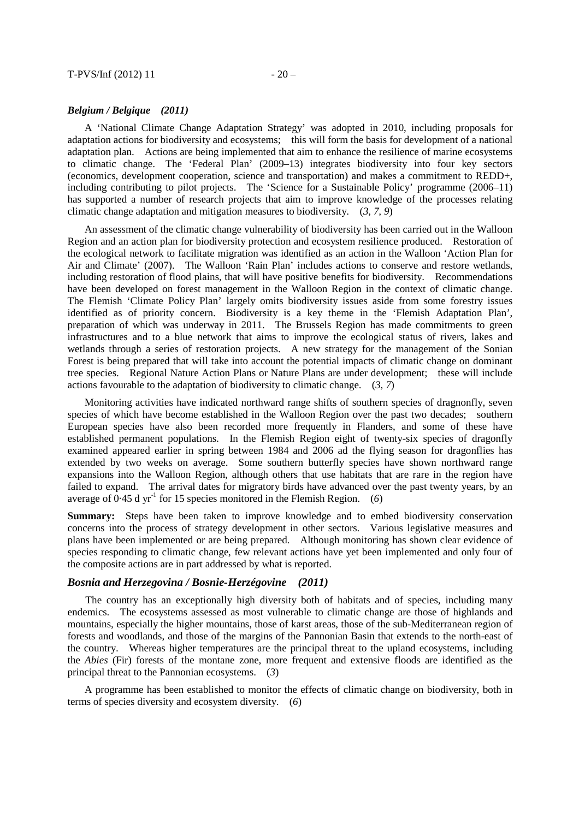# *Belgium / Belgique (2011)*

A 'National Climate Change Adaptation Strategy' was adopted in 2010, including proposals for adaptation actions for biodiversity and ecosystems; this will form the basis for development of a national adaptation plan. Actions are being implemented that aim to enhance the resilience of marine ecosystems to climatic change. The 'Federal Plan' (2009–13) integrates biodiversity into four key sectors (economics, development cooperation, science and transportation) and makes a commitment to REDD+, including contributing to pilot projects. The 'Science for a Sustainable Policy' programme (2006–11) has supported a number of research projects that aim to improve knowledge of the processes relating climatic change adaptation and mitigation measures to biodiversity. (*3, 7, 9*)

An assessment of the climatic change vulnerability of biodiversity has been carried out in the Walloon Region and an action plan for biodiversity protection and ecosystem resilience produced. Restoration of the ecological network to facilitate migration was identified as an action in the Walloon 'Action Plan for Air and Climate' (2007). The Walloon 'Rain Plan' includes actions to conserve and restore wetlands, including restoration of flood plains, that will have positive benefits for biodiversity. Recommendations have been developed on forest management in the Walloon Region in the context of climatic change. The Flemish 'Climate Policy Plan' largely omits biodiversity issues aside from some forestry issues identified as of priority concern. Biodiversity is a key theme in the 'Flemish Adaptation Plan', preparation of which was underway in 2011. The Brussels Region has made commitments to green infrastructures and to a blue network that aims to improve the ecological status of rivers, lakes and wetlands through a series of restoration projects. A new strategy for the management of the Sonian Forest is being prepared that will take into account the potential impacts of climatic change on dominant tree species. Regional Nature Action Plans or Nature Plans are under development; these will include actions favourable to the adaptation of biodiversity to climatic change. (*3, 7*)

Monitoring activities have indicated northward range shifts of southern species of dragnonfly, seven species of which have become established in the Walloon Region over the past two decades; southern European species have also been recorded more frequently in Flanders, and some of these have established permanent populations. In the Flemish Region eight of twenty-six species of dragonfly examined appeared earlier in spring between 1984 and 2006 ad the flying season for dragonflies has extended by two weeks on average. Some southern butterfly species have shown northward range expansions into the Walloon Region, although others that use habitats that are rare in the region have failed to expand. The arrival dates for migratory birds have advanced over the past twenty years, by an average of  $0.45$  d yr<sup>-1</sup> for 15 species monitored in the Flemish Region. (6)

**Summary:** Steps have been taken to improve knowledge and to embed biodiversity conservation concerns into the process of strategy development in other sectors. Various legislative measures and plans have been implemented or are being prepared. Although monitoring has shown clear evidence of species responding to climatic change, few relevant actions have yet been implemented and only four of the composite actions are in part addressed by what is reported.

#### *Bosnia and Herzegovina / Bosnie-Herzégovine (2011)*

 The country has an exceptionally high diversity both of habitats and of species, including many endemics. The ecosystems assessed as most vulnerable to climatic change are those of highlands and mountains, especially the higher mountains, those of karst areas, those of the sub-Mediterranean region of forests and woodlands, and those of the margins of the Pannonian Basin that extends to the north-east of the country. Whereas higher temperatures are the principal threat to the upland ecosystems, including the *Abies* (Fir) forests of the montane zone, more frequent and extensive floods are identified as the principal threat to the Pannonian ecosystems. (*3*)

A programme has been established to monitor the effects of climatic change on biodiversity, both in terms of species diversity and ecosystem diversity. (*6*)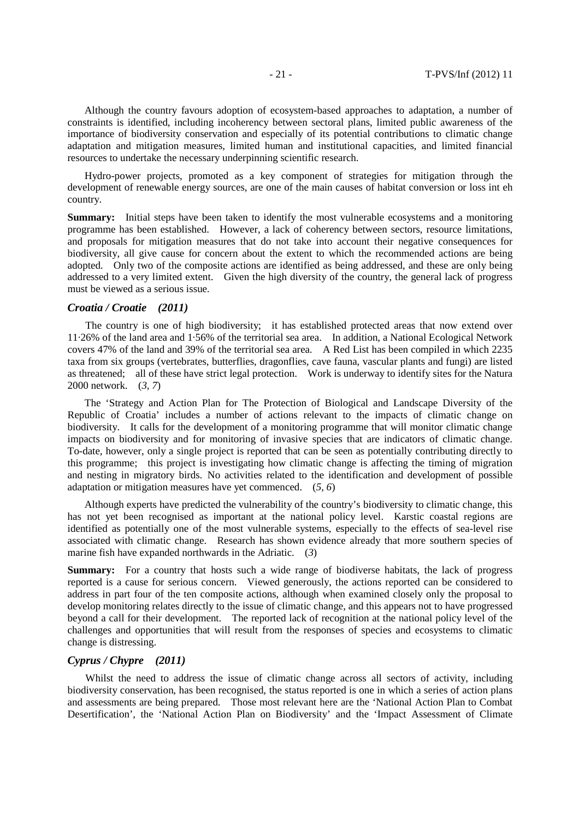Although the country favours adoption of ecosystem-based approaches to adaptation, a number of constraints is identified, including incoherency between sectoral plans, limited public awareness of the importance of biodiversity conservation and especially of its potential contributions to climatic change adaptation and mitigation measures, limited human and institutional capacities, and limited financial resources to undertake the necessary underpinning scientific research.

Hydro-power projects, promoted as a key component of strategies for mitigation through the development of renewable energy sources, are one of the main causes of habitat conversion or loss int eh country.

**Summary:** Initial steps have been taken to identify the most vulnerable ecosystems and a monitoring programme has been established. However, a lack of coherency between sectors, resource limitations, and proposals for mitigation measures that do not take into account their negative consequences for biodiversity, all give cause for concern about the extent to which the recommended actions are being adopted. Only two of the composite actions are identified as being addressed, and these are only being addressed to a very limited extent. Given the high diversity of the country, the general lack of progress must be viewed as a serious issue.

#### *Croatia / Croatie (2011)*

 The country is one of high biodiversity; it has established protected areas that now extend over 11·26% of the land area and 1·56% of the territorial sea area. In addition, a National Ecological Network covers 47% of the land and 39% of the territorial sea area. A Red List has been compiled in which 2235 taxa from six groups (vertebrates, butterflies, dragonflies, cave fauna, vascular plants and fungi) are listed as threatened; all of these have strict legal protection. Work is underway to identify sites for the Natura 2000 network. (*3, 7*)

The 'Strategy and Action Plan for The Protection of Biological and Landscape Diversity of the Republic of Croatia' includes a number of actions relevant to the impacts of climatic change on biodiversity. It calls for the development of a monitoring programme that will monitor climatic change impacts on biodiversity and for monitoring of invasive species that are indicators of climatic change. To-date, however, only a single project is reported that can be seen as potentially contributing directly to this programme; this project is investigating how climatic change is affecting the timing of migration and nesting in migratory birds. No activities related to the identification and development of possible adaptation or mitigation measures have yet commenced. (*5, 6*)

Although experts have predicted the vulnerability of the country's biodiversity to climatic change, this has not yet been recognised as important at the national policy level. Karstic coastal regions are identified as potentially one of the most vulnerable systems, especially to the effects of sea-level rise associated with climatic change. Research has shown evidence already that more southern species of marine fish have expanded northwards in the Adriatic. (*3*)

**Summary:** For a country that hosts such a wide range of biodiverse habitats, the lack of progress reported is a cause for serious concern. Viewed generously, the actions reported can be considered to address in part four of the ten composite actions, although when examined closely only the proposal to develop monitoring relates directly to the issue of climatic change, and this appears not to have progressed beyond a call for their development. The reported lack of recognition at the national policy level of the challenges and opportunities that will result from the responses of species and ecosystems to climatic change is distressing.

# *Cyprus / Chypre (2011)*

 Whilst the need to address the issue of climatic change across all sectors of activity, including biodiversity conservation, has been recognised, the status reported is one in which a series of action plans and assessments are being prepared. Those most relevant here are the 'National Action Plan to Combat Desertification', the 'National Action Plan on Biodiversity' and the 'Impact Assessment of Climate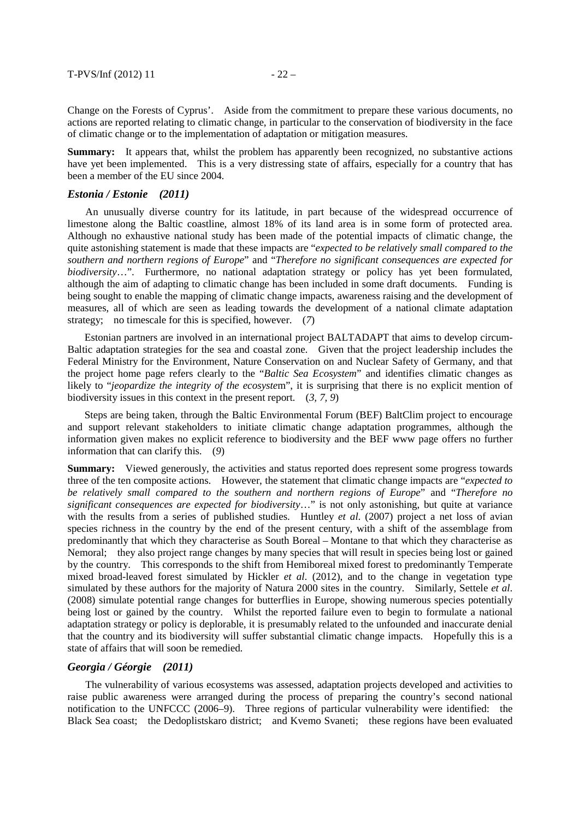Change on the Forests of Cyprus'. Aside from the commitment to prepare these various documents, no actions are reported relating to climatic change, in particular to the conservation of biodiversity in the face of climatic change or to the implementation of adaptation or mitigation measures.

**Summary:** It appears that, whilst the problem has apparently been recognized, no substantive actions have yet been implemented. This is a very distressing state of affairs, especially for a country that has been a member of the EU since 2004.

# *Estonia / Estonie (2011)*

 An unusually diverse country for its latitude, in part because of the widespread occurrence of limestone along the Baltic coastline, almost 18% of its land area is in some form of protected area. Although no exhaustive national study has been made of the potential impacts of climatic change, the quite astonishing statement is made that these impacts are "*expected to be relatively small compared to the southern and northern regions of Europe*" and "*Therefore no significant consequences are expected for biodiversity*…". Furthermore, no national adaptation strategy or policy has yet been formulated, although the aim of adapting to climatic change has been included in some draft documents. Funding is being sought to enable the mapping of climatic change impacts, awareness raising and the development of measures, all of which are seen as leading towards the development of a national climate adaptation strategy; no timescale for this is specified, however. (*7*)

Estonian partners are involved in an international project BALTADAPT that aims to develop circum-Baltic adaptation strategies for the sea and coastal zone. Given that the project leadership includes the Federal Ministry for the Environment, Nature Conservation on and Nuclear Safety of Germany, and that the project home page refers clearly to the "*Baltic Sea Ecosystem*" and identifies climatic changes as likely to "*jeopardize the integrity of the ecosyste*m", it is surprising that there is no explicit mention of biodiversity issues in this context in the present report. (*3, 7, 9*)

Steps are being taken, through the Baltic Environmental Forum (BEF) BaltClim project to encourage and support relevant stakeholders to initiate climatic change adaptation programmes, although the information given makes no explicit reference to biodiversity and the BEF www page offers no further information that can clarify this. (*9*)

**Summary:** Viewed generously, the activities and status reported does represent some progress towards three of the ten composite actions. However, the statement that climatic change impacts are "*expected to be relatively small compared to the southern and northern regions of Europe*" and "*Therefore no significant consequences are expected for biodiversity*…" is not only astonishing, but quite at variance with the results from a series of published studies. Huntley *et al.* (2007) project a net loss of avian species richness in the country by the end of the present century, with a shift of the assemblage from predominantly that which they characterise as South Boreal – Montane to that which they characterise as Nemoral; they also project range changes by many species that will result in species being lost or gained by the country. This corresponds to the shift from Hemiboreal mixed forest to predominantly Temperate mixed broad-leaved forest simulated by Hickler *et al*. (2012), and to the change in vegetation type simulated by these authors for the majority of Natura 2000 sites in the country. Similarly, Settele *et al*. (2008) simulate potential range changes for butterflies in Europe, showing numerous species potentially being lost or gained by the country. Whilst the reported failure even to begin to formulate a national adaptation strategy or policy is deplorable, it is presumably related to the unfounded and inaccurate denial that the country and its biodiversity will suffer substantial climatic change impacts. Hopefully this is a state of affairs that will soon be remedied.

# *Georgia / Géorgie (2011)*

 The vulnerability of various ecosystems was assessed, adaptation projects developed and activities to raise public awareness were arranged during the process of preparing the country's second national notification to the UNFCCC (2006–9). Three regions of particular vulnerability were identified: the Black Sea coast; the Dedoplistskaro district; and Kvemo Svaneti; these regions have been evaluated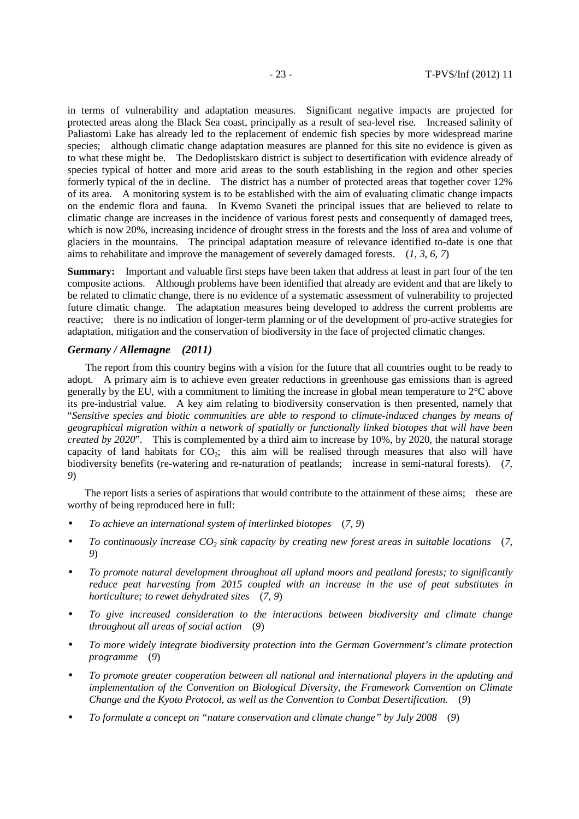in terms of vulnerability and adaptation measures. Significant negative impacts are projected for protected areas along the Black Sea coast, principally as a result of sea-level rise. Increased salinity of Paliastomi Lake has already led to the replacement of endemic fish species by more widespread marine species; although climatic change adaptation measures are planned for this site no evidence is given as to what these might be. The Dedoplistskaro district is subject to desertification with evidence already of species typical of hotter and more arid areas to the south establishing in the region and other species formerly typical of the in decline. The district has a number of protected areas that together cover 12% of its area. A monitoring system is to be established with the aim of evaluating climatic change impacts on the endemic flora and fauna. In Kvemo Svaneti the principal issues that are believed to relate to climatic change are increases in the incidence of various forest pests and consequently of damaged trees, which is now 20%, increasing incidence of drought stress in the forests and the loss of area and volume of glaciers in the mountains. The principal adaptation measure of relevance identified to-date is one that aims to rehabilitate and improve the management of severely damaged forests. (*1, 3, 6, 7*)

**Summary:** Important and valuable first steps have been taken that address at least in part four of the ten composite actions. Although problems have been identified that already are evident and that are likely to be related to climatic change, there is no evidence of a systematic assessment of vulnerability to projected future climatic change. The adaptation measures being developed to address the current problems are reactive; there is no indication of longer-term planning or of the development of pro-active strategies for adaptation, mitigation and the conservation of biodiversity in the face of projected climatic changes.

# *Germany / Allemagne (2011)*

 The report from this country begins with a vision for the future that all countries ought to be ready to adopt. A primary aim is to achieve even greater reductions in greenhouse gas emissions than is agreed generally by the EU, with a commitment to limiting the increase in global mean temperature to 2°C above its pre-industrial value. A key aim relating to biodiversity conservation is then presented, namely that "*Sensitive species and biotic communities are able to respond to climate-induced changes by means of geographical migration within a network of spatially or functionally linked biotopes that will have been created by 2020*". This is complemented by a third aim to increase by 10%, by 2020, the natural storage capacity of land habitats for  $CO<sub>2</sub>$ ; this aim will be realised through measures that also will have biodiversity benefits (re-watering and re-naturation of peatlands; increase in semi-natural forests). (*7, 9*)

The report lists a series of aspirations that would contribute to the attainment of these aims; these are worthy of being reproduced here in full:

- *To achieve an international system of interlinked biotopes* (*7, 9*)
- *To continuously increase CO2 sink capacity by creating new forest areas in suitable locations* (*7, 9*)
- *To promote natural development throughout all upland moors and peatland forests; to significantly reduce peat harvesting from 2015 coupled with an increase in the use of peat substitutes in horticulture; to rewet dehydrated sites* (*7, 9*)
- *To give increased consideration to the interactions between biodiversity and climate change throughout all areas of social action* (*9*)
- *To more widely integrate biodiversity protection into the German Government's climate protection programme* (*9*)
- *To promote greater cooperation between all national and international players in the updating and implementation of the Convention on Biological Diversity, the Framework Convention on Climate Change and the Kyoto Protocol, as well as the Convention to Combat Desertification.* (*9*)
- *To formulate a concept on "nature conservation and climate change" by July 2008* (*9*)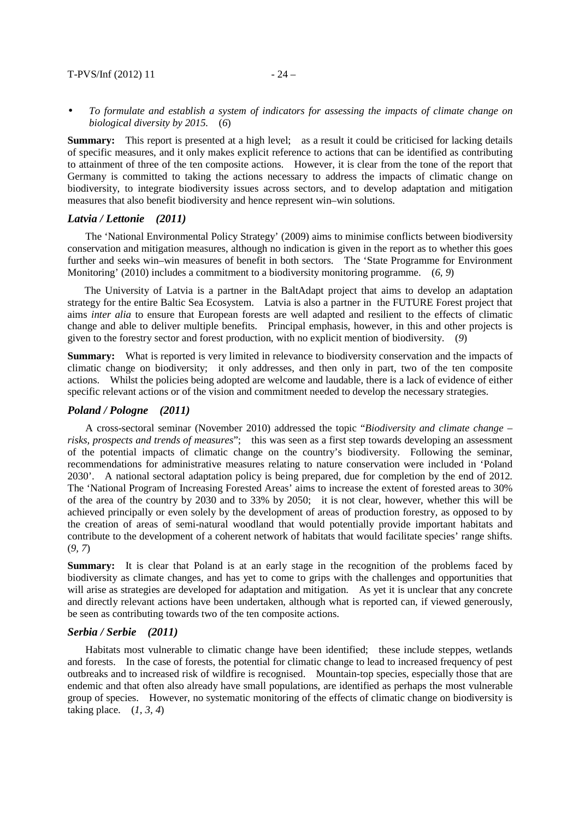• *To formulate and establish a system of indicators for assessing the impacts of climate change on biological diversity by 2015.* (*6*)

**Summary:** This report is presented at a high level; as a result it could be criticised for lacking details of specific measures, and it only makes explicit reference to actions that can be identified as contributing to attainment of three of the ten composite actions. However, it is clear from the tone of the report that Germany is committed to taking the actions necessary to address the impacts of climatic change on biodiversity, to integrate biodiversity issues across sectors, and to develop adaptation and mitigation measures that also benefit biodiversity and hence represent win–win solutions.

# *Latvia / Lettonie (2011)*

 The 'National Environmental Policy Strategy' (2009) aims to minimise conflicts between biodiversity conservation and mitigation measures, although no indication is given in the report as to whether this goes further and seeks win–win measures of benefit in both sectors. The 'State Programme for Environment Monitoring' (2010) includes a commitment to a biodiversity monitoring programme. (*6, 9*)

The University of Latvia is a partner in the BaltAdapt project that aims to develop an adaptation strategy for the entire Baltic Sea Ecosystem. Latvia is also a partner in the FUTURE Forest project that aims *inter alia* to ensure that European forests are well adapted and resilient to the effects of climatic change and able to deliver multiple benefits. Principal emphasis, however, in this and other projects is given to the forestry sector and forest production, with no explicit mention of biodiversity. (*9*)

**Summary:** What is reported is very limited in relevance to biodiversity conservation and the impacts of climatic change on biodiversity; it only addresses, and then only in part, two of the ten composite actions. Whilst the policies being adopted are welcome and laudable, there is a lack of evidence of either specific relevant actions or of the vision and commitment needed to develop the necessary strategies.

# *Poland / Pologne (2011)*

 A cross-sectoral seminar (November 2010) addressed the topic "*Biodiversity and climate change – risks, prospects and trends of measures*"; this was seen as a first step towards developing an assessment of the potential impacts of climatic change on the country's biodiversity. Following the seminar, recommendations for administrative measures relating to nature conservation were included in 'Poland 2030'. A national sectoral adaptation policy is being prepared, due for completion by the end of 2012. The 'National Program of Increasing Forested Areas' aims to increase the extent of forested areas to 30% of the area of the country by 2030 and to 33% by 2050; it is not clear, however, whether this will be achieved principally or even solely by the development of areas of production forestry, as opposed to by the creation of areas of semi-natural woodland that would potentially provide important habitats and contribute to the development of a coherent network of habitats that would facilitate species' range shifts. (*9, 7*)

**Summary:** It is clear that Poland is at an early stage in the recognition of the problems faced by biodiversity as climate changes, and has yet to come to grips with the challenges and opportunities that will arise as strategies are developed for adaptation and mitigation. As yet it is unclear that any concrete and directly relevant actions have been undertaken, although what is reported can, if viewed generously, be seen as contributing towards two of the ten composite actions.

#### *Serbia / Serbie (2011)*

 Habitats most vulnerable to climatic change have been identified; these include steppes, wetlands and forests. In the case of forests, the potential for climatic change to lead to increased frequency of pest outbreaks and to increased risk of wildfire is recognised. Mountain-top species, especially those that are endemic and that often also already have small populations, are identified as perhaps the most vulnerable group of species. However, no systematic monitoring of the effects of climatic change on biodiversity is taking place. (*1, 3, 4*)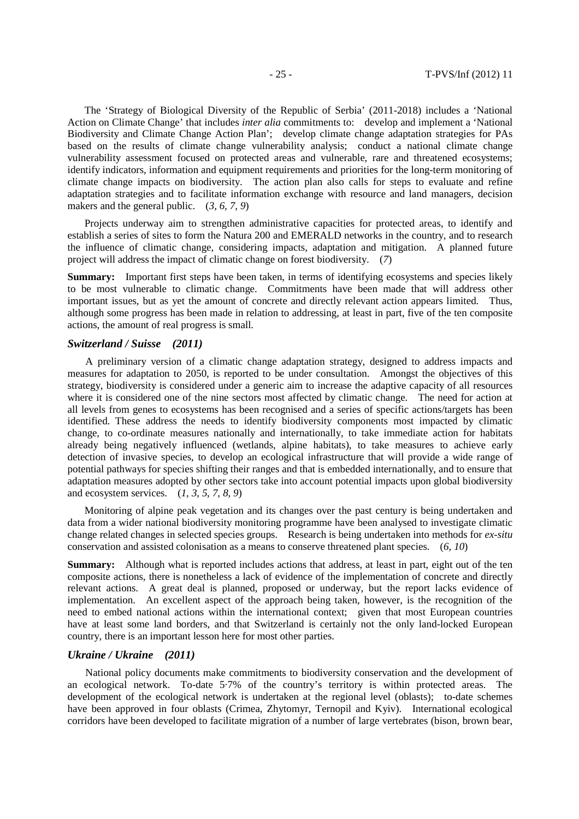The 'Strategy of Biological Diversity of the Republic of Serbia' (2011-2018) includes a 'National Action on Climate Change' that includes *inter alia* commitments to: develop and implement a 'National Biodiversity and Climate Change Action Plan'; develop climate change adaptation strategies for PAs based on the results of climate change vulnerability analysis; conduct a national climate change vulnerability assessment focused on protected areas and vulnerable, rare and threatened ecosystems; identify indicators, information and equipment requirements and priorities for the long-term monitoring of climate change impacts on biodiversity. The action plan also calls for steps to evaluate and refine adaptation strategies and to facilitate information exchange with resource and land managers, decision makers and the general public. (*3, 6, 7, 9*)

Projects underway aim to strengthen administrative capacities for protected areas, to identify and establish a series of sites to form the Natura 200 and EMERALD networks in the country, and to research the influence of climatic change, considering impacts, adaptation and mitigation. A planned future project will address the impact of climatic change on forest biodiversity. (*7*)

**Summary:** Important first steps have been taken, in terms of identifying ecosystems and species likely to be most vulnerable to climatic change. Commitments have been made that will address other important issues, but as yet the amount of concrete and directly relevant action appears limited. Thus, although some progress has been made in relation to addressing, at least in part, five of the ten composite actions, the amount of real progress is small.

### *Switzerland / Suisse (2011)*

 A preliminary version of a climatic change adaptation strategy, designed to address impacts and measures for adaptation to 2050, is reported to be under consultation. Amongst the objectives of this strategy, biodiversity is considered under a generic aim to increase the adaptive capacity of all resources where it is considered one of the nine sectors most affected by climatic change. The need for action at all levels from genes to ecosystems has been recognised and a series of specific actions/targets has been identified. These address the needs to identify biodiversity components most impacted by climatic change, to co-ordinate measures nationally and internationally, to take immediate action for habitats already being negatively influenced (wetlands, alpine habitats), to take measures to achieve early detection of invasive species, to develop an ecological infrastructure that will provide a wide range of potential pathways for species shifting their ranges and that is embedded internationally, and to ensure that adaptation measures adopted by other sectors take into account potential impacts upon global biodiversity and ecosystem services. (*1, 3, 5, 7, 8, 9*)

Monitoring of alpine peak vegetation and its changes over the past century is being undertaken and data from a wider national biodiversity monitoring programme have been analysed to investigate climatic change related changes in selected species groups. Research is being undertaken into methods for *ex-situ* conservation and assisted colonisation as a means to conserve threatened plant species. (*6, 10*)

**Summary:** Although what is reported includes actions that address, at least in part, eight out of the ten composite actions, there is nonetheless a lack of evidence of the implementation of concrete and directly relevant actions. A great deal is planned, proposed or underway, but the report lacks evidence of implementation. An excellent aspect of the approach being taken, however, is the recognition of the need to embed national actions within the international context; given that most European countries have at least some land borders, and that Switzerland is certainly not the only land-locked European country, there is an important lesson here for most other parties.

# *Ukraine / Ukraine (2011)*

 National policy documents make commitments to biodiversity conservation and the development of an ecological network. To-date 5·7% of the country's territory is within protected areas. The development of the ecological network is undertaken at the regional level (oblasts); to-date schemes have been approved in four oblasts (Crimea, Zhytomyr, Ternopil and Kyiv). International ecological corridors have been developed to facilitate migration of a number of large vertebrates (bison, brown bear,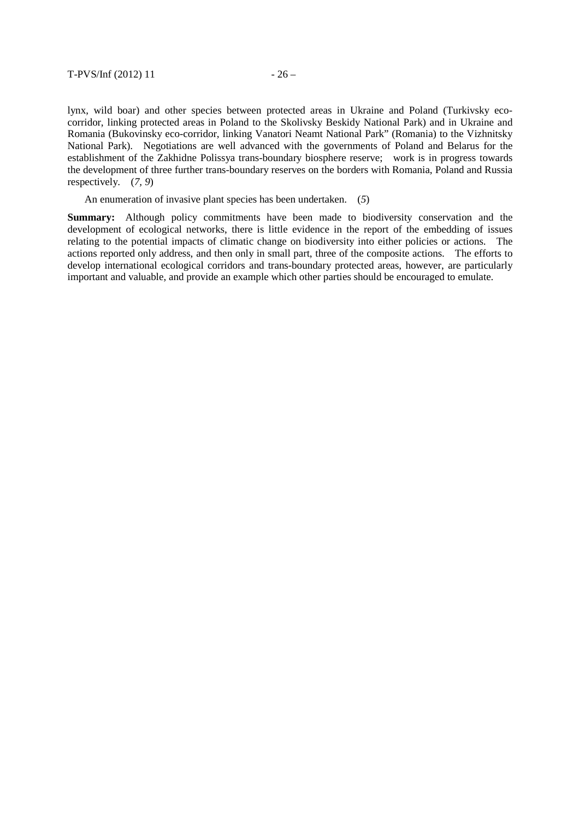lynx, wild boar) and other species between protected areas in Ukraine and Poland (Turkivsky ecocorridor, linking protected areas in Poland to the Skolivsky Beskidy National Park) and in Ukraine and Romania (Bukovinsky eco-corridor, linking Vanatori Neamt National Park" (Romania) to the Vizhnitsky National Park). Negotiations are well advanced with the governments of Poland and Belarus for the establishment of the Zakhidne Polissya trans-boundary biosphere reserve; work is in progress towards the development of three further trans-boundary reserves on the borders with Romania, Poland and Russia respectively. (*7, 9*)

An enumeration of invasive plant species has been undertaken. (*5*)

**Summary:** Although policy commitments have been made to biodiversity conservation and the development of ecological networks, there is little evidence in the report of the embedding of issues relating to the potential impacts of climatic change on biodiversity into either policies or actions. The actions reported only address, and then only in small part, three of the composite actions. The efforts to develop international ecological corridors and trans-boundary protected areas, however, are particularly important and valuable, and provide an example which other parties should be encouraged to emulate.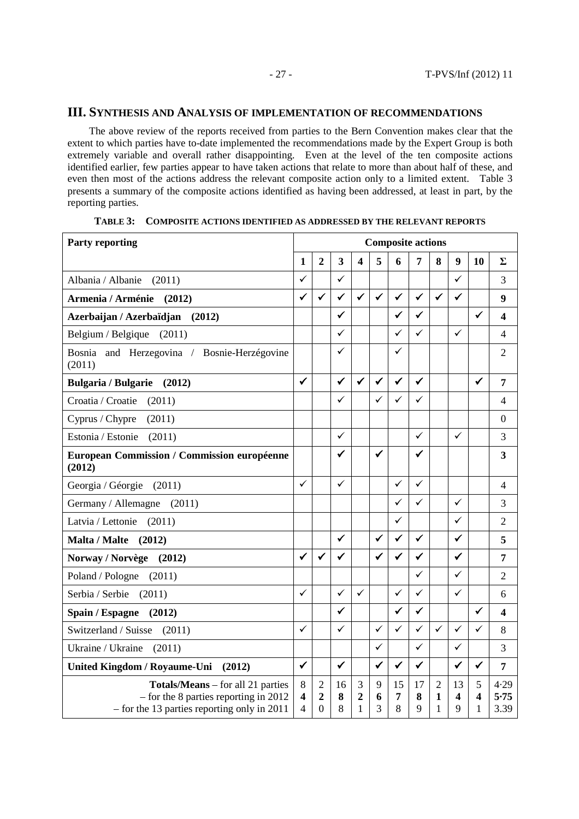# **III. SYNTHESIS AND ANALYSIS OF IMPLEMENTATION OF RECOMMENDATIONS**

The above review of the reports received from parties to the Bern Convention makes clear that the extent to which parties have to-date implemented the recommendations made by the Expert Group is both extremely variable and overall rather disappointing. Even at the level of the ten composite actions identified earlier, few parties appear to have taken actions that relate to more than about half of these, and even then most of the actions address the relevant composite action only to a limited extent. Table 3 presents a summary of the composite actions identified as having been addressed, at least in part, by the reporting parties.

| <b>Party reporting</b>                                                                                                               | <b>Composite actions</b> |                                              |              |                       |              |              |                        |                          |              |             |                         |
|--------------------------------------------------------------------------------------------------------------------------------------|--------------------------|----------------------------------------------|--------------|-----------------------|--------------|--------------|------------------------|--------------------------|--------------|-------------|-------------------------|
|                                                                                                                                      | 1                        | $\overline{2}$                               | 3            | $\boldsymbol{\Delta}$ | 5            | 6            | $\overline{7}$         | 8                        | 9            | 10          | $\Sigma$                |
| Albania / Albanie<br>(2011)                                                                                                          | ✓                        |                                              | ✓            |                       |              |              |                        |                          | ✓            |             | 3                       |
| Armenia / Arménie<br>(2012)                                                                                                          |                          | $\checkmark$                                 | $\checkmark$ | ✓                     | $\checkmark$ | ✓            | $\checkmark$           | ✓                        | ✔            |             | 9                       |
| Azerbaijan / Azerbaïdjan<br>(2012)                                                                                                   |                          |                                              | ✓            |                       |              | $\checkmark$ | $\checkmark$           |                          |              | ✓           | 4                       |
| Belgium / Belgique<br>(2011)                                                                                                         |                          |                                              | ✓            |                       |              | ✓            | ✓                      |                          | ✓            |             | 4                       |
| Bosnia and Herzegovina / Bosnie-Herzégovine<br>(2011)                                                                                |                          |                                              | ✓            |                       |              | ✓            |                        |                          |              |             | $\overline{2}$          |
| <b>Bulgaria / Bulgarie</b><br>(2012)                                                                                                 | ✔                        |                                              | ✓            | ✓                     | $\checkmark$ | ✔            | $\checkmark$           |                          |              | ✓           | $\overline{7}$          |
| Croatia / Croatie<br>(2011)                                                                                                          |                          |                                              | ✓            |                       | ✓            | ✓            | ✓                      |                          |              |             | $\overline{4}$          |
| Cyprus / Chypre<br>(2011)                                                                                                            |                          |                                              |              |                       |              |              |                        |                          |              |             | $\Omega$                |
| Estonia / Estonie<br>(2011)                                                                                                          |                          |                                              | ✓            |                       |              |              | ✓                      |                          | ✓            |             | 3                       |
| European Commission / Commission européenne<br>(2012)                                                                                |                          |                                              | ✓            |                       | ✓            |              | $\checkmark$           |                          |              |             | 3                       |
| Georgia / Géorgie<br>(2011)                                                                                                          | ✓                        |                                              | ✓            |                       |              | ✓            | ✓                      |                          |              |             | $\overline{4}$          |
| Germany / Allemagne<br>(2011)                                                                                                        |                          |                                              |              |                       |              | ✓            | ✓                      |                          | ✓            |             | 3                       |
| Latvia / Lettonie (2011)                                                                                                             |                          |                                              |              |                       |              | ✓            |                        |                          | ✓            |             | $\overline{2}$          |
| <b>Malta / Malte</b><br>(2012)                                                                                                       |                          |                                              | $\checkmark$ |                       | ✓            | ✓            | ✓                      |                          | ✔            |             | 5                       |
| Norway / Norvège<br>(2012)                                                                                                           | ✓                        | ✓                                            | ✓            |                       | ✓            | ✓            | $\checkmark$           |                          | ✓            |             | 7                       |
| Poland / Pologne<br>(2011)                                                                                                           |                          |                                              |              |                       |              |              | ✓                      |                          | ✓            |             | $\overline{2}$          |
| Serbia / Serbie<br>(2011)                                                                                                            | ✓                        |                                              | ✓            | ✓                     |              | ✓            | ✓                      |                          | $\checkmark$ |             | 6                       |
| Spain / Espagne<br>(2012)                                                                                                            |                          |                                              | ✓            |                       |              | ✓            | ✓                      |                          |              | ✓           | $\overline{\mathbf{4}}$ |
| Switzerland / Suisse<br>(2011)                                                                                                       | ✓                        |                                              | ✓            |                       | ✓            | ✓            | ✓                      | $\checkmark$             | ✓            | ✓           | 8                       |
| Ukraine / Ukraine<br>(2011)                                                                                                          |                          |                                              |              |                       | ✓            |              | ✓                      |                          | ✓            |             | 3                       |
| <b>United Kingdom / Royaume-Uni</b><br>(2012)                                                                                        |                          |                                              | ✔            |                       | ✓            | ✓            | ✓                      |                          | ✓            | ✓           | $\overline{7}$          |
| <b>Totals/Means</b> – for all 21 parties<br>$-$ for the 8 parties reporting in 2012<br>$-$ for the 13 parties reporting only in 2011 | 8<br>4<br>4              | $\overline{2}$<br>$\overline{2}$<br>$\Omega$ | 16<br>8<br>8 | 3<br>2<br>1           | 9<br>6<br>3  | 15<br>7<br>8 | 17<br>8<br>$\mathbf Q$ | $\overline{2}$<br>1<br>1 | 13<br>4<br>9 | 5<br>4<br>1 | 4.29<br>5.75<br>3.39    |

**TABLE 3: COMPOSITE ACTIONS IDENTIFIED AS ADDRESSED BY THE RELEVANT REPORTS**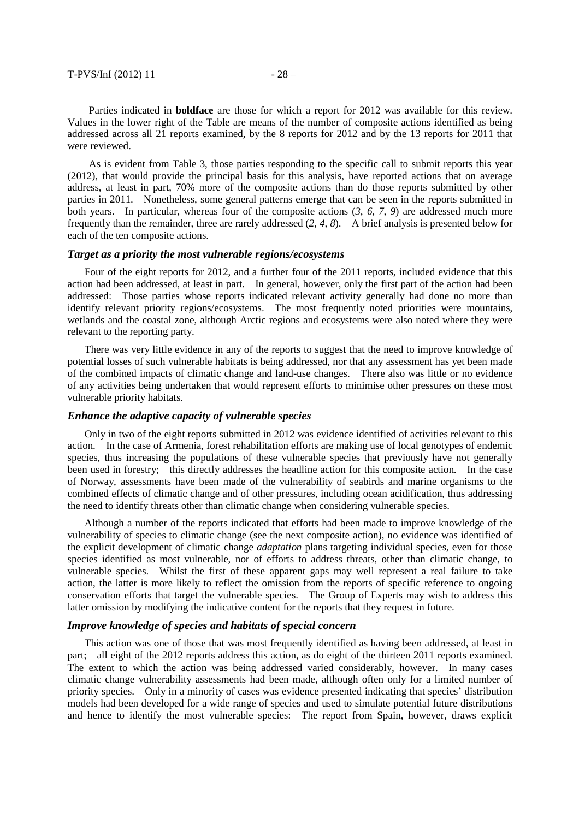Parties indicated in **boldface** are those for which a report for 2012 was available for this review. Values in the lower right of the Table are means of the number of composite actions identified as being addressed across all 21 reports examined, by the 8 reports for 2012 and by the 13 reports for 2011 that were reviewed.

As is evident from Table 3, those parties responding to the specific call to submit reports this year (2012), that would provide the principal basis for this analysis, have reported actions that on average address, at least in part, 70% more of the composite actions than do those reports submitted by other parties in 2011. Nonetheless, some general patterns emerge that can be seen in the reports submitted in both years. In particular, whereas four of the composite actions (*3, 6, 7, 9*) are addressed much more frequently than the remainder, three are rarely addressed (*2, 4, 8*). A brief analysis is presented below for each of the ten composite actions.

#### *Target as a priority the most vulnerable regions/ecosystems*

Four of the eight reports for 2012, and a further four of the 2011 reports, included evidence that this action had been addressed, at least in part. In general, however, only the first part of the action had been addressed: Those parties whose reports indicated relevant activity generally had done no more than identify relevant priority regions/ecosystems. The most frequently noted priorities were mountains, wetlands and the coastal zone, although Arctic regions and ecosystems were also noted where they were relevant to the reporting party.

There was very little evidence in any of the reports to suggest that the need to improve knowledge of potential losses of such vulnerable habitats is being addressed, nor that any assessment has yet been made of the combined impacts of climatic change and land-use changes. There also was little or no evidence of any activities being undertaken that would represent efforts to minimise other pressures on these most vulnerable priority habitats.

#### *Enhance the adaptive capacity of vulnerable species*

Only in two of the eight reports submitted in 2012 was evidence identified of activities relevant to this action. In the case of Armenia, forest rehabilitation efforts are making use of local genotypes of endemic species, thus increasing the populations of these vulnerable species that previously have not generally been used in forestry; this directly addresses the headline action for this composite action. In the case of Norway, assessments have been made of the vulnerability of seabirds and marine organisms to the combined effects of climatic change and of other pressures, including ocean acidification, thus addressing the need to identify threats other than climatic change when considering vulnerable species.

Although a number of the reports indicated that efforts had been made to improve knowledge of the vulnerability of species to climatic change (see the next composite action), no evidence was identified of the explicit development of climatic change *adaptation* plans targeting individual species, even for those species identified as most vulnerable, nor of efforts to address threats, other than climatic change, to vulnerable species. Whilst the first of these apparent gaps may well represent a real failure to take action, the latter is more likely to reflect the omission from the reports of specific reference to ongoing conservation efforts that target the vulnerable species. The Group of Experts may wish to address this latter omission by modifying the indicative content for the reports that they request in future.

#### *Improve knowledge of species and habitats of special concern*

This action was one of those that was most frequently identified as having been addressed, at least in part; all eight of the 2012 reports address this action, as do eight of the thirteen 2011 reports examined. The extent to which the action was being addressed varied considerably, however. In many cases climatic change vulnerability assessments had been made, although often only for a limited number of priority species. Only in a minority of cases was evidence presented indicating that species' distribution models had been developed for a wide range of species and used to simulate potential future distributions and hence to identify the most vulnerable species: The report from Spain, however, draws explicit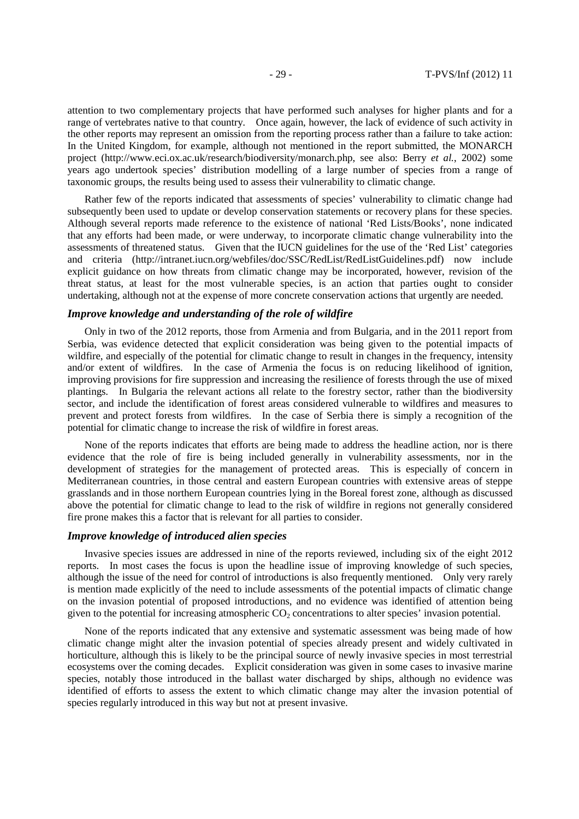attention to two complementary projects that have performed such analyses for higher plants and for a range of vertebrates native to that country. Once again, however, the lack of evidence of such activity in the other reports may represent an omission from the reporting process rather than a failure to take action: In the United Kingdom, for example, although not mentioned in the report submitted, the MONARCH project (http://www.eci.ox.ac.uk/research/biodiversity/monarch.php, see also: Berry *et al.*, 2002) some years ago undertook species' distribution modelling of a large number of species from a range of taxonomic groups, the results being used to assess their vulnerability to climatic change.

Rather few of the reports indicated that assessments of species' vulnerability to climatic change had subsequently been used to update or develop conservation statements or recovery plans for these species. Although several reports made reference to the existence of national 'Red Lists/Books', none indicated that any efforts had been made, or were underway, to incorporate climatic change vulnerability into the assessments of threatened status. Given that the IUCN guidelines for the use of the 'Red List' categories and criteria (http://intranet.iucn.org/webfiles/doc/SSC/RedList/RedListGuidelines.pdf) now include explicit guidance on how threats from climatic change may be incorporated, however, revision of the threat status, at least for the most vulnerable species, is an action that parties ought to consider undertaking, although not at the expense of more concrete conservation actions that urgently are needed.

#### *Improve knowledge and understanding of the role of wildfire*

Only in two of the 2012 reports, those from Armenia and from Bulgaria, and in the 2011 report from Serbia, was evidence detected that explicit consideration was being given to the potential impacts of wildfire, and especially of the potential for climatic change to result in changes in the frequency, intensity and/or extent of wildfires. In the case of Armenia the focus is on reducing likelihood of ignition, improving provisions for fire suppression and increasing the resilience of forests through the use of mixed plantings. In Bulgaria the relevant actions all relate to the forestry sector, rather than the biodiversity sector, and include the identification of forest areas considered vulnerable to wildfires and measures to prevent and protect forests from wildfires. In the case of Serbia there is simply a recognition of the potential for climatic change to increase the risk of wildfire in forest areas.

None of the reports indicates that efforts are being made to address the headline action, nor is there evidence that the role of fire is being included generally in vulnerability assessments, nor in the development of strategies for the management of protected areas. This is especially of concern in Mediterranean countries, in those central and eastern European countries with extensive areas of steppe grasslands and in those northern European countries lying in the Boreal forest zone, although as discussed above the potential for climatic change to lead to the risk of wildfire in regions not generally considered fire prone makes this a factor that is relevant for all parties to consider.

#### *Improve knowledge of introduced alien species*

Invasive species issues are addressed in nine of the reports reviewed, including six of the eight 2012 reports. In most cases the focus is upon the headline issue of improving knowledge of such species, although the issue of the need for control of introductions is also frequently mentioned. Only very rarely is mention made explicitly of the need to include assessments of the potential impacts of climatic change on the invasion potential of proposed introductions, and no evidence was identified of attention being given to the potential for increasing atmospheric  $CO<sub>2</sub>$  concentrations to alter species' invasion potential.

None of the reports indicated that any extensive and systematic assessment was being made of how climatic change might alter the invasion potential of species already present and widely cultivated in horticulture, although this is likely to be the principal source of newly invasive species in most terrestrial ecosystems over the coming decades. Explicit consideration was given in some cases to invasive marine species, notably those introduced in the ballast water discharged by ships, although no evidence was identified of efforts to assess the extent to which climatic change may alter the invasion potential of species regularly introduced in this way but not at present invasive.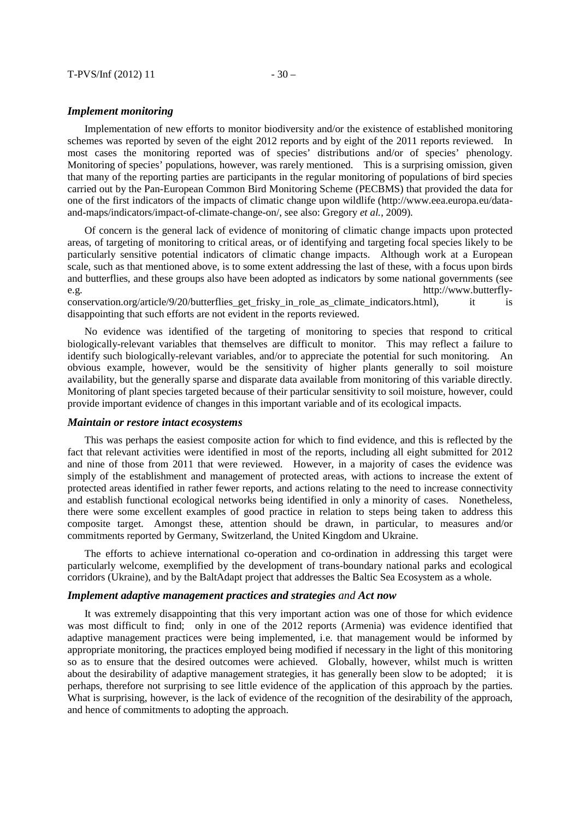# *Implement monitoring*

Implementation of new efforts to monitor biodiversity and/or the existence of established monitoring schemes was reported by seven of the eight 2012 reports and by eight of the 2011 reports reviewed. In most cases the monitoring reported was of species' distributions and/or of species' phenology. Monitoring of species' populations, however, was rarely mentioned. This is a surprising omission, given that many of the reporting parties are participants in the regular monitoring of populations of bird species carried out by the Pan-European Common Bird Monitoring Scheme (PECBMS) that provided the data for one of the first indicators of the impacts of climatic change upon wildlife (http://www.eea.europa.eu/dataand-maps/indicators/impact-of-climate-change-on/, see also: Gregory *et al.*, 2009).

Of concern is the general lack of evidence of monitoring of climatic change impacts upon protected areas, of targeting of monitoring to critical areas, or of identifying and targeting focal species likely to be particularly sensitive potential indicators of climatic change impacts. Although work at a European scale, such as that mentioned above, is to some extent addressing the last of these, with a focus upon birds and butterflies, and these groups also have been adopted as indicators by some national governments (see e.g. http://www.butterfly-

conservation.org/article/9/20/butterflies\_get\_frisky\_in\_role\_as\_climate\_indicators.html), it is disappointing that such efforts are not evident in the reports reviewed.

No evidence was identified of the targeting of monitoring to species that respond to critical biologically-relevant variables that themselves are difficult to monitor. This may reflect a failure to identify such biologically-relevant variables, and/or to appreciate the potential for such monitoring. An obvious example, however, would be the sensitivity of higher plants generally to soil moisture availability, but the generally sparse and disparate data available from monitoring of this variable directly. Monitoring of plant species targeted because of their particular sensitivity to soil moisture, however, could provide important evidence of changes in this important variable and of its ecological impacts.

#### *Maintain or restore intact ecosystems*

This was perhaps the easiest composite action for which to find evidence, and this is reflected by the fact that relevant activities were identified in most of the reports, including all eight submitted for 2012 and nine of those from 2011 that were reviewed. However, in a majority of cases the evidence was simply of the establishment and management of protected areas, with actions to increase the extent of protected areas identified in rather fewer reports, and actions relating to the need to increase connectivity and establish functional ecological networks being identified in only a minority of cases. Nonetheless, there were some excellent examples of good practice in relation to steps being taken to address this composite target. Amongst these, attention should be drawn, in particular, to measures and/or commitments reported by Germany, Switzerland, the United Kingdom and Ukraine.

The efforts to achieve international co-operation and co-ordination in addressing this target were particularly welcome, exemplified by the development of trans-boundary national parks and ecological corridors (Ukraine), and by the BaltAdapt project that addresses the Baltic Sea Ecosystem as a whole.

#### *Implement adaptive management practices and strategies and Act now*

It was extremely disappointing that this very important action was one of those for which evidence was most difficult to find; only in one of the 2012 reports (Armenia) was evidence identified that adaptive management practices were being implemented, i.e. that management would be informed by appropriate monitoring, the practices employed being modified if necessary in the light of this monitoring so as to ensure that the desired outcomes were achieved. Globally, however, whilst much is written about the desirability of adaptive management strategies, it has generally been slow to be adopted; it is perhaps, therefore not surprising to see little evidence of the application of this approach by the parties. What is surprising, however, is the lack of evidence of the recognition of the desirability of the approach, and hence of commitments to adopting the approach.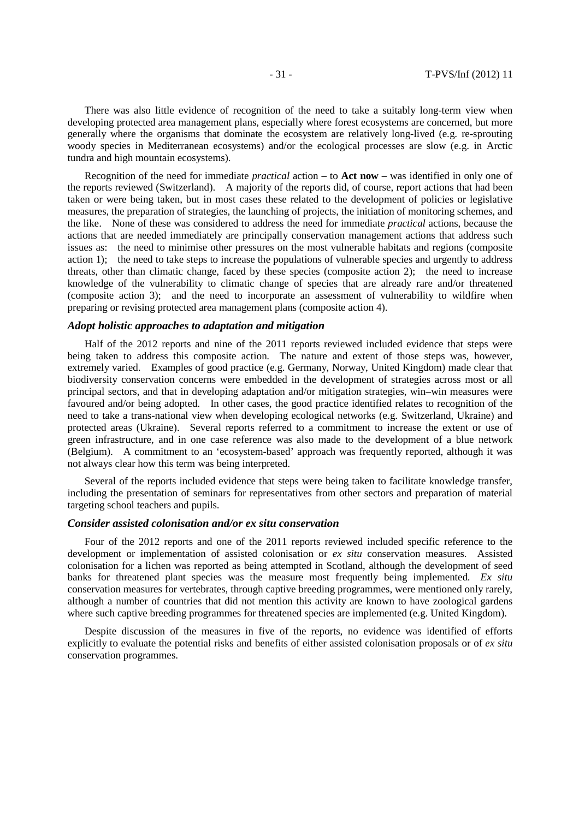There was also little evidence of recognition of the need to take a suitably long-term view when developing protected area management plans, especially where forest ecosystems are concerned, but more generally where the organisms that dominate the ecosystem are relatively long-lived (e.g. re-sprouting woody species in Mediterranean ecosystems) and/or the ecological processes are slow (e.g. in Arctic tundra and high mountain ecosystems).

Recognition of the need for immediate *practical* action – to **Act now** – was identified in only one of the reports reviewed (Switzerland). A majority of the reports did, of course, report actions that had been taken or were being taken, but in most cases these related to the development of policies or legislative measures, the preparation of strategies, the launching of projects, the initiation of monitoring schemes, and the like. None of these was considered to address the need for immediate *practical* actions, because the actions that are needed immediately are principally conservation management actions that address such issues as: the need to minimise other pressures on the most vulnerable habitats and regions (composite action 1); the need to take steps to increase the populations of vulnerable species and urgently to address threats, other than climatic change, faced by these species (composite action 2); the need to increase knowledge of the vulnerability to climatic change of species that are already rare and/or threatened (composite action 3); and the need to incorporate an assessment of vulnerability to wildfire when preparing or revising protected area management plans (composite action 4).

#### *Adopt holistic approaches to adaptation and mitigation*

Half of the 2012 reports and nine of the 2011 reports reviewed included evidence that steps were being taken to address this composite action. The nature and extent of those steps was, however, extremely varied. Examples of good practice (e.g. Germany, Norway, United Kingdom) made clear that biodiversity conservation concerns were embedded in the development of strategies across most or all principal sectors, and that in developing adaptation and/or mitigation strategies, win–win measures were favoured and/or being adopted. In other cases, the good practice identified relates to recognition of the need to take a trans-national view when developing ecological networks (e.g. Switzerland, Ukraine) and protected areas (Ukraine). Several reports referred to a commitment to increase the extent or use of green infrastructure, and in one case reference was also made to the development of a blue network (Belgium). A commitment to an 'ecosystem-based' approach was frequently reported, although it was not always clear how this term was being interpreted.

Several of the reports included evidence that steps were being taken to facilitate knowledge transfer, including the presentation of seminars for representatives from other sectors and preparation of material targeting school teachers and pupils.

#### *Consider assisted colonisation and/or ex situ conservation*

Four of the 2012 reports and one of the 2011 reports reviewed included specific reference to the development or implementation of assisted colonisation or *ex situ* conservation measures. Assisted colonisation for a lichen was reported as being attempted in Scotland, although the development of seed banks for threatened plant species was the measure most frequently being implemented. *Ex situ* conservation measures for vertebrates, through captive breeding programmes, were mentioned only rarely, although a number of countries that did not mention this activity are known to have zoological gardens where such captive breeding programmes for threatened species are implemented (e.g. United Kingdom).

Despite discussion of the measures in five of the reports, no evidence was identified of efforts explicitly to evaluate the potential risks and benefits of either assisted colonisation proposals or of *ex situ* conservation programmes.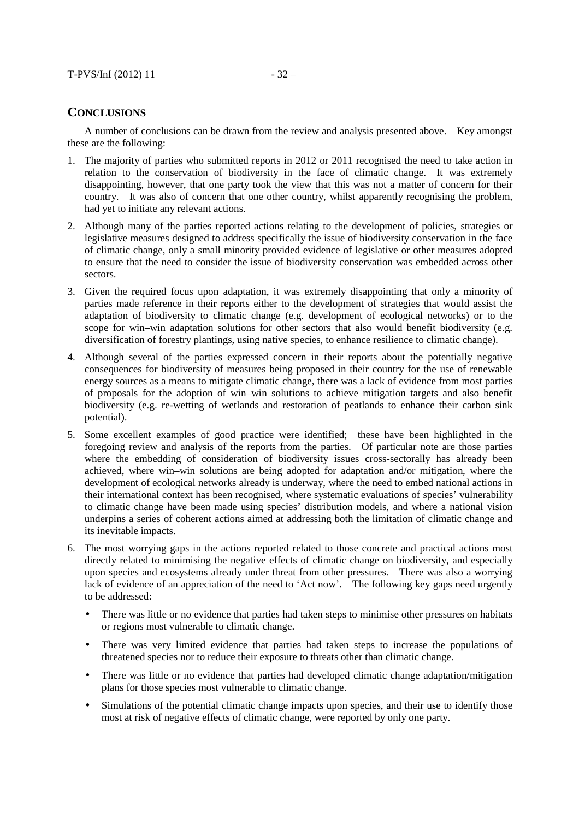# **CONCLUSIONS**

A number of conclusions can be drawn from the review and analysis presented above. Key amongst these are the following:

- 1. The majority of parties who submitted reports in 2012 or 2011 recognised the need to take action in relation to the conservation of biodiversity in the face of climatic change. It was extremely disappointing, however, that one party took the view that this was not a matter of concern for their country. It was also of concern that one other country, whilst apparently recognising the problem, had yet to initiate any relevant actions.
- 2. Although many of the parties reported actions relating to the development of policies, strategies or legislative measures designed to address specifically the issue of biodiversity conservation in the face of climatic change, only a small minority provided evidence of legislative or other measures adopted to ensure that the need to consider the issue of biodiversity conservation was embedded across other sectors.
- 3. Given the required focus upon adaptation, it was extremely disappointing that only a minority of parties made reference in their reports either to the development of strategies that would assist the adaptation of biodiversity to climatic change (e.g. development of ecological networks) or to the scope for win–win adaptation solutions for other sectors that also would benefit biodiversity (e.g. diversification of forestry plantings, using native species, to enhance resilience to climatic change).
- 4. Although several of the parties expressed concern in their reports about the potentially negative consequences for biodiversity of measures being proposed in their country for the use of renewable energy sources as a means to mitigate climatic change, there was a lack of evidence from most parties of proposals for the adoption of win–win solutions to achieve mitigation targets and also benefit biodiversity (e.g. re-wetting of wetlands and restoration of peatlands to enhance their carbon sink potential).
- 5. Some excellent examples of good practice were identified; these have been highlighted in the foregoing review and analysis of the reports from the parties. Of particular note are those parties where the embedding of consideration of biodiversity issues cross-sectorally has already been achieved, where win–win solutions are being adopted for adaptation and/or mitigation, where the development of ecological networks already is underway, where the need to embed national actions in their international context has been recognised, where systematic evaluations of species' vulnerability to climatic change have been made using species' distribution models, and where a national vision underpins a series of coherent actions aimed at addressing both the limitation of climatic change and its inevitable impacts.
- 6. The most worrying gaps in the actions reported related to those concrete and practical actions most directly related to minimising the negative effects of climatic change on biodiversity, and especially upon species and ecosystems already under threat from other pressures. There was also a worrying lack of evidence of an appreciation of the need to 'Act now'. The following key gaps need urgently to be addressed:
	- There was little or no evidence that parties had taken steps to minimise other pressures on habitats or regions most vulnerable to climatic change.
	- There was very limited evidence that parties had taken steps to increase the populations of threatened species nor to reduce their exposure to threats other than climatic change.
	- There was little or no evidence that parties had developed climatic change adaptation/mitigation plans for those species most vulnerable to climatic change.
	- Simulations of the potential climatic change impacts upon species, and their use to identify those most at risk of negative effects of climatic change, were reported by only one party.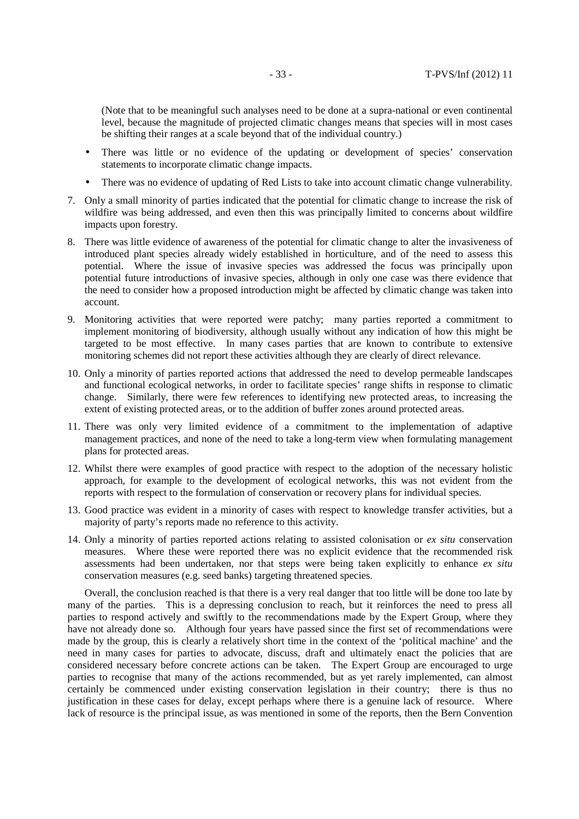(Note that to be meaningful such analyses need to be done at a supra-national or even continental level, because the magnitude of projected climatic changes means that species will in most cases be shifting their ranges at a scale beyond that of the individual country.)

- There was little or no evidence of the updating or development of species' conservation statements to incorporate climatic change impacts.
- There was no evidence of updating of Red Lists to take into account climatic change vulnerability.
- 7. Only a small minority of parties indicated that the potential for climatic change to increase the risk of wildfire was being addressed, and even then this was principally limited to concerns about wildfire impacts upon forestry.
- 8. There was little evidence of awareness of the potential for climatic change to alter the invasiveness of introduced plant species already widely established in horticulture, and of the need to assess this potential. Where the issue of invasive species was addressed the focus was principally upon potential future introductions of invasive species, although in only one case was there evidence that the need to consider how a proposed introduction might be affected by climatic change was taken into account.
- 9. Monitoring activities that were reported were patchy; many parties reported a commitment to implement monitoring of biodiversity, although usually without any indication of how this might be targeted to be most effective. In many cases parties that are known to contribute to extensive monitoring schemes did not report these activities although they are clearly of direct relevance.
- 10. Only a minority of parties reported actions that addressed the need to develop permeable landscapes and functional ecological networks, in order to facilitate species' range shifts in response to climatic change. Similarly, there were few references to identifying new protected areas, to increasing the extent of existing protected areas, or to the addition of buffer zones around protected areas.
- 11. There was only very limited evidence of a commitment to the implementation of adaptive management practices, and none of the need to take a long-term view when formulating management plans for protected areas.
- 12. Whilst there were examples of good practice with respect to the adoption of the necessary holistic approach, for example to the development of ecological networks, this was not evident from the reports with respect to the formulation of conservation or recovery plans for individual species.
- 13. Good practice was evident in a minority of cases with respect to knowledge transfer activities, but a majority of party's reports made no reference to this activity.
- 14. Only a minority of parties reported actions relating to assisted colonisation or *ex situ* conservation measures. Where these were reported there was no explicit evidence that the recommended risk assessments had been undertaken, nor that steps were being taken explicitly to enhance *ex situ* conservation measures (e.g. seed banks) targeting threatened species.

Overall, the conclusion reached is that there is a very real danger that too little will be done too late by many of the parties. This is a depressing conclusion to reach, but it reinforces the need to press all parties to respond actively and swiftly to the recommendations made by the Expert Group, where they have not already done so. Although four years have passed since the first set of recommendations were made by the group, this is clearly a relatively short time in the context of the 'political machine' and the need in many cases for parties to advocate, discuss, draft and ultimately enact the policies that are considered necessary before concrete actions can be taken. The Expert Group are encouraged to urge parties to recognise that many of the actions recommended, but as yet rarely implemented, can almost certainly be commenced under existing conservation legislation in their country; there is thus no justification in these cases for delay, except perhaps where there is a genuine lack of resource. Where lack of resource is the principal issue, as was mentioned in some of the reports, then the Bern Convention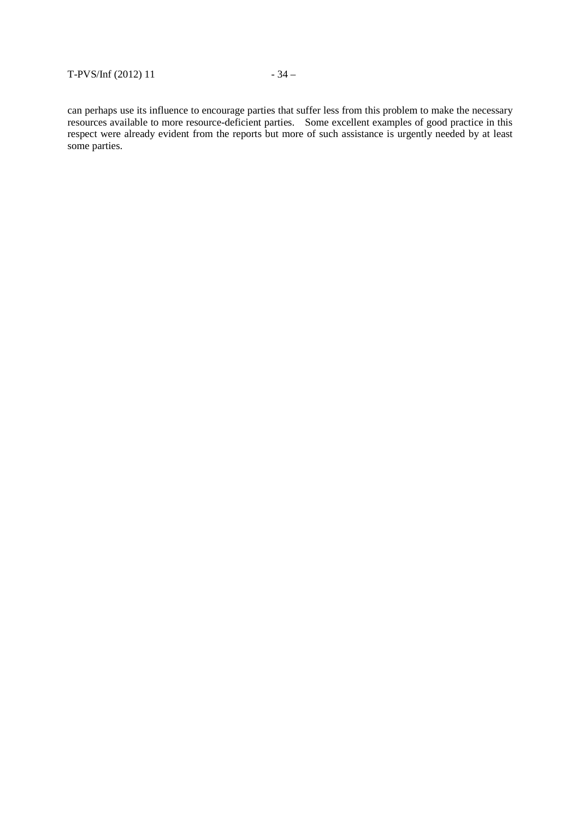can perhaps use its influence to encourage parties that suffer less from this problem to make the necessary resources available to more resource-deficient parties. Some excellent examples of good practice in this respect were already evident from the reports but more of such assistance is urgently needed by at least some parties.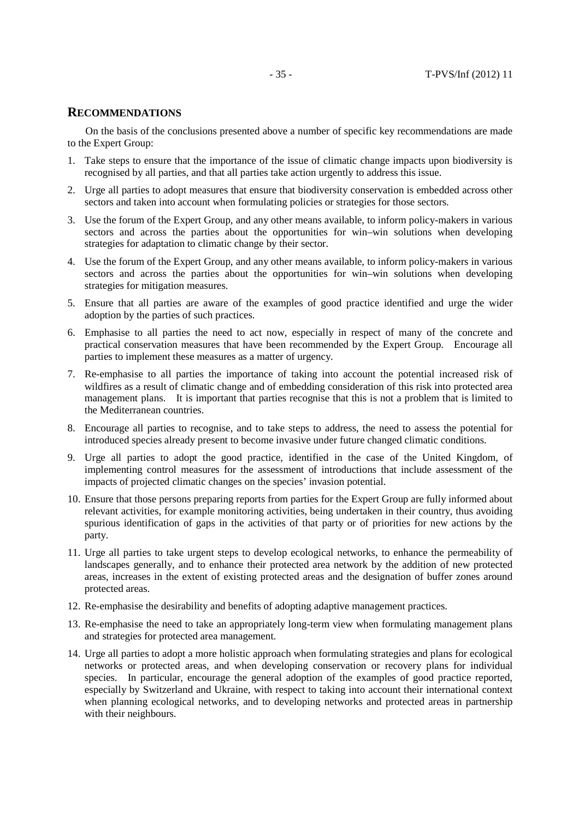# **RECOMMENDATIONS**

 On the basis of the conclusions presented above a number of specific key recommendations are made to the Expert Group:

- 1. Take steps to ensure that the importance of the issue of climatic change impacts upon biodiversity is recognised by all parties, and that all parties take action urgently to address this issue.
- 2. Urge all parties to adopt measures that ensure that biodiversity conservation is embedded across other sectors and taken into account when formulating policies or strategies for those sectors.
- 3. Use the forum of the Expert Group, and any other means available, to inform policy-makers in various sectors and across the parties about the opportunities for win–win solutions when developing strategies for adaptation to climatic change by their sector.
- 4. Use the forum of the Expert Group, and any other means available, to inform policy-makers in various sectors and across the parties about the opportunities for win–win solutions when developing strategies for mitigation measures.
- 5. Ensure that all parties are aware of the examples of good practice identified and urge the wider adoption by the parties of such practices.
- 6. Emphasise to all parties the need to act now, especially in respect of many of the concrete and practical conservation measures that have been recommended by the Expert Group. Encourage all parties to implement these measures as a matter of urgency.
- 7. Re-emphasise to all parties the importance of taking into account the potential increased risk of wildfires as a result of climatic change and of embedding consideration of this risk into protected area management plans. It is important that parties recognise that this is not a problem that is limited to the Mediterranean countries.
- 8. Encourage all parties to recognise, and to take steps to address, the need to assess the potential for introduced species already present to become invasive under future changed climatic conditions.
- 9. Urge all parties to adopt the good practice, identified in the case of the United Kingdom, of implementing control measures for the assessment of introductions that include assessment of the impacts of projected climatic changes on the species' invasion potential.
- 10. Ensure that those persons preparing reports from parties for the Expert Group are fully informed about relevant activities, for example monitoring activities, being undertaken in their country, thus avoiding spurious identification of gaps in the activities of that party or of priorities for new actions by the party.
- 11. Urge all parties to take urgent steps to develop ecological networks, to enhance the permeability of landscapes generally, and to enhance their protected area network by the addition of new protected areas, increases in the extent of existing protected areas and the designation of buffer zones around protected areas.
- 12. Re-emphasise the desirability and benefits of adopting adaptive management practices.
- 13. Re-emphasise the need to take an appropriately long-term view when formulating management plans and strategies for protected area management.
- 14. Urge all parties to adopt a more holistic approach when formulating strategies and plans for ecological networks or protected areas, and when developing conservation or recovery plans for individual species. In particular, encourage the general adoption of the examples of good practice reported, especially by Switzerland and Ukraine, with respect to taking into account their international context when planning ecological networks, and to developing networks and protected areas in partnership with their neighbours.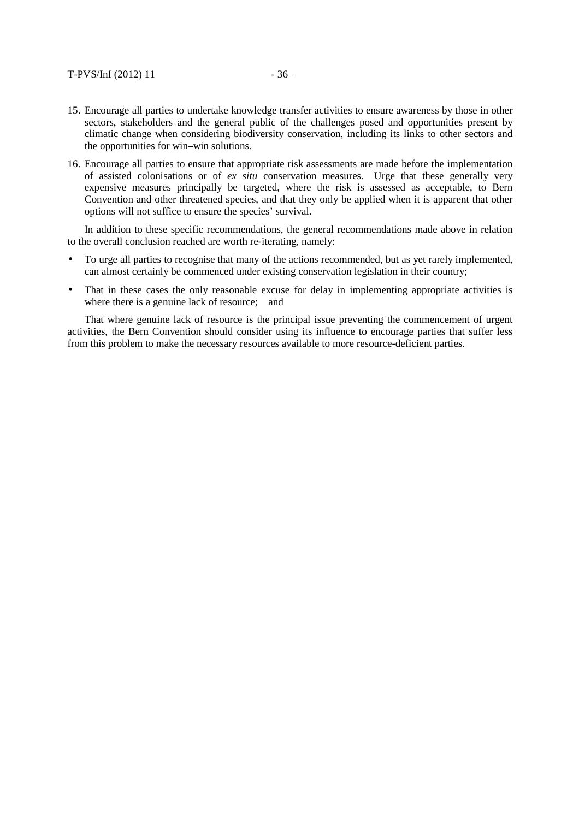- 15. Encourage all parties to undertake knowledge transfer activities to ensure awareness by those in other sectors, stakeholders and the general public of the challenges posed and opportunities present by climatic change when considering biodiversity conservation, including its links to other sectors and the opportunities for win–win solutions.
- 16. Encourage all parties to ensure that appropriate risk assessments are made before the implementation of assisted colonisations or of *ex situ* conservation measures. Urge that these generally very expensive measures principally be targeted, where the risk is assessed as acceptable, to Bern Convention and other threatened species, and that they only be applied when it is apparent that other options will not suffice to ensure the species' survival.

In addition to these specific recommendations, the general recommendations made above in relation to the overall conclusion reached are worth re-iterating, namely:

- To urge all parties to recognise that many of the actions recommended, but as yet rarely implemented, can almost certainly be commenced under existing conservation legislation in their country;
- That in these cases the only reasonable excuse for delay in implementing appropriate activities is where there is a genuine lack of resource; and

That where genuine lack of resource is the principal issue preventing the commencement of urgent activities, the Bern Convention should consider using its influence to encourage parties that suffer less from this problem to make the necessary resources available to more resource-deficient parties.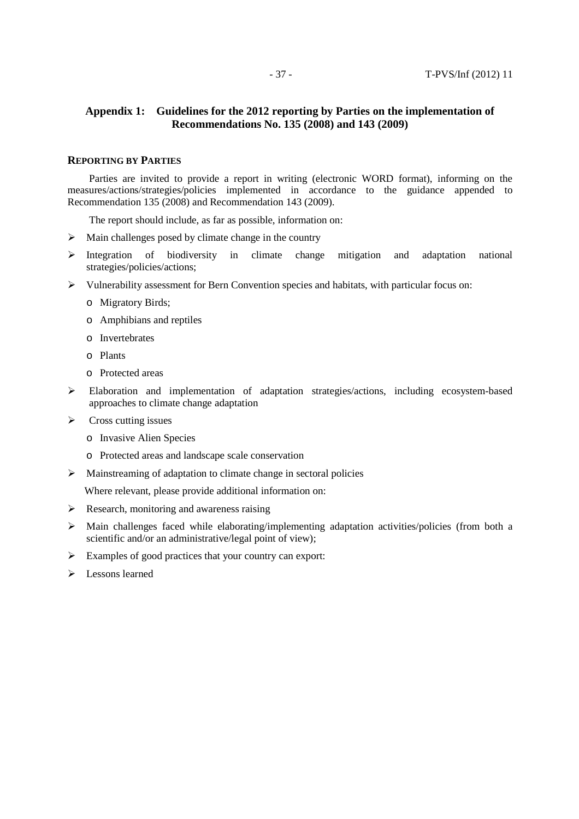# **Appendix 1: Guidelines for the 2012 reporting by Parties on the implementation of Recommendations No. 135 (2008) and 143 (2009)**

#### **REPORTING BY PARTIES**

Parties are invited to provide a report in writing (electronic WORD format), informing on the measures/actions/strategies/policies implemented in accordance to the guidance appended to Recommendation 135 (2008) and Recommendation 143 (2009).

The report should include, as far as possible, information on:

- $\blacktriangleright$ Main challenges posed by climate change in the country
- Integration of biodiversity in climate change mitigation and adaptation national strategies/policies/actions;
- Vulnerability assessment for Bern Convention species and habitats, with particular focus on:
	- o Migratory Birds;
	- o Amphibians and reptiles
	- o Invertebrates
	- o Plants
	- o Protected areas
- Elaboration and implementation of adaptation strategies/actions, including ecosystem-based approaches to climate change adaptation
- > Cross cutting issues
	- o Invasive Alien Species
	- o Protected areas and landscape scale conservation
- > Mainstreaming of adaptation to climate change in sectoral policies

Where relevant, please provide additional information on:

- Research, monitoring and awareness raising
- > Main challenges faced while elaborating/implementing adaptation activities/policies (from both a scientific and/or an administrative/legal point of view);
- Examples of good practices that your country can export:
- > Lessons learned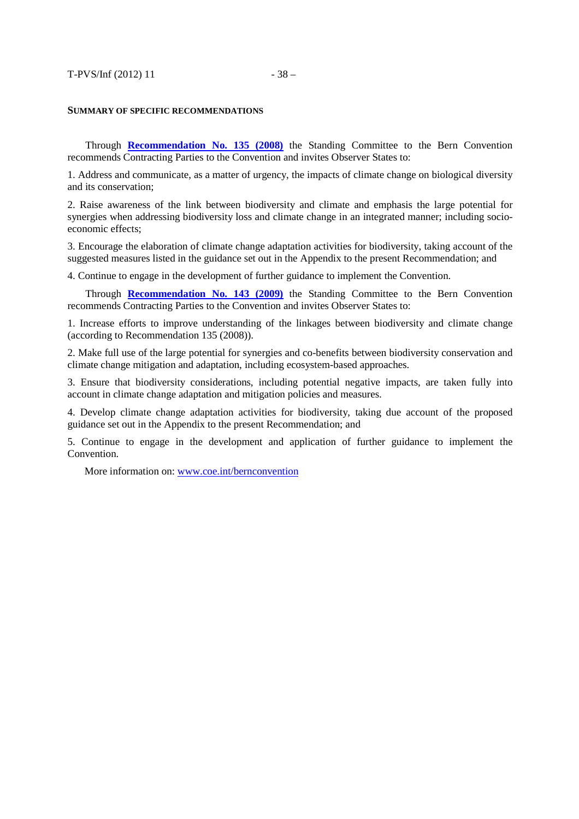#### **SUMMARY OF SPECIFIC RECOMMENDATIONS**

Through **Recommendation No. 135 (2008)** the Standing Committee to the Bern Convention recommends Contracting Parties to the Convention and invites Observer States to:

1. Address and communicate, as a matter of urgency, the impacts of climate change on biological diversity and its conservation;

2. Raise awareness of the link between biodiversity and climate and emphasis the large potential for synergies when addressing biodiversity loss and climate change in an integrated manner; including socioeconomic effects;

3. Encourage the elaboration of climate change adaptation activities for biodiversity, taking account of the suggested measures listed in the guidance set out in the Appendix to the present Recommendation; and

4. Continue to engage in the development of further guidance to implement the Convention.

Through **Recommendation No. 143 (2009)** the Standing Committee to the Bern Convention recommends Contracting Parties to the Convention and invites Observer States to:

1. Increase efforts to improve understanding of the linkages between biodiversity and climate change (according to Recommendation 135 (2008)).

2. Make full use of the large potential for synergies and co-benefits between biodiversity conservation and climate change mitigation and adaptation, including ecosystem-based approaches.

3. Ensure that biodiversity considerations, including potential negative impacts, are taken fully into account in climate change adaptation and mitigation policies and measures.

4. Develop climate change adaptation activities for biodiversity, taking due account of the proposed guidance set out in the Appendix to the present Recommendation; and

5. Continue to engage in the development and application of further guidance to implement the Convention.

More information on: www.coe.int/bernconvention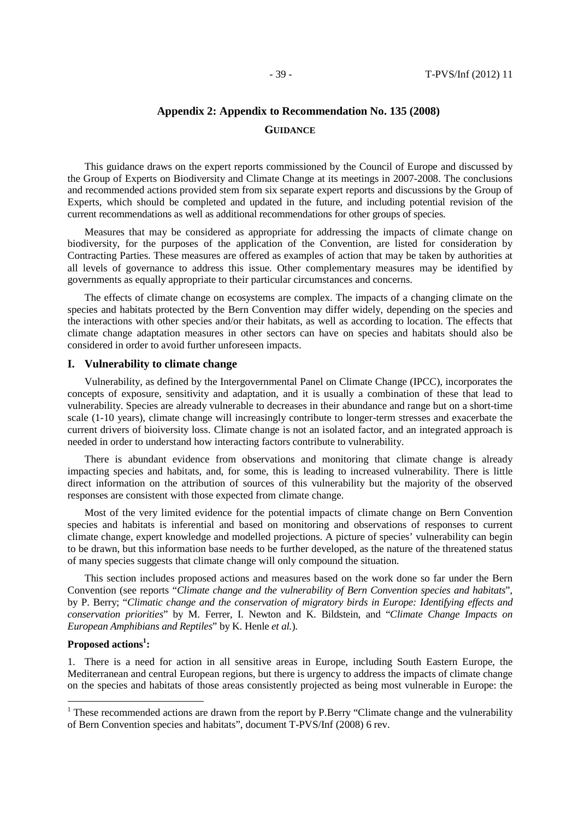# **Appendix 2: Appendix to Recommendation No. 135 (2008) GUIDANCE**

This guidance draws on the expert reports commissioned by the Council of Europe and discussed by the Group of Experts on Biodiversity and Climate Change at its meetings in 2007-2008. The conclusions and recommended actions provided stem from six separate expert reports and discussions by the Group of Experts, which should be completed and updated in the future, and including potential revision of the current recommendations as well as additional recommendations for other groups of species.

Measures that may be considered as appropriate for addressing the impacts of climate change on biodiversity, for the purposes of the application of the Convention, are listed for consideration by Contracting Parties. These measures are offered as examples of action that may be taken by authorities at all levels of governance to address this issue. Other complementary measures may be identified by governments as equally appropriate to their particular circumstances and concerns.

The effects of climate change on ecosystems are complex. The impacts of a changing climate on the species and habitats protected by the Bern Convention may differ widely, depending on the species and the interactions with other species and/or their habitats, as well as according to location. The effects that climate change adaptation measures in other sectors can have on species and habitats should also be considered in order to avoid further unforeseen impacts.

# **I. Vulnerability to climate change**

Vulnerability, as defined by the Intergovernmental Panel on Climate Change (IPCC), incorporates the concepts of exposure, sensitivity and adaptation, and it is usually a combination of these that lead to vulnerability. Species are already vulnerable to decreases in their abundance and range but on a short-time scale (1-10 years), climate change will increasingly contribute to longer-term stresses and exacerbate the current drivers of bioiversity loss. Climate change is not an isolated factor, and an integrated approach is needed in order to understand how interacting factors contribute to vulnerability.

There is abundant evidence from observations and monitoring that climate change is already impacting species and habitats, and, for some, this is leading to increased vulnerability. There is little direct information on the attribution of sources of this vulnerability but the majority of the observed responses are consistent with those expected from climate change.

Most of the very limited evidence for the potential impacts of climate change on Bern Convention species and habitats is inferential and based on monitoring and observations of responses to current climate change, expert knowledge and modelled projections. A picture of species' vulnerability can begin to be drawn, but this information base needs to be further developed, as the nature of the threatened status of many species suggests that climate change will only compound the situation.

This section includes proposed actions and measures based on the work done so far under the Bern Convention (see reports "*Climate change and the vulnerability of Bern Convention species and habitats*", by P. Berry; "*Climatic change and the conservation of migratory birds in Europe: Identifying effects and conservation priorities*" by M. Ferrer, I. Newton and K. Bildstein, and "*Climate Change Impacts on European Amphibians and Reptiles*" by K. Henle *et al.*).

# **Proposed actions<sup>1</sup> :**

<u>.</u>

1. There is a need for action in all sensitive areas in Europe, including South Eastern Europe, the Mediterranean and central European regions, but there is urgency to address the impacts of climate change on the species and habitats of those areas consistently projected as being most vulnerable in Europe: the

<sup>&</sup>lt;sup>1</sup> These recommended actions are drawn from the report by P.Berry "Climate change and the vulnerability of Bern Convention species and habitats", document T-PVS/Inf (2008) 6 rev.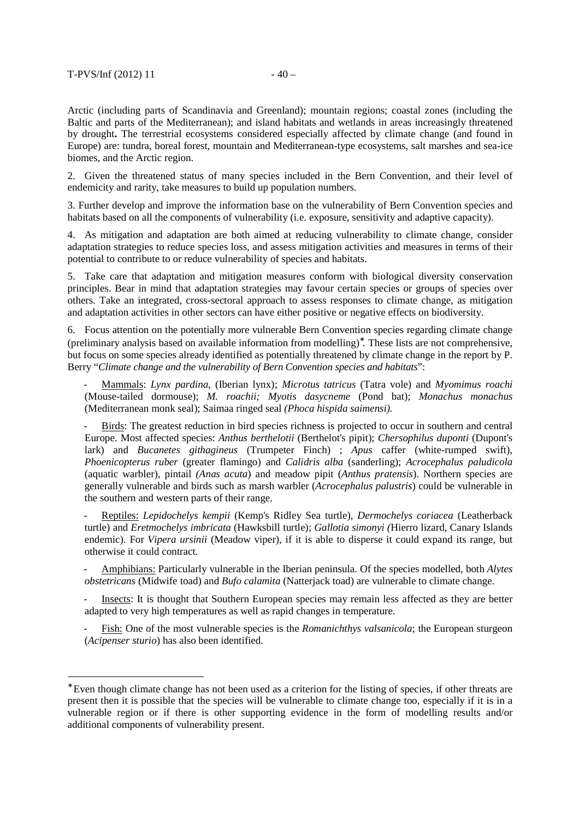-

Arctic (including parts of Scandinavia and Greenland); mountain regions; coastal zones (including the Baltic and parts of the Mediterranean); and island habitats and wetlands in areas increasingly threatened by drought**.** The terrestrial ecosystems considered especially affected by climate change (and found in Europe) are: tundra, boreal forest, mountain and Mediterranean-type ecosystems, salt marshes and sea-ice biomes, and the Arctic region.

2. Given the threatened status of many species included in the Bern Convention, and their level of endemicity and rarity, take measures to build up population numbers.

3. Further develop and improve the information base on the vulnerability of Bern Convention species and habitats based on all the components of vulnerability (i.e. exposure, sensitivity and adaptive capacity).

4. As mitigation and adaptation are both aimed at reducing vulnerability to climate change, consider adaptation strategies to reduce species loss, and assess mitigation activities and measures in terms of their potential to contribute to or reduce vulnerability of species and habitats.

5. Take care that adaptation and mitigation measures conform with biological diversity conservation principles. Bear in mind that adaptation strategies may favour certain species or groups of species over others. Take an integrated, cross-sectoral approach to assess responses to climate change, as mitigation and adaptation activities in other sectors can have either positive or negative effects on biodiversity.

6. Focus attention on the potentially more vulnerable Bern Convention species regarding climate change (preliminary analysis based on available information from modelling)<sup>∗</sup> . These lists are not comprehensive, but focus on some species already identified as potentially threatened by climate change in the report by P. Berry "*Climate change and the vulnerability of Bern Convention species and habitats*":

- Mammals: *Lynx pardina*, (Iberian lynx); *Microtus tatricus* (Tatra vole) and *Myomimus roachi*  (Mouse-tailed dormouse); *M. roachii; Myotis dasycneme* (Pond bat); *Monachus monachus* (Mediterranean monk seal); Saimaa ringed seal *(Phoca hispida saimensi).* 

- Birds: The greatest reduction in bird species richness is projected to occur in southern and central Europe. Most affected species: *Anthus berthelotii* (Berthelot's pipit); *Chersophilus duponti* (Dupont's lark) and *Bucanetes githagineus* (Trumpeter Finch) ; *Apus* caffer (white-rumped swift), *Phoenicopterus ruber* (greater flamingo) and *Calidris alba* (sanderling); *Acrocephalus paludicola* (aquatic warbler), pintail *(Anas acuta*) and meadow pipit (*Anthus pratensis*). Northern species are generally vulnerable and birds such as marsh warbler (*Acrocephalus palustris*) could be vulnerable in the southern and western parts of their range.

- Reptiles: *Lepidochelys kempii* (Kemp's Ridley Sea turtle), *Dermochelys coriacea* (Leatherback turtle) and *Eretmochelys imbricata* (Hawksbill turtle); *Gallotia simonyi (*Hierro lizard, Canary Islands endemic). For *Vipera ursinii* (Meadow viper), if it is able to disperse it could expand its range, but otherwise it could contract.

- Amphibians: Particularly vulnerable in the Iberian peninsula. Of the species modelled, both *Alytes obstetricans* (Midwife toad) and *Bufo calamita* (Natterjack toad) are vulnerable to climate change.

Insects: It is thought that Southern European species may remain less affected as they are better adapted to very high temperatures as well as rapid changes in temperature.

Fish: One of the most vulnerable species is the *Romanichthys valsanicola*; the European sturgeon (*Acipenser sturio*) has also been identified.

<sup>∗</sup> Even though climate change has not been used as a criterion for the listing of species, if other threats are present then it is possible that the species will be vulnerable to climate change too, especially if it is in a vulnerable region or if there is other supporting evidence in the form of modelling results and/or additional components of vulnerability present.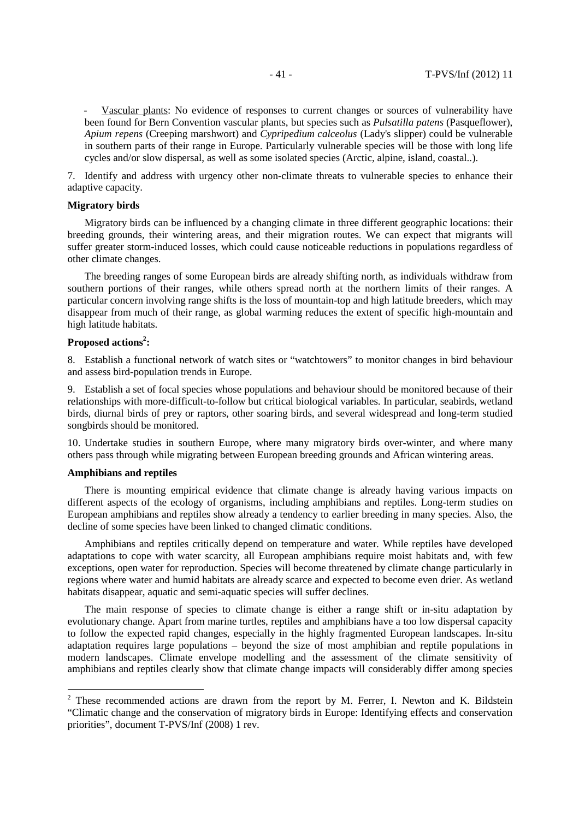Vascular plants: No evidence of responses to current changes or sources of vulnerability have been found for Bern Convention vascular plants, but species such as *Pulsatilla patens* (Pasqueflower), *Apium repens* (Creeping marshwort) and *Cypripedium calceolus* (Lady's slipper) could be vulnerable in southern parts of their range in Europe. Particularly vulnerable species will be those with long life cycles and/or slow dispersal, as well as some isolated species (Arctic, alpine, island, coastal..).

7. Identify and address with urgency other non-climate threats to vulnerable species to enhance their adaptive capacity.

#### **Migratory birds**

Migratory birds can be influenced by a changing climate in three different geographic locations: their breeding grounds, their wintering areas, and their migration routes. We can expect that migrants will suffer greater storm-induced losses, which could cause noticeable reductions in populations regardless of other climate changes.

The breeding ranges of some European birds are already shifting north, as individuals withdraw from southern portions of their ranges, while others spread north at the northern limits of their ranges. A particular concern involving range shifts is the loss of mountain-top and high latitude breeders, which may disappear from much of their range, as global warming reduces the extent of specific high-mountain and high latitude habitats.

# **Proposed actions<sup>2</sup> :**

8. Establish a functional network of watch sites or "watchtowers" to monitor changes in bird behaviour and assess bird-population trends in Europe.

9. Establish a set of focal species whose populations and behaviour should be monitored because of their relationships with more-difficult-to-follow but critical biological variables. In particular, seabirds, wetland birds, diurnal birds of prey or raptors, other soaring birds, and several widespread and long-term studied songbirds should be monitored.

10. Undertake studies in southern Europe, where many migratory birds over-winter, and where many others pass through while migrating between European breeding grounds and African wintering areas.

# **Amphibians and reptiles**

<u>.</u>

There is mounting empirical evidence that climate change is already having various impacts on different aspects of the ecology of organisms, including amphibians and reptiles. Long-term studies on European amphibians and reptiles show already a tendency to earlier breeding in many species. Also, the decline of some species have been linked to changed climatic conditions.

Amphibians and reptiles critically depend on temperature and water. While reptiles have developed adaptations to cope with water scarcity, all European amphibians require moist habitats and, with few exceptions, open water for reproduction. Species will become threatened by climate change particularly in regions where water and humid habitats are already scarce and expected to become even drier. As wetland habitats disappear, aquatic and semi-aquatic species will suffer declines.

The main response of species to climate change is either a range shift or in-situ adaptation by evolutionary change. Apart from marine turtles, reptiles and amphibians have a too low dispersal capacity to follow the expected rapid changes, especially in the highly fragmented European landscapes. In-situ adaptation requires large populations – beyond the size of most amphibian and reptile populations in modern landscapes. Climate envelope modelling and the assessment of the climate sensitivity of amphibians and reptiles clearly show that climate change impacts will considerably differ among species

 $2$  These recommended actions are drawn from the report by M. Ferrer, I. Newton and K. Bildstein "Climatic change and the conservation of migratory birds in Europe: Identifying effects and conservation priorities", document T-PVS/Inf (2008) 1 rev.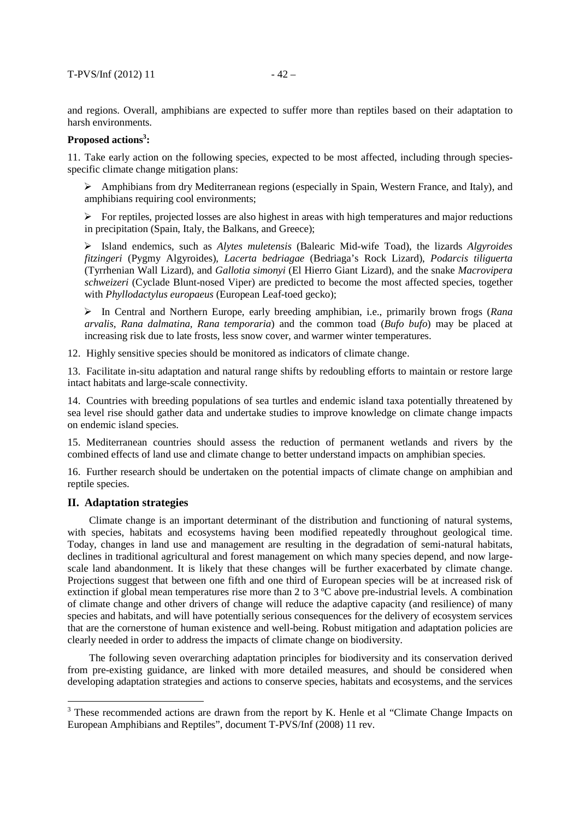and regions. Overall, amphibians are expected to suffer more than reptiles based on their adaptation to harsh environments.

# **Proposed actions<sup>3</sup> :**

11. Take early action on the following species, expected to be most affected, including through speciesspecific climate change mitigation plans:

> Amphibians from dry Mediterranean regions (especially in Spain, Western France, and Italy), and amphibians requiring cool environments;

> For reptiles, projected losses are also highest in areas with high temperatures and major reductions in precipitation (Spain, Italy, the Balkans, and Greece);

- Island endemics, such as *Alytes muletensis* (Balearic Mid-wife Toad), the lizards *Algyroides fitzingeri* (Pygmy Algyroides), *Lacerta bedriagae* (Bedriaga's Rock Lizard), *Podarcis tiliguerta* (Tyrrhenian Wall Lizard), and *Gallotia simonyi* (El Hierro Giant Lizard), and the snake *Macrovipera schweizeri* (Cyclade Blunt-nosed Viper) are predicted to become the most affected species, together with *Phyllodactylus europaeus* (European Leaf-toed gecko);

- In Central and Northern Europe, early breeding amphibian, i.e., primarily brown frogs (*Rana arvalis, Rana dalmatina, Rana temporaria*) and the common toad (*Bufo bufo*) may be placed at increasing risk due to late frosts, less snow cover, and warmer winter temperatures.

12. Highly sensitive species should be monitored as indicators of climate change.

13. Facilitate in-situ adaptation and natural range shifts by redoubling efforts to maintain or restore large intact habitats and large-scale connectivity.

14. Countries with breeding populations of sea turtles and endemic island taxa potentially threatened by sea level rise should gather data and undertake studies to improve knowledge on climate change impacts on endemic island species.

15. Mediterranean countries should assess the reduction of permanent wetlands and rivers by the combined effects of land use and climate change to better understand impacts on amphibian species.

16. Further research should be undertaken on the potential impacts of climate change on amphibian and reptile species.

#### **II. Adaptation strategies**

<u>.</u>

Climate change is an important determinant of the distribution and functioning of natural systems, with species, habitats and ecosystems having been modified repeatedly throughout geological time. Today, changes in land use and management are resulting in the degradation of semi-natural habitats, declines in traditional agricultural and forest management on which many species depend, and now largescale land abandonment. It is likely that these changes will be further exacerbated by climate change. Projections suggest that between one fifth and one third of European species will be at increased risk of extinction if global mean temperatures rise more than 2 to 3 ºC above pre-industrial levels. A combination of climate change and other drivers of change will reduce the adaptive capacity (and resilience) of many species and habitats, and will have potentially serious consequences for the delivery of ecosystem services that are the cornerstone of human existence and well-being. Robust mitigation and adaptation policies are clearly needed in order to address the impacts of climate change on biodiversity.

The following seven overarching adaptation principles for biodiversity and its conservation derived from pre-existing guidance, are linked with more detailed measures, and should be considered when developing adaptation strategies and actions to conserve species, habitats and ecosystems, and the services

 $3$  These recommended actions are drawn from the report by K. Henle et al "Climate Change Impacts on European Amphibians and Reptiles", document T-PVS/Inf (2008) 11 rev.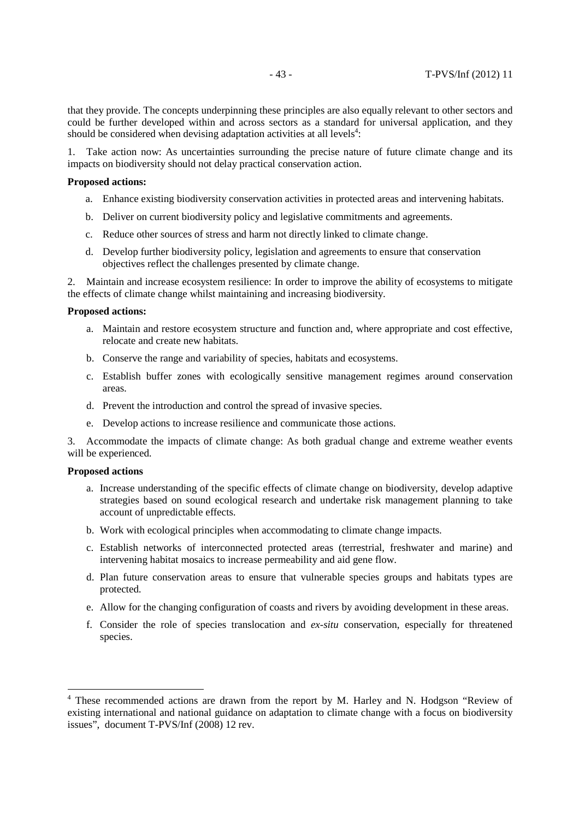that they provide. The concepts underpinning these principles are also equally relevant to other sectors and could be further developed within and across sectors as a standard for universal application, and they should be considered when devising adaptation activities at all levels<sup>4</sup>:

1. Take action now: As uncertainties surrounding the precise nature of future climate change and its impacts on biodiversity should not delay practical conservation action.

#### **Proposed actions:**

- a. Enhance existing biodiversity conservation activities in protected areas and intervening habitats.
- b. Deliver on current biodiversity policy and legislative commitments and agreements.
- c. Reduce other sources of stress and harm not directly linked to climate change.
- d. Develop further biodiversity policy, legislation and agreements to ensure that conservation objectives reflect the challenges presented by climate change.

2. Maintain and increase ecosystem resilience: In order to improve the ability of ecosystems to mitigate the effects of climate change whilst maintaining and increasing biodiversity.

#### **Proposed actions:**

- a. Maintain and restore ecosystem structure and function and, where appropriate and cost effective, relocate and create new habitats.
- b. Conserve the range and variability of species, habitats and ecosystems.
- c. Establish buffer zones with ecologically sensitive management regimes around conservation areas.
- d. Prevent the introduction and control the spread of invasive species.
- e. Develop actions to increase resilience and communicate those actions.

3. Accommodate the impacts of climate change: As both gradual change and extreme weather events will be experienced.

#### **Proposed actions**

<u>.</u>

- a. Increase understanding of the specific effects of climate change on biodiversity, develop adaptive strategies based on sound ecological research and undertake risk management planning to take account of unpredictable effects.
- b. Work with ecological principles when accommodating to climate change impacts.
- c. Establish networks of interconnected protected areas (terrestrial, freshwater and marine) and intervening habitat mosaics to increase permeability and aid gene flow.
- d. Plan future conservation areas to ensure that vulnerable species groups and habitats types are protected.
- e. Allow for the changing configuration of coasts and rivers by avoiding development in these areas.
- f. Consider the role of species translocation and *ex-situ* conservation, especially for threatened species.

<sup>&</sup>lt;sup>4</sup> These recommended actions are drawn from the report by M. Harley and N. Hodgson "Review of existing international and national guidance on adaptation to climate change with a focus on biodiversity issues", document T-PVS/Inf (2008) 12 rev.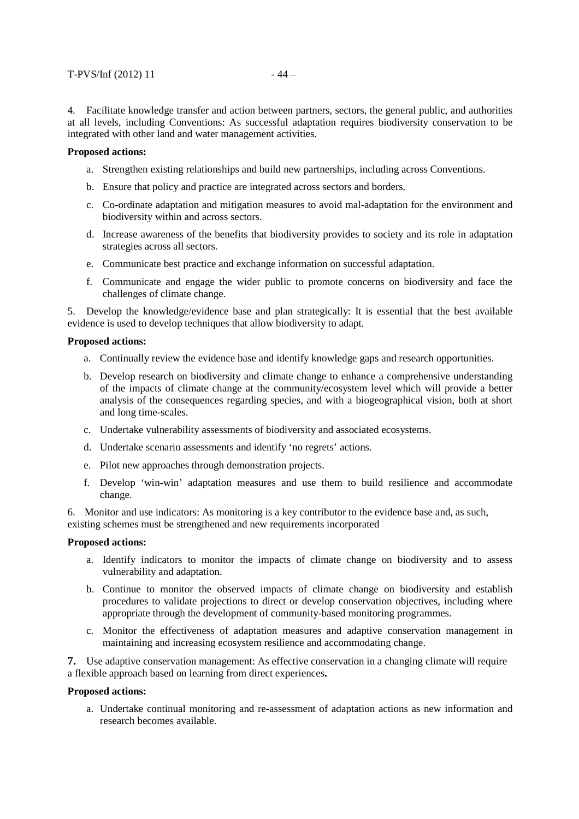4. Facilitate knowledge transfer and action between partners, sectors, the general public, and authorities at all levels, including Conventions: As successful adaptation requires biodiversity conservation to be integrated with other land and water management activities.

#### **Proposed actions:**

- a. Strengthen existing relationships and build new partnerships, including across Conventions.
- b. Ensure that policy and practice are integrated across sectors and borders.
- c. Co-ordinate adaptation and mitigation measures to avoid mal-adaptation for the environment and biodiversity within and across sectors.
- d. Increase awareness of the benefits that biodiversity provides to society and its role in adaptation strategies across all sectors.
- e. Communicate best practice and exchange information on successful adaptation.
- f. Communicate and engage the wider public to promote concerns on biodiversity and face the challenges of climate change.

5. Develop the knowledge/evidence base and plan strategically: It is essential that the best available evidence is used to develop techniques that allow biodiversity to adapt.

#### **Proposed actions:**

- a. Continually review the evidence base and identify knowledge gaps and research opportunities.
- b. Develop research on biodiversity and climate change to enhance a comprehensive understanding of the impacts of climate change at the community/ecosystem level which will provide a better analysis of the consequences regarding species, and with a biogeographical vision, both at short and long time-scales.
- c. Undertake vulnerability assessments of biodiversity and associated ecosystems.
- d. Undertake scenario assessments and identify 'no regrets' actions.
- e. Pilot new approaches through demonstration projects.
- f. Develop 'win-win' adaptation measures and use them to build resilience and accommodate change.

6. Monitor and use indicators: As monitoring is a key contributor to the evidence base and, as such, existing schemes must be strengthened and new requirements incorporated

#### **Proposed actions:**

- a. Identify indicators to monitor the impacts of climate change on biodiversity and to assess vulnerability and adaptation.
- b. Continue to monitor the observed impacts of climate change on biodiversity and establish procedures to validate projections to direct or develop conservation objectives, including where appropriate through the development of community-based monitoring programmes.
- c. Monitor the effectiveness of adaptation measures and adaptive conservation management in maintaining and increasing ecosystem resilience and accommodating change.

**7.** Use adaptive conservation management: As effective conservation in a changing climate will require a flexible approach based on learning from direct experiences**.**

#### **Proposed actions:**

a. Undertake continual monitoring and re-assessment of adaptation actions as new information and research becomes available.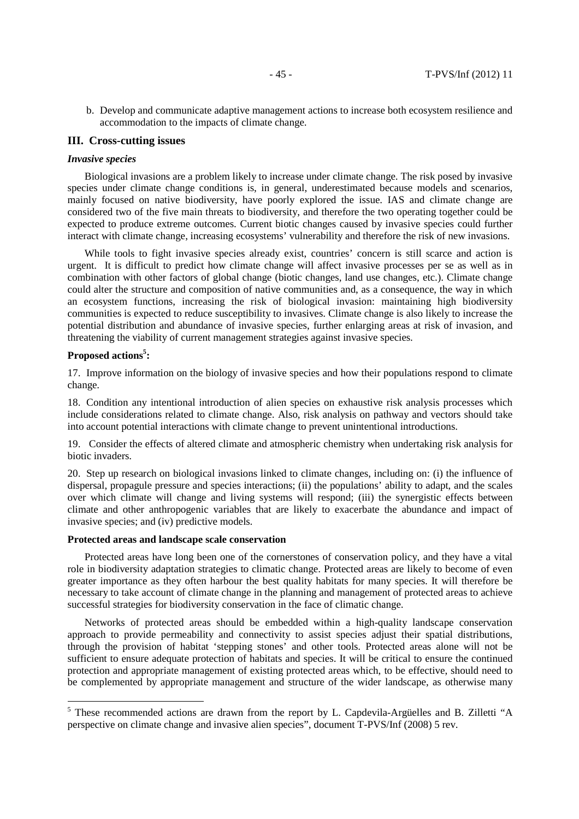b. Develop and communicate adaptive management actions to increase both ecosystem resilience and accommodation to the impacts of climate change.

#### **III. Cross-cutting issues**

#### *Invasive species*

Biological invasions are a problem likely to increase under climate change. The risk posed by invasive species under climate change conditions is, in general, underestimated because models and scenarios, mainly focused on native biodiversity, have poorly explored the issue. IAS and climate change are considered two of the five main threats to biodiversity, and therefore the two operating together could be expected to produce extreme outcomes. Current biotic changes caused by invasive species could further interact with climate change, increasing ecosystems' vulnerability and therefore the risk of new invasions.

While tools to fight invasive species already exist, countries' concern is still scarce and action is urgent. It is difficult to predict how climate change will affect invasive processes per se as well as in combination with other factors of global change (biotic changes, land use changes, etc.). Climate change could alter the structure and composition of native communities and, as a consequence, the way in which an ecosystem functions, increasing the risk of biological invasion: maintaining high biodiversity communities is expected to reduce susceptibility to invasives. Climate change is also likely to increase the potential distribution and abundance of invasive species, further enlarging areas at risk of invasion, and threatening the viability of current management strategies against invasive species.

# **Proposed actions<sup>5</sup> :**

<u>.</u>

17. Improve information on the biology of invasive species and how their populations respond to climate change.

18. Condition any intentional introduction of alien species on exhaustive risk analysis processes which include considerations related to climate change. Also, risk analysis on pathway and vectors should take into account potential interactions with climate change to prevent unintentional introductions.

19. Consider the effects of altered climate and atmospheric chemistry when undertaking risk analysis for biotic invaders.

20. Step up research on biological invasions linked to climate changes, including on: (i) the influence of dispersal, propagule pressure and species interactions; (ii) the populations' ability to adapt, and the scales over which climate will change and living systems will respond; (iii) the synergistic effects between climate and other anthropogenic variables that are likely to exacerbate the abundance and impact of invasive species; and (iv) predictive models.

#### **Protected areas and landscape scale conservation**

Protected areas have long been one of the cornerstones of conservation policy, and they have a vital role in biodiversity adaptation strategies to climatic change. Protected areas are likely to become of even greater importance as they often harbour the best quality habitats for many species. It will therefore be necessary to take account of climate change in the planning and management of protected areas to achieve successful strategies for biodiversity conservation in the face of climatic change.

Networks of protected areas should be embedded within a high-quality landscape conservation approach to provide permeability and connectivity to assist species adjust their spatial distributions, through the provision of habitat 'stepping stones' and other tools. Protected areas alone will not be sufficient to ensure adequate protection of habitats and species. It will be critical to ensure the continued protection and appropriate management of existing protected areas which, to be effective, should need to be complemented by appropriate management and structure of the wider landscape, as otherwise many

<sup>&</sup>lt;sup>5</sup> These recommended actions are drawn from the report by L. Capdevila-Argüelles and B. Zilletti "A perspective on climate change and invasive alien species", document T-PVS/Inf (2008) 5 rev.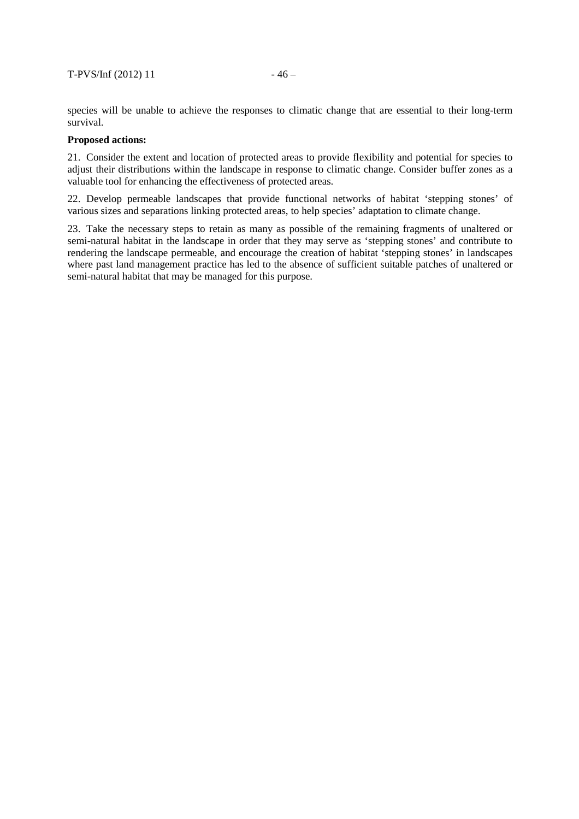species will be unable to achieve the responses to climatic change that are essential to their long-term survival.

#### **Proposed actions:**

21. Consider the extent and location of protected areas to provide flexibility and potential for species to adjust their distributions within the landscape in response to climatic change. Consider buffer zones as a valuable tool for enhancing the effectiveness of protected areas.

22. Develop permeable landscapes that provide functional networks of habitat 'stepping stones' of various sizes and separations linking protected areas, to help species' adaptation to climate change.

23. Take the necessary steps to retain as many as possible of the remaining fragments of unaltered or semi-natural habitat in the landscape in order that they may serve as 'stepping stones' and contribute to rendering the landscape permeable, and encourage the creation of habitat 'stepping stones' in landscapes where past land management practice has led to the absence of sufficient suitable patches of unaltered or semi-natural habitat that may be managed for this purpose.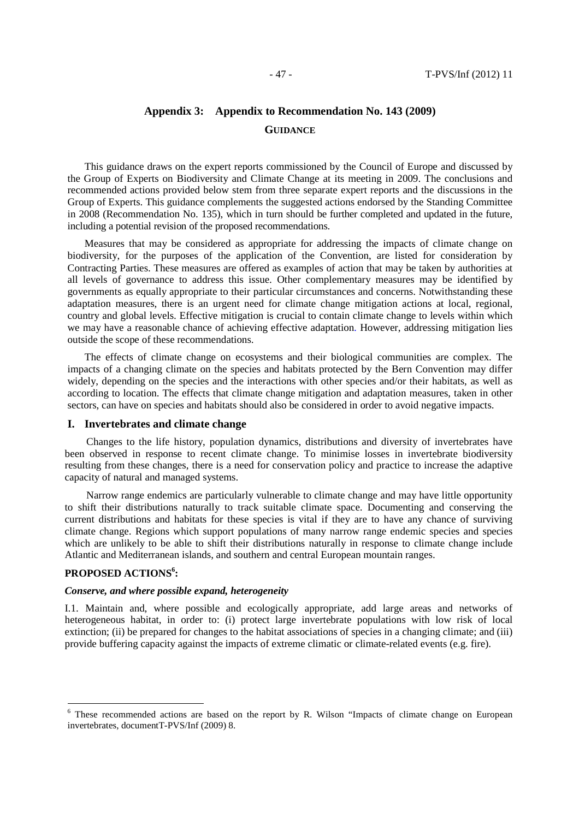# **Appendix 3: Appendix to Recommendation No. 143 (2009) GUIDANCE**

This guidance draws on the expert reports commissioned by the Council of Europe and discussed by the Group of Experts on Biodiversity and Climate Change at its meeting in 2009. The conclusions and recommended actions provided below stem from three separate expert reports and the discussions in the Group of Experts. This guidance complements the suggested actions endorsed by the Standing Committee in 2008 (Recommendation No. 135), which in turn should be further completed and updated in the future, including a potential revision of the proposed recommendations.

Measures that may be considered as appropriate for addressing the impacts of climate change on biodiversity, for the purposes of the application of the Convention, are listed for consideration by Contracting Parties. These measures are offered as examples of action that may be taken by authorities at all levels of governance to address this issue. Other complementary measures may be identified by governments as equally appropriate to their particular circumstances and concerns. Notwithstanding these adaptation measures, there is an urgent need for climate change mitigation actions at local, regional, country and global levels. Effective mitigation is crucial to contain climate change to levels within which we may have a reasonable chance of achieving effective adaptation. However, addressing mitigation lies outside the scope of these recommendations.

The effects of climate change on ecosystems and their biological communities are complex. The impacts of a changing climate on the species and habitats protected by the Bern Convention may differ widely, depending on the species and the interactions with other species and/or their habitats, as well as according to location. The effects that climate change mitigation and adaptation measures, taken in other sectors, can have on species and habitats should also be considered in order to avoid negative impacts.

# **I. Invertebrates and climate change**

 Changes to the life history, population dynamics, distributions and diversity of invertebrates have been observed in response to recent climate change. To minimise losses in invertebrate biodiversity resulting from these changes, there is a need for conservation policy and practice to increase the adaptive capacity of natural and managed systems.

 Narrow range endemics are particularly vulnerable to climate change and may have little opportunity to shift their distributions naturally to track suitable climate space. Documenting and conserving the current distributions and habitats for these species is vital if they are to have any chance of surviving climate change. Regions which support populations of many narrow range endemic species and species which are unlikely to be able to shift their distributions naturally in response to climate change include Atlantic and Mediterranean islands, and southern and central European mountain ranges.

# **PROPOSED ACTIONS<sup>6</sup> :**

-

#### *Conserve, and where possible expand, heterogeneity*

I.1. Maintain and, where possible and ecologically appropriate, add large areas and networks of heterogeneous habitat, in order to: (i) protect large invertebrate populations with low risk of local extinction; (ii) be prepared for changes to the habitat associations of species in a changing climate; and (iii) provide buffering capacity against the impacts of extreme climatic or climate-related events (e.g. fire).

<sup>&</sup>lt;sup>6</sup> These recommended actions are based on the report by R. Wilson "Impacts of climate change on European invertebrates, documentT-PVS/Inf (2009) 8.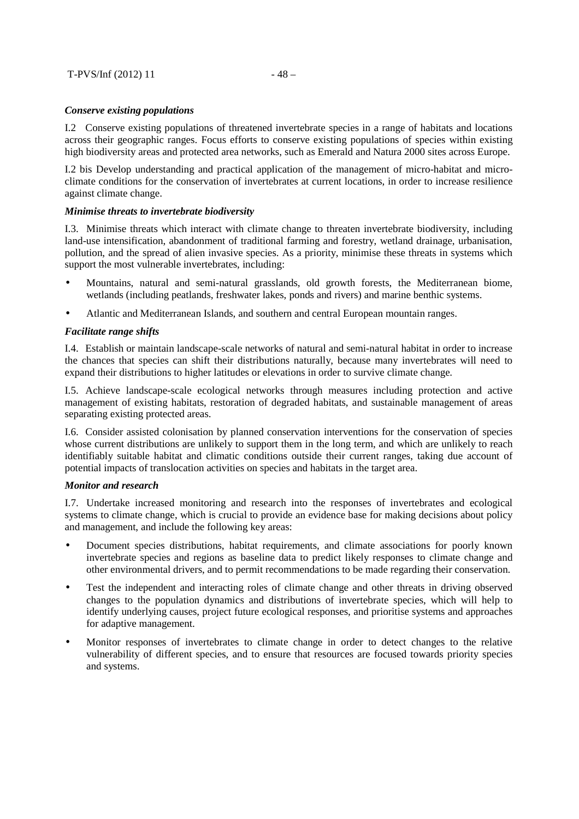#### *Conserve existing populations*

I.2 Conserve existing populations of threatened invertebrate species in a range of habitats and locations across their geographic ranges. Focus efforts to conserve existing populations of species within existing high biodiversity areas and protected area networks, such as Emerald and Natura 2000 sites across Europe.

I.2 bis Develop understanding and practical application of the management of micro-habitat and microclimate conditions for the conservation of invertebrates at current locations, in order to increase resilience against climate change.

#### *Minimise threats to invertebrate biodiversity*

I.3. Minimise threats which interact with climate change to threaten invertebrate biodiversity, including land-use intensification, abandonment of traditional farming and forestry, wetland drainage, urbanisation, pollution, and the spread of alien invasive species. As a priority, minimise these threats in systems which support the most vulnerable invertebrates, including:

- Mountains, natural and semi-natural grasslands, old growth forests, the Mediterranean biome, wetlands (including peatlands, freshwater lakes, ponds and rivers) and marine benthic systems.
- Atlantic and Mediterranean Islands, and southern and central European mountain ranges.

#### *Facilitate range shifts*

I.4. Establish or maintain landscape-scale networks of natural and semi-natural habitat in order to increase the chances that species can shift their distributions naturally, because many invertebrates will need to expand their distributions to higher latitudes or elevations in order to survive climate change.

I.5. Achieve landscape-scale ecological networks through measures including protection and active management of existing habitats, restoration of degraded habitats, and sustainable management of areas separating existing protected areas.

I.6. Consider assisted colonisation by planned conservation interventions for the conservation of species whose current distributions are unlikely to support them in the long term, and which are unlikely to reach identifiably suitable habitat and climatic conditions outside their current ranges, taking due account of potential impacts of translocation activities on species and habitats in the target area.

# *Monitor and research*

I.7. Undertake increased monitoring and research into the responses of invertebrates and ecological systems to climate change, which is crucial to provide an evidence base for making decisions about policy and management, and include the following key areas:

- Document species distributions, habitat requirements, and climate associations for poorly known invertebrate species and regions as baseline data to predict likely responses to climate change and other environmental drivers, and to permit recommendations to be made regarding their conservation.
- Test the independent and interacting roles of climate change and other threats in driving observed changes to the population dynamics and distributions of invertebrate species, which will help to identify underlying causes, project future ecological responses, and prioritise systems and approaches for adaptive management.
- Monitor responses of invertebrates to climate change in order to detect changes to the relative vulnerability of different species, and to ensure that resources are focused towards priority species and systems.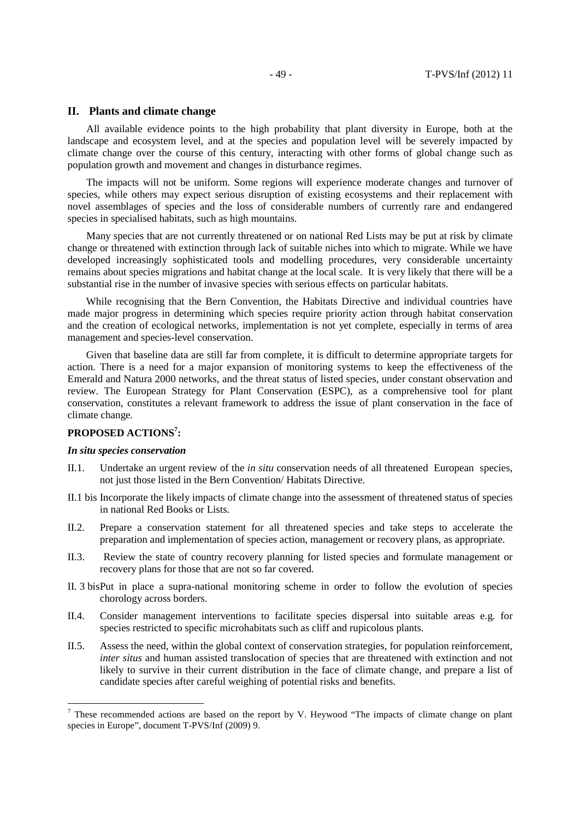# **II. Plants and climate change**

All available evidence points to the high probability that plant diversity in Europe, both at the landscape and ecosystem level, and at the species and population level will be severely impacted by climate change over the course of this century, interacting with other forms of global change such as population growth and movement and changes in disturbance regimes.

The impacts will not be uniform. Some regions will experience moderate changes and turnover of species, while others may expect serious disruption of existing ecosystems and their replacement with novel assemblages of species and the loss of considerable numbers of currently rare and endangered species in specialised habitats, such as high mountains.

Many species that are not currently threatened or on national Red Lists may be put at risk by climate change or threatened with extinction through lack of suitable niches into which to migrate. While we have developed increasingly sophisticated tools and modelling procedures, very considerable uncertainty remains about species migrations and habitat change at the local scale. It is very likely that there will be a substantial rise in the number of invasive species with serious effects on particular habitats.

While recognising that the Bern Convention, the Habitats Directive and individual countries have made major progress in determining which species require priority action through habitat conservation and the creation of ecological networks, implementation is not yet complete, especially in terms of area management and species-level conservation.

Given that baseline data are still far from complete, it is difficult to determine appropriate targets for action. There is a need for a major expansion of monitoring systems to keep the effectiveness of the Emerald and Natura 2000 networks, and the threat status of listed species, under constant observation and review. The European Strategy for Plant Conservation (ESPC), as a comprehensive tool for plant conservation, constitutes a relevant framework to address the issue of plant conservation in the face of climate change.

# **PROPOSED ACTIONS<sup>7</sup> :**

#### *In situ species conservation*

-

- II.1. Undertake an urgent review of the *in situ* conservation needs of all threatened European species, not just those listed in the Bern Convention/ Habitats Directive.
- II.1 bis Incorporate the likely impacts of climate change into the assessment of threatened status of species in national Red Books or Lists.
- II.2. Prepare a conservation statement for all threatened species and take steps to accelerate the preparation and implementation of species action, management or recovery plans, as appropriate.
- II.3. Review the state of country recovery planning for listed species and formulate management or recovery plans for those that are not so far covered.
- II. 3 bis Put in place a supra-national monitoring scheme in order to follow the evolution of species chorology across borders.
- II.4. Consider management interventions to facilitate species dispersal into suitable areas e.g. for species restricted to specific microhabitats such as cliff and rupicolous plants.
- II.5. Assess the need, within the global context of conservation strategies, for population reinforcement, *inter situs* and human assisted translocation of species that are threatened with extinction and not likely to survive in their current distribution in the face of climate change, and prepare a list of candidate species after careful weighing of potential risks and benefits.

 $7$  These recommended actions are based on the report by V. Heywood "The impacts of climate change on plant species in Europe", document T-PVS/Inf (2009) 9.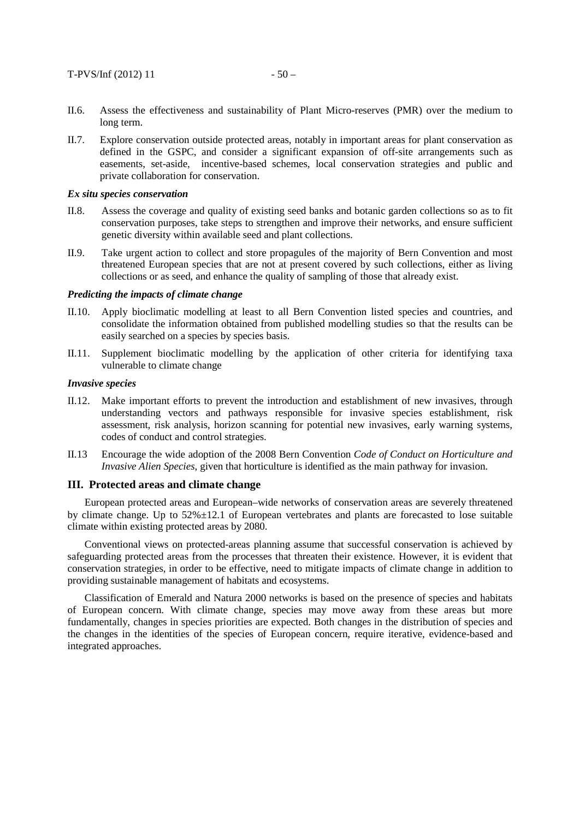- II.6. Assess the effectiveness and sustainability of Plant Micro-reserves (PMR) over the medium to long term.
- II.7. Explore conservation outside protected areas, notably in important areas for plant conservation as defined in the GSPC, and consider a significant expansion of off-site arrangements such as easements, set-aside, incentive-based schemes, local conservation strategies and public and private collaboration for conservation.

#### *Ex situ species conservation*

- II.8. Assess the coverage and quality of existing seed banks and botanic garden collections so as to fit conservation purposes, take steps to strengthen and improve their networks, and ensure sufficient genetic diversity within available seed and plant collections.
- II.9. Take urgent action to collect and store propagules of the majority of Bern Convention and most threatened European species that are not at present covered by such collections, either as living collections or as seed, and enhance the quality of sampling of those that already exist.

#### *Predicting the impacts of climate change*

- II.10. Apply bioclimatic modelling at least to all Bern Convention listed species and countries, and consolidate the information obtained from published modelling studies so that the results can be easily searched on a species by species basis.
- II.11. Supplement bioclimatic modelling by the application of other criteria for identifying taxa vulnerable to climate change

#### *Invasive species*

- II.12. Make important efforts to prevent the introduction and establishment of new invasives, through understanding vectors and pathways responsible for invasive species establishment, risk assessment, risk analysis, horizon scanning for potential new invasives, early warning systems, codes of conduct and control strategies.
- II.13 Encourage the wide adoption of the 2008 Bern Convention *Code of Conduct on Horticulture and Invasive Alien Species*, given that horticulture is identified as the main pathway for invasion.

# **III. Protected areas and climate change**

European protected areas and European–wide networks of conservation areas are severely threatened by climate change. Up to 52%±12.1 of European vertebrates and plants are forecasted to lose suitable climate within existing protected areas by 2080.

Conventional views on protected-areas planning assume that successful conservation is achieved by safeguarding protected areas from the processes that threaten their existence. However, it is evident that conservation strategies, in order to be effective, need to mitigate impacts of climate change in addition to providing sustainable management of habitats and ecosystems.

Classification of Emerald and Natura 2000 networks is based on the presence of species and habitats of European concern. With climate change, species may move away from these areas but more fundamentally, changes in species priorities are expected. Both changes in the distribution of species and the changes in the identities of the species of European concern, require iterative, evidence-based and integrated approaches.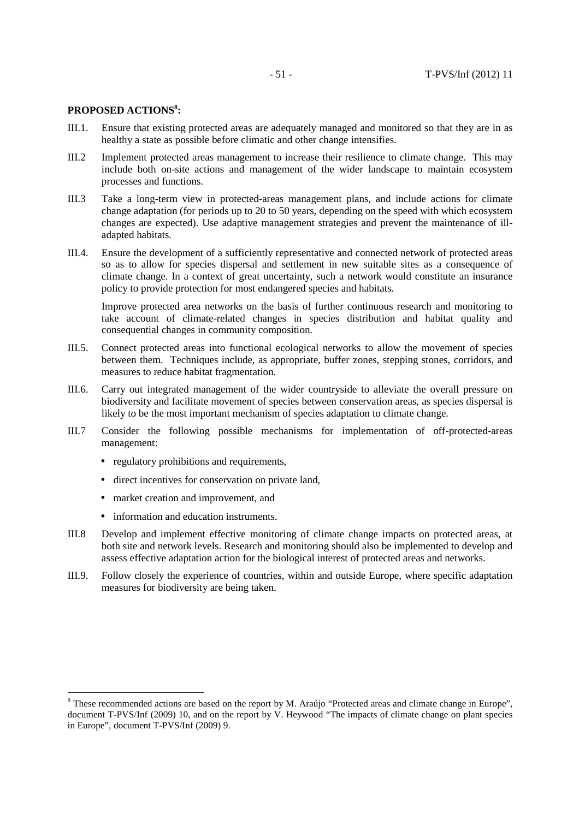# **PROPOSED ACTIONS<sup>8</sup> :**

- III.1. Ensure that existing protected areas are adequately managed and monitored so that they are in as healthy a state as possible before climatic and other change intensifies.
- III.2 Implement protected areas management to increase their resilience to climate change. This may include both on-site actions and management of the wider landscape to maintain ecosystem processes and functions.
- III.3 Take a long-term view in protected-areas management plans, and include actions for climate change adaptation (for periods up to 20 to 50 years, depending on the speed with which ecosystem changes are expected). Use adaptive management strategies and prevent the maintenance of illadapted habitats.
- III.4. Ensure the development of a sufficiently representative and connected network of protected areas so as to allow for species dispersal and settlement in new suitable sites as a consequence of climate change. In a context of great uncertainty, such a network would constitute an insurance policy to provide protection for most endangered species and habitats.

Improve protected area networks on the basis of further continuous research and monitoring to take account of climate-related changes in species distribution and habitat quality and consequential changes in community composition.

- III.5. Connect protected areas into functional ecological networks to allow the movement of species between them. Techniques include, as appropriate, buffer zones, stepping stones, corridors, and measures to reduce habitat fragmentation.
- III.6. Carry out integrated management of the wider countryside to alleviate the overall pressure on biodiversity and facilitate movement of species between conservation areas, as species dispersal is likely to be the most important mechanism of species adaptation to climate change.
- III.7 Consider the following possible mechanisms for implementation of off-protected-areas management:
	- regulatory prohibitions and requirements.
	- direct incentives for conservation on private land,
	- market creation and improvement, and
	- information and education instruments.
- III.8 Develop and implement effective monitoring of climate change impacts on protected areas, at both site and network levels. Research and monitoring should also be implemented to develop and assess effective adaptation action for the biological interest of protected areas and networks.
- III.9. Follow closely the experience of countries, within and outside Europe, where specific adaptation measures for biodiversity are being taken.

<sup>&</sup>lt;sup>8</sup> These recommended actions are based on the report by M. Araújo "Protected areas and climate change in Europe", document T-PVS/Inf (2009) 10, and on the report by V. Heywood "The impacts of climate change on plant species in Europe", document T-PVS/Inf (2009) 9.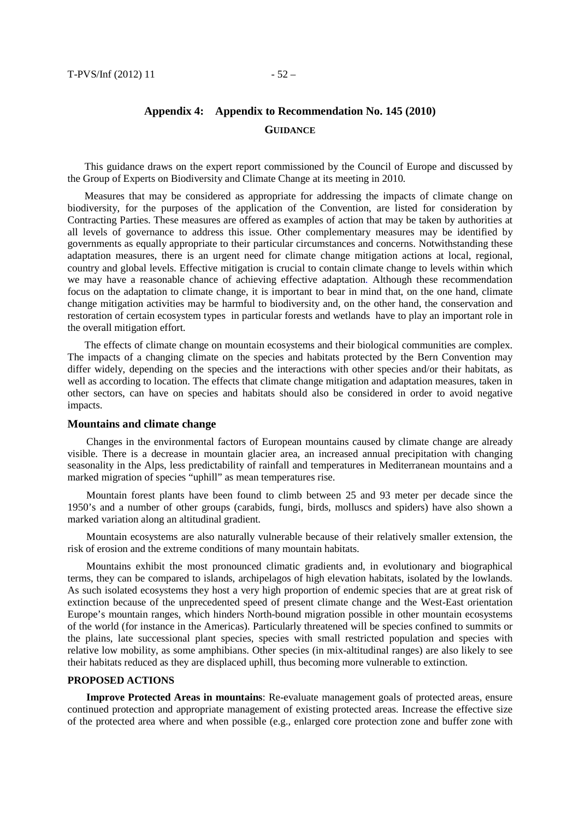# **Appendix 4: Appendix to Recommendation No. 145 (2010) GUIDANCE**

This guidance draws on the expert report commissioned by the Council of Europe and discussed by the Group of Experts on Biodiversity and Climate Change at its meeting in 2010.

Measures that may be considered as appropriate for addressing the impacts of climate change on biodiversity, for the purposes of the application of the Convention, are listed for consideration by Contracting Parties. These measures are offered as examples of action that may be taken by authorities at all levels of governance to address this issue. Other complementary measures may be identified by governments as equally appropriate to their particular circumstances and concerns. Notwithstanding these adaptation measures, there is an urgent need for climate change mitigation actions at local, regional, country and global levels. Effective mitigation is crucial to contain climate change to levels within which we may have a reasonable chance of achieving effective adaptation. Although these recommendation focus on the adaptation to climate change, it is important to bear in mind that, on the one hand, climate change mitigation activities may be harmful to biodiversity and, on the other hand, the conservation and restoration of certain ecosystem types in particular forests and wetlands have to play an important role in the overall mitigation effort.

The effects of climate change on mountain ecosystems and their biological communities are complex. The impacts of a changing climate on the species and habitats protected by the Bern Convention may differ widely, depending on the species and the interactions with other species and/or their habitats, as well as according to location. The effects that climate change mitigation and adaptation measures, taken in other sectors, can have on species and habitats should also be considered in order to avoid negative impacts.

# **Mountains and climate change**

 Changes in the environmental factors of European mountains caused by climate change are already visible. There is a decrease in mountain glacier area, an increased annual precipitation with changing seasonality in the Alps, less predictability of rainfall and temperatures in Mediterranean mountains and a marked migration of species "uphill" as mean temperatures rise.

 Mountain forest plants have been found to climb between 25 and 93 meter per decade since the 1950's and a number of other groups (carabids, fungi, birds, molluscs and spiders) have also shown a marked variation along an altitudinal gradient.

 Mountain ecosystems are also naturally vulnerable because of their relatively smaller extension, the risk of erosion and the extreme conditions of many mountain habitats.

 Mountains exhibit the most pronounced climatic gradients and, in evolutionary and biographical terms, they can be compared to islands, archipelagos of high elevation habitats, isolated by the lowlands. As such isolated ecosystems they host a very high proportion of endemic species that are at great risk of extinction because of the unprecedented speed of present climate change and the West-East orientation Europe's mountain ranges, which hinders North-bound migration possible in other mountain ecosystems of the world (for instance in the Americas). Particularly threatened will be species confined to summits or the plains, late successional plant species, species with small restricted population and species with relative low mobility, as some amphibians. Other species (in mix-altitudinal ranges) are also likely to see their habitats reduced as they are displaced uphill, thus becoming more vulnerable to extinction.

# **PROPOSED ACTIONS**

**Improve Protected Areas in mountains**: Re-evaluate management goals of protected areas, ensure continued protection and appropriate management of existing protected areas. Increase the effective size of the protected area where and when possible (e.g., enlarged core protection zone and buffer zone with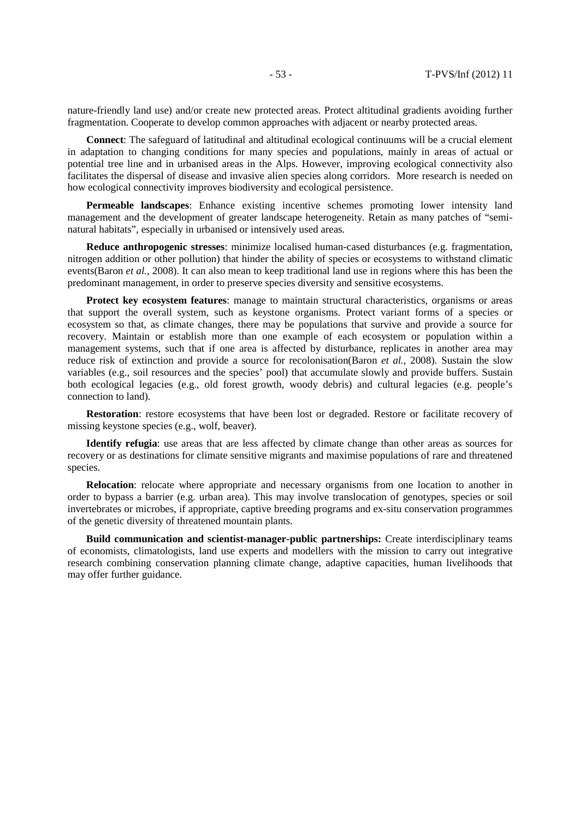nature-friendly land use) and/or create new protected areas. Protect altitudinal gradients avoiding further fragmentation. Cooperate to develop common approaches with adjacent or nearby protected areas.

**Connect**: The safeguard of latitudinal and altitudinal ecological continuums will be a crucial element in adaptation to changing conditions for many species and populations, mainly in areas of actual or potential tree line and in urbanised areas in the Alps. However, improving ecological connectivity also facilitates the dispersal of disease and invasive alien species along corridors. More research is needed on how ecological connectivity improves biodiversity and ecological persistence.

**Permeable landscapes**: Enhance existing incentive schemes promoting lower intensity land management and the development of greater landscape heterogeneity. Retain as many patches of "seminatural habitats", especially in urbanised or intensively used areas.

**Reduce anthropogenic stresses**: minimize localised human-cased disturbances (e.g. fragmentation, nitrogen addition or other pollution) that hinder the ability of species or ecosystems to withstand climatic events(Baron *et al.*, 2008). It can also mean to keep traditional land use in regions where this has been the predominant management, in order to preserve species diversity and sensitive ecosystems.

**Protect key ecosystem features**: manage to maintain structural characteristics, organisms or areas that support the overall system, such as keystone organisms. Protect variant forms of a species or ecosystem so that, as climate changes, there may be populations that survive and provide a source for recovery. Maintain or establish more than one example of each ecosystem or population within a management systems, such that if one area is affected by disturbance, replicates in another area may reduce risk of extinction and provide a source for recolonisation(Baron *et al.*, 2008). Sustain the slow variables (e.g., soil resources and the species' pool) that accumulate slowly and provide buffers. Sustain both ecological legacies (e.g., old forest growth, woody debris) and cultural legacies (e.g. people's connection to land).

**Restoration**: restore ecosystems that have been lost or degraded. Restore or facilitate recovery of missing keystone species (e.g., wolf, beaver).

**Identify refugia**: use areas that are less affected by climate change than other areas as sources for recovery or as destinations for climate sensitive migrants and maximise populations of rare and threatened species.

**Relocation**: relocate where appropriate and necessary organisms from one location to another in order to bypass a barrier (e.g. urban area). This may involve translocation of genotypes, species or soil invertebrates or microbes, if appropriate, captive breeding programs and ex-situ conservation programmes of the genetic diversity of threatened mountain plants.

**Build communication and scientist-manager-public partnerships:** Create interdisciplinary teams of economists, climatologists, land use experts and modellers with the mission to carry out integrative research combining conservation planning climate change, adaptive capacities, human livelihoods that may offer further guidance.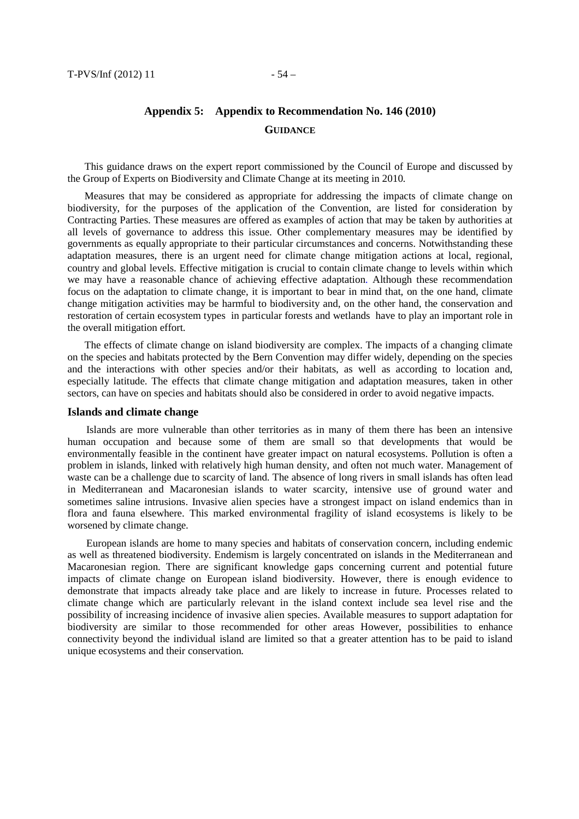# **Appendix 5: Appendix to Recommendation No. 146 (2010) GUIDANCE**

This guidance draws on the expert report commissioned by the Council of Europe and discussed by the Group of Experts on Biodiversity and Climate Change at its meeting in 2010.

Measures that may be considered as appropriate for addressing the impacts of climate change on biodiversity, for the purposes of the application of the Convention, are listed for consideration by Contracting Parties. These measures are offered as examples of action that may be taken by authorities at all levels of governance to address this issue. Other complementary measures may be identified by governments as equally appropriate to their particular circumstances and concerns. Notwithstanding these adaptation measures, there is an urgent need for climate change mitigation actions at local, regional, country and global levels. Effective mitigation is crucial to contain climate change to levels within which we may have a reasonable chance of achieving effective adaptation. Although these recommendation focus on the adaptation to climate change, it is important to bear in mind that, on the one hand, climate change mitigation activities may be harmful to biodiversity and, on the other hand, the conservation and restoration of certain ecosystem types in particular forests and wetlands have to play an important role in the overall mitigation effort.

The effects of climate change on island biodiversity are complex. The impacts of a changing climate on the species and habitats protected by the Bern Convention may differ widely, depending on the species and the interactions with other species and/or their habitats, as well as according to location and, especially latitude. The effects that climate change mitigation and adaptation measures, taken in other sectors, can have on species and habitats should also be considered in order to avoid negative impacts.

#### **Islands and climate change**

 Islands are more vulnerable than other territories as in many of them there has been an intensive human occupation and because some of them are small so that developments that would be environmentally feasible in the continent have greater impact on natural ecosystems. Pollution is often a problem in islands, linked with relatively high human density, and often not much water. Management of waste can be a challenge due to scarcity of land. The absence of long rivers in small islands has often lead in Mediterranean and Macaronesian islands to water scarcity, intensive use of ground water and sometimes saline intrusions. Invasive alien species have a strongest impact on island endemics than in flora and fauna elsewhere. This marked environmental fragility of island ecosystems is likely to be worsened by climate change.

 European islands are home to many species and habitats of conservation concern, including endemic as well as threatened biodiversity. Endemism is largely concentrated on islands in the Mediterranean and Macaronesian region. There are significant knowledge gaps concerning current and potential future impacts of climate change on European island biodiversity. However, there is enough evidence to demonstrate that impacts already take place and are likely to increase in future. Processes related to climate change which are particularly relevant in the island context include sea level rise and the possibility of increasing incidence of invasive alien species. Available measures to support adaptation for biodiversity are similar to those recommended for other areas However, possibilities to enhance connectivity beyond the individual island are limited so that a greater attention has to be paid to island unique ecosystems and their conservation.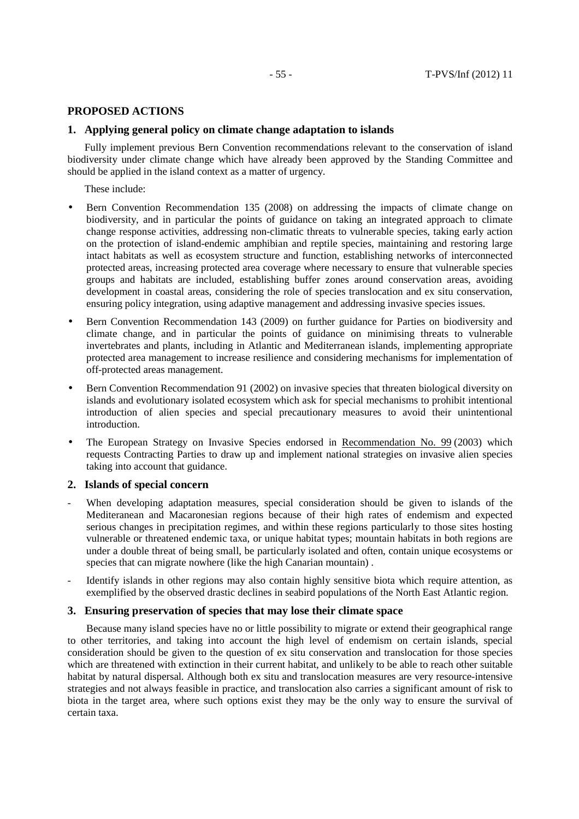#### **PROPOSED ACTIONS**

#### **1. Applying general policy on climate change adaptation to islands**

 Fully implement previous Bern Convention recommendations relevant to the conservation of island biodiversity under climate change which have already been approved by the Standing Committee and should be applied in the island context as a matter of urgency.

These include:

- Bern Convention Recommendation 135 (2008) on addressing the impacts of climate change on biodiversity, and in particular the points of guidance on taking an integrated approach to climate change response activities, addressing non-climatic threats to vulnerable species, taking early action on the protection of island-endemic amphibian and reptile species, maintaining and restoring large intact habitats as well as ecosystem structure and function, establishing networks of interconnected protected areas, increasing protected area coverage where necessary to ensure that vulnerable species groups and habitats are included, establishing buffer zones around conservation areas, avoiding development in coastal areas, considering the role of species translocation and ex situ conservation, ensuring policy integration, using adaptive management and addressing invasive species issues.
- Bern Convention Recommendation 143 (2009) on further guidance for Parties on biodiversity and climate change, and in particular the points of guidance on minimising threats to vulnerable invertebrates and plants, including in Atlantic and Mediterranean islands, implementing appropriate protected area management to increase resilience and considering mechanisms for implementation of off-protected areas management.
- Bern Convention Recommendation 91 (2002) on invasive species that threaten biological diversity on islands and evolutionary isolated ecosystem which ask for special mechanisms to prohibit intentional introduction of alien species and special precautionary measures to avoid their unintentional introduction.
- The European Strategy on Invasive Species endorsed in Recommendation No. 99 (2003) which requests Contracting Parties to draw up and implement national strategies on invasive alien species taking into account that guidance.

# **2. Islands of special concern**

- When developing adaptation measures, special consideration should be given to islands of the Mediteranean and Macaronesian regions because of their high rates of endemism and expected serious changes in precipitation regimes, and within these regions particularly to those sites hosting vulnerable or threatened endemic taxa, or unique habitat types; mountain habitats in both regions are under a double threat of being small, be particularly isolated and often, contain unique ecosystems or species that can migrate nowhere (like the high Canarian mountain) .
- Identify islands in other regions may also contain highly sensitive biota which require attention, as exemplified by the observed drastic declines in seabird populations of the North East Atlantic region.

# **3. Ensuring preservation of species that may lose their climate space**

Because many island species have no or little possibility to migrate or extend their geographical range to other territories, and taking into account the high level of endemism on certain islands, special consideration should be given to the question of ex situ conservation and translocation for those species which are threatened with extinction in their current habitat, and unlikely to be able to reach other suitable habitat by natural dispersal. Although both ex situ and translocation measures are very resource-intensive strategies and not always feasible in practice, and translocation also carries a significant amount of risk to biota in the target area, where such options exist they may be the only way to ensure the survival of certain taxa.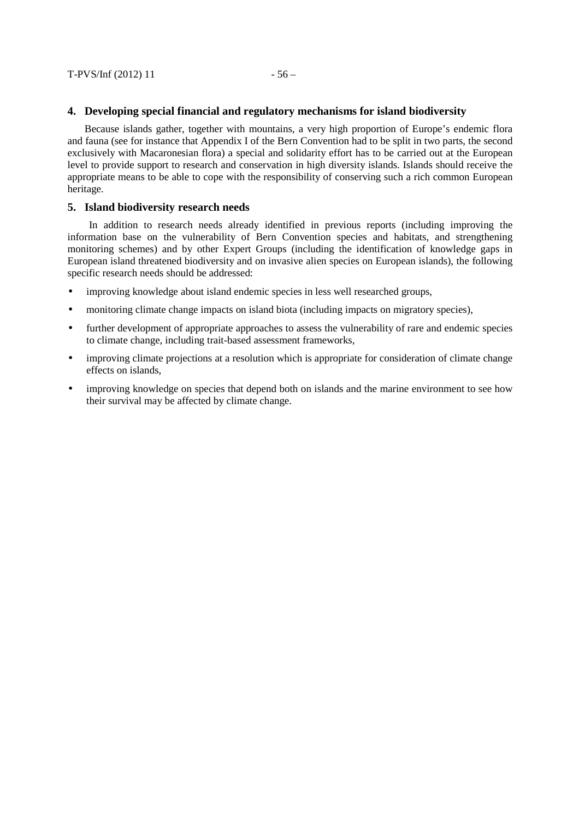#### **4. Developing special financial and regulatory mechanisms for island biodiversity**

 Because islands gather, together with mountains, a very high proportion of Europe's endemic flora and fauna (see for instance that Appendix I of the Bern Convention had to be split in two parts, the second exclusively with Macaronesian flora) a special and solidarity effort has to be carried out at the European level to provide support to research and conservation in high diversity islands. Islands should receive the appropriate means to be able to cope with the responsibility of conserving such a rich common European heritage.

### **5. Island biodiversity research needs**

In addition to research needs already identified in previous reports (including improving the information base on the vulnerability of Bern Convention species and habitats, and strengthening monitoring schemes) and by other Expert Groups (including the identification of knowledge gaps in European island threatened biodiversity and on invasive alien species on European islands), the following specific research needs should be addressed:

- improving knowledge about island endemic species in less well researched groups,
- monitoring climate change impacts on island biota (including impacts on migratory species),
- further development of appropriate approaches to assess the vulnerability of rare and endemic species to climate change, including trait-based assessment frameworks,
- improving climate projections at a resolution which is appropriate for consideration of climate change effects on islands,
- improving knowledge on species that depend both on islands and the marine environment to see how their survival may be affected by climate change.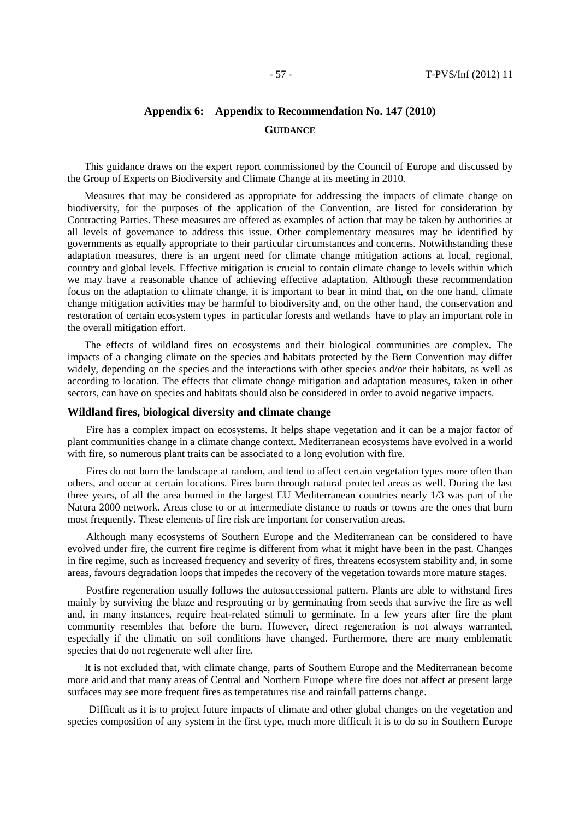# **Appendix 6: Appendix to Recommendation No. 147 (2010) GUIDANCE**

This guidance draws on the expert report commissioned by the Council of Europe and discussed by the Group of Experts on Biodiversity and Climate Change at its meeting in 2010.

Measures that may be considered as appropriate for addressing the impacts of climate change on biodiversity, for the purposes of the application of the Convention, are listed for consideration by Contracting Parties. These measures are offered as examples of action that may be taken by authorities at all levels of governance to address this issue. Other complementary measures may be identified by governments as equally appropriate to their particular circumstances and concerns. Notwithstanding these adaptation measures, there is an urgent need for climate change mitigation actions at local, regional, country and global levels. Effective mitigation is crucial to contain climate change to levels within which we may have a reasonable chance of achieving effective adaptation. Although these recommendation focus on the adaptation to climate change, it is important to bear in mind that, on the one hand, climate change mitigation activities may be harmful to biodiversity and, on the other hand, the conservation and restoration of certain ecosystem types in particular forests and wetlands have to play an important role in the overall mitigation effort.

The effects of wildland fires on ecosystems and their biological communities are complex. The impacts of a changing climate on the species and habitats protected by the Bern Convention may differ widely, depending on the species and the interactions with other species and/or their habitats, as well as according to location. The effects that climate change mitigation and adaptation measures, taken in other sectors, can have on species and habitats should also be considered in order to avoid negative impacts.

# **Wildland fires, biological diversity and climate change**

 Fire has a complex impact on ecosystems. It helps shape vegetation and it can be a major factor of plant communities change in a climate change context. Mediterranean ecosystems have evolved in a world with fire, so numerous plant traits can be associated to a long evolution with fire.

Fires do not burn the landscape at random, and tend to affect certain vegetation types more often than others, and occur at certain locations. Fires burn through natural protected areas as well. During the last three years, of all the area burned in the largest EU Mediterranean countries nearly 1/3 was part of the Natura 2000 network. Areas close to or at intermediate distance to roads or towns are the ones that burn most frequently. These elements of fire risk are important for conservation areas.

Although many ecosystems of Southern Europe and the Mediterranean can be considered to have evolved under fire, the current fire regime is different from what it might have been in the past. Changes in fire regime, such as increased frequency and severity of fires, threatens ecosystem stability and, in some areas, favours degradation loops that impedes the recovery of the vegetation towards more mature stages.

Postfire regeneration usually follows the autosuccessional pattern. Plants are able to withstand fires mainly by surviving the blaze and resprouting or by germinating from seeds that survive the fire as well and, in many instances, require heat-related stimuli to germinate. In a few years after fire the plant community resembles that before the burn. However, direct regeneration is not always warranted, especially if the climatic on soil conditions have changed. Furthermore, there are many emblematic species that do not regenerate well after fire.

 It is not excluded that, with climate change, parts of Southern Europe and the Mediterranean become more arid and that many areas of Central and Northern Europe where fire does not affect at present large surfaces may see more frequent fires as temperatures rise and rainfall patterns change.

Difficult as it is to project future impacts of climate and other global changes on the vegetation and species composition of any system in the first type, much more difficult it is to do so in Southern Europe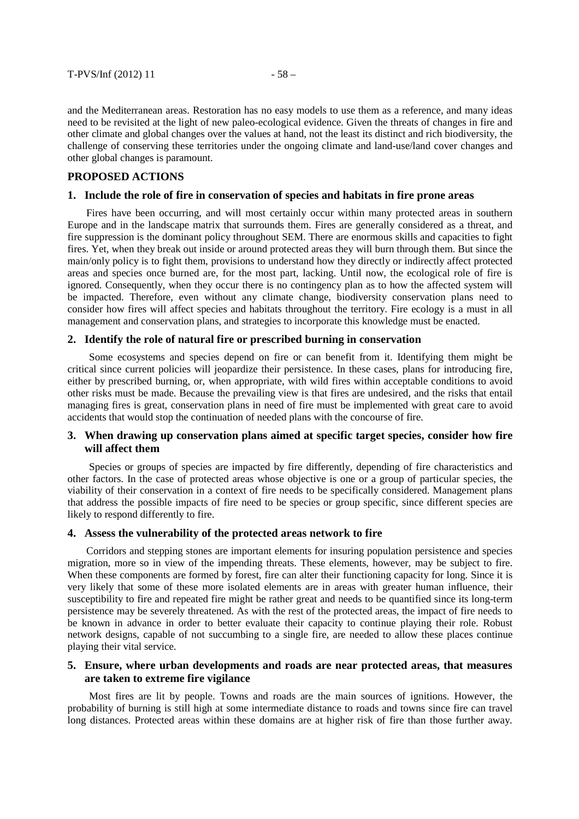and the Mediterranean areas. Restoration has no easy models to use them as a reference, and many ideas need to be revisited at the light of new paleo-ecological evidence. Given the threats of changes in fire and other climate and global changes over the values at hand, not the least its distinct and rich biodiversity, the challenge of conserving these territories under the ongoing climate and land-use/land cover changes and other global changes is paramount.

# **PROPOSED ACTIONS**

#### **1. Include the role of fire in conservation of species and habitats in fire prone areas**

Fires have been occurring, and will most certainly occur within many protected areas in southern Europe and in the landscape matrix that surrounds them. Fires are generally considered as a threat, and fire suppression is the dominant policy throughout SEM. There are enormous skills and capacities to fight fires. Yet, when they break out inside or around protected areas they will burn through them. But since the main/only policy is to fight them, provisions to understand how they directly or indirectly affect protected areas and species once burned are, for the most part, lacking. Until now, the ecological role of fire is ignored. Consequently, when they occur there is no contingency plan as to how the affected system will be impacted. Therefore, even without any climate change, biodiversity conservation plans need to consider how fires will affect species and habitats throughout the territory. Fire ecology is a must in all management and conservation plans, and strategies to incorporate this knowledge must be enacted.

#### **2. Identify the role of natural fire or prescribed burning in conservation**

Some ecosystems and species depend on fire or can benefit from it. Identifying them might be critical since current policies will jeopardize their persistence. In these cases, plans for introducing fire, either by prescribed burning, or, when appropriate, with wild fires within acceptable conditions to avoid other risks must be made. Because the prevailing view is that fires are undesired, and the risks that entail managing fires is great, conservation plans in need of fire must be implemented with great care to avoid accidents that would stop the continuation of needed plans with the concourse of fire.

# **3. When drawing up conservation plans aimed at specific target species, consider how fire will affect them**

Species or groups of species are impacted by fire differently, depending of fire characteristics and other factors. In the case of protected areas whose objective is one or a group of particular species, the viability of their conservation in a context of fire needs to be specifically considered. Management plans that address the possible impacts of fire need to be species or group specific, since different species are likely to respond differently to fire.

#### **4. Assess the vulnerability of the protected areas network to fire**

Corridors and stepping stones are important elements for insuring population persistence and species migration, more so in view of the impending threats. These elements, however, may be subject to fire. When these components are formed by forest, fire can alter their functioning capacity for long. Since it is very likely that some of these more isolated elements are in areas with greater human influence, their susceptibility to fire and repeated fire might be rather great and needs to be quantified since its long-term persistence may be severely threatened. As with the rest of the protected areas, the impact of fire needs to be known in advance in order to better evaluate their capacity to continue playing their role. Robust network designs, capable of not succumbing to a single fire, are needed to allow these places continue playing their vital service.

# **5. Ensure, where urban developments and roads are near protected areas, that measures are taken to extreme fire vigilance**

Most fires are lit by people. Towns and roads are the main sources of ignitions. However, the probability of burning is still high at some intermediate distance to roads and towns since fire can travel long distances. Protected areas within these domains are at higher risk of fire than those further away.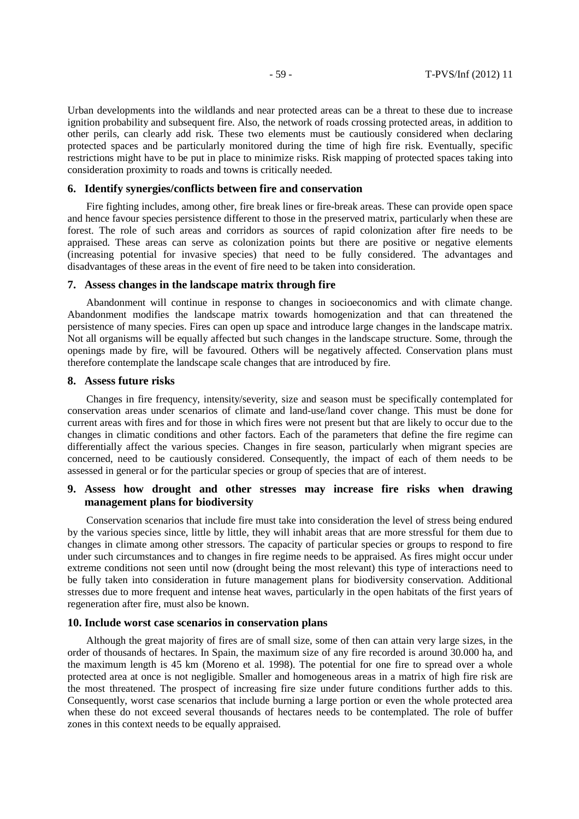Urban developments into the wildlands and near protected areas can be a threat to these due to increase ignition probability and subsequent fire. Also, the network of roads crossing protected areas, in addition to other perils, can clearly add risk. These two elements must be cautiously considered when declaring protected spaces and be particularly monitored during the time of high fire risk. Eventually, specific restrictions might have to be put in place to minimize risks. Risk mapping of protected spaces taking into consideration proximity to roads and towns is critically needed.

# **6. Identify synergies/conflicts between fire and conservation**

Fire fighting includes, among other, fire break lines or fire-break areas. These can provide open space and hence favour species persistence different to those in the preserved matrix, particularly when these are forest. The role of such areas and corridors as sources of rapid colonization after fire needs to be appraised. These areas can serve as colonization points but there are positive or negative elements (increasing potential for invasive species) that need to be fully considered. The advantages and disadvantages of these areas in the event of fire need to be taken into consideration.

#### **7. Assess changes in the landscape matrix through fire**

Abandonment will continue in response to changes in socioeconomics and with climate change. Abandonment modifies the landscape matrix towards homogenization and that can threatened the persistence of many species. Fires can open up space and introduce large changes in the landscape matrix. Not all organisms will be equally affected but such changes in the landscape structure. Some, through the openings made by fire, will be favoured. Others will be negatively affected. Conservation plans must therefore contemplate the landscape scale changes that are introduced by fire.

#### **8. Assess future risks**

Changes in fire frequency, intensity/severity, size and season must be specifically contemplated for conservation areas under scenarios of climate and land-use/land cover change. This must be done for current areas with fires and for those in which fires were not present but that are likely to occur due to the changes in climatic conditions and other factors. Each of the parameters that define the fire regime can differentially affect the various species. Changes in fire season, particularly when migrant species are concerned, need to be cautiously considered. Consequently, the impact of each of them needs to be assessed in general or for the particular species or group of species that are of interest.

# **9. Assess how drought and other stresses may increase fire risks when drawing management plans for biodiversity**

Conservation scenarios that include fire must take into consideration the level of stress being endured by the various species since, little by little, they will inhabit areas that are more stressful for them due to changes in climate among other stressors. The capacity of particular species or groups to respond to fire under such circumstances and to changes in fire regime needs to be appraised. As fires might occur under extreme conditions not seen until now (drought being the most relevant) this type of interactions need to be fully taken into consideration in future management plans for biodiversity conservation. Additional stresses due to more frequent and intense heat waves, particularly in the open habitats of the first years of regeneration after fire, must also be known.

#### **10. Include worst case scenarios in conservation plans**

Although the great majority of fires are of small size, some of then can attain very large sizes, in the order of thousands of hectares. In Spain, the maximum size of any fire recorded is around 30.000 ha, and the maximum length is 45 km (Moreno et al. 1998). The potential for one fire to spread over a whole protected area at once is not negligible. Smaller and homogeneous areas in a matrix of high fire risk are the most threatened. The prospect of increasing fire size under future conditions further adds to this. Consequently, worst case scenarios that include burning a large portion or even the whole protected area when these do not exceed several thousands of hectares needs to be contemplated. The role of buffer zones in this context needs to be equally appraised.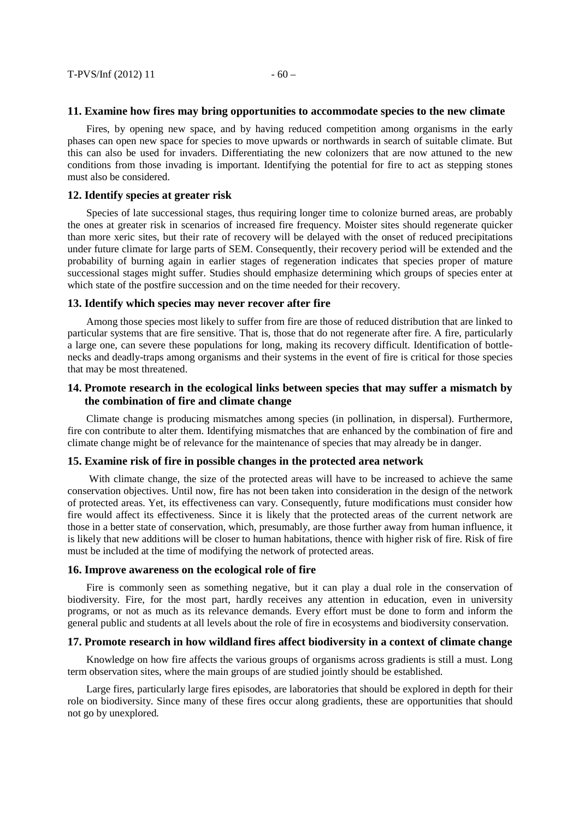#### **11. Examine how fires may bring opportunities to accommodate species to the new climate**

Fires, by opening new space, and by having reduced competition among organisms in the early phases can open new space for species to move upwards or northwards in search of suitable climate. But this can also be used for invaders. Differentiating the new colonizers that are now attuned to the new conditions from those invading is important. Identifying the potential for fire to act as stepping stones must also be considered.

#### **12. Identify species at greater risk**

Species of late successional stages, thus requiring longer time to colonize burned areas, are probably the ones at greater risk in scenarios of increased fire frequency. Moister sites should regenerate quicker than more xeric sites, but their rate of recovery will be delayed with the onset of reduced precipitations under future climate for large parts of SEM. Consequently, their recovery period will be extended and the probability of burning again in earlier stages of regeneration indicates that species proper of mature successional stages might suffer. Studies should emphasize determining which groups of species enter at which state of the postfire succession and on the time needed for their recovery.

#### **13. Identify which species may never recover after fire**

Among those species most likely to suffer from fire are those of reduced distribution that are linked to particular systems that are fire sensitive. That is, those that do not regenerate after fire. A fire, particularly a large one, can severe these populations for long, making its recovery difficult. Identification of bottlenecks and deadly-traps among organisms and their systems in the event of fire is critical for those species that may be most threatened.

# **14. Promote research in the ecological links between species that may suffer a mismatch by the combination of fire and climate change**

Climate change is producing mismatches among species (in pollination, in dispersal). Furthermore, fire con contribute to alter them. Identifying mismatches that are enhanced by the combination of fire and climate change might be of relevance for the maintenance of species that may already be in danger.

#### **15. Examine risk of fire in possible changes in the protected area network**

With climate change, the size of the protected areas will have to be increased to achieve the same conservation objectives. Until now, fire has not been taken into consideration in the design of the network of protected areas. Yet, its effectiveness can vary. Consequently, future modifications must consider how fire would affect its effectiveness. Since it is likely that the protected areas of the current network are those in a better state of conservation, which, presumably, are those further away from human influence, it is likely that new additions will be closer to human habitations, thence with higher risk of fire. Risk of fire must be included at the time of modifying the network of protected areas.

#### **16. Improve awareness on the ecological role of fire**

Fire is commonly seen as something negative, but it can play a dual role in the conservation of biodiversity. Fire, for the most part, hardly receives any attention in education, even in university programs, or not as much as its relevance demands. Every effort must be done to form and inform the general public and students at all levels about the role of fire in ecosystems and biodiversity conservation.

#### **17. Promote research in how wildland fires affect biodiversity in a context of climate change**

Knowledge on how fire affects the various groups of organisms across gradients is still a must. Long term observation sites, where the main groups of are studied jointly should be established.

Large fires, particularly large fires episodes, are laboratories that should be explored in depth for their role on biodiversity. Since many of these fires occur along gradients, these are opportunities that should not go by unexplored.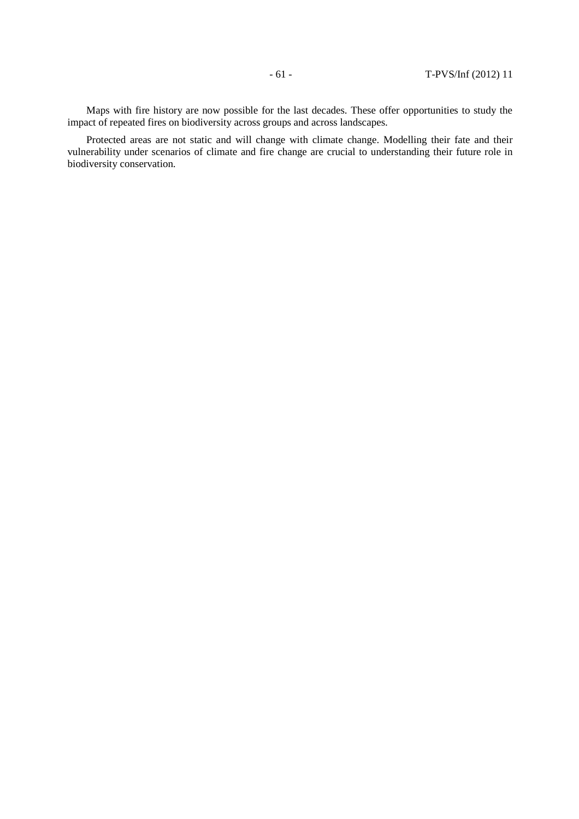Maps with fire history are now possible for the last decades. These offer opportunities to study the impact of repeated fires on biodiversity across groups and across landscapes.

Protected areas are not static and will change with climate change. Modelling their fate and their vulnerability under scenarios of climate and fire change are crucial to understanding their future role in biodiversity conservation.